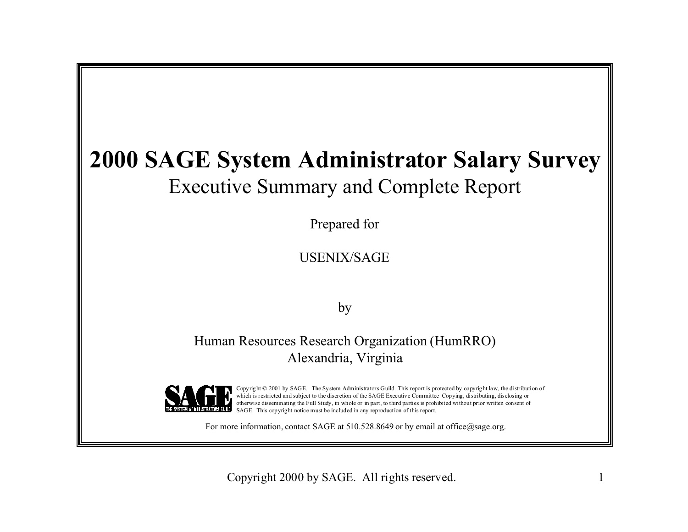## **2000 SAGE System Administrator Salary Survey** Executive Summary and Complete Report

Prepared for

USENIX/SAGE

by

Human Resources Research Organization (HumRRO) Alexandria, Virginia



Copyright © 2001 by SAGE. The System Administrators Guild. This report is protected by copyright law, the distribution of which is restricted and subject to the discretion of the SAGE Executive Committee Copying, distributing, disclosing or otherwise disseminating the Full Study, in whole or in part, to third parties is prohibited without prior written consent of SAGE. This copyright notice must be included in any reproduction of this report.

For more information, contact SAGE at  $510.528.8649$  or by email at office $@$ sage.org.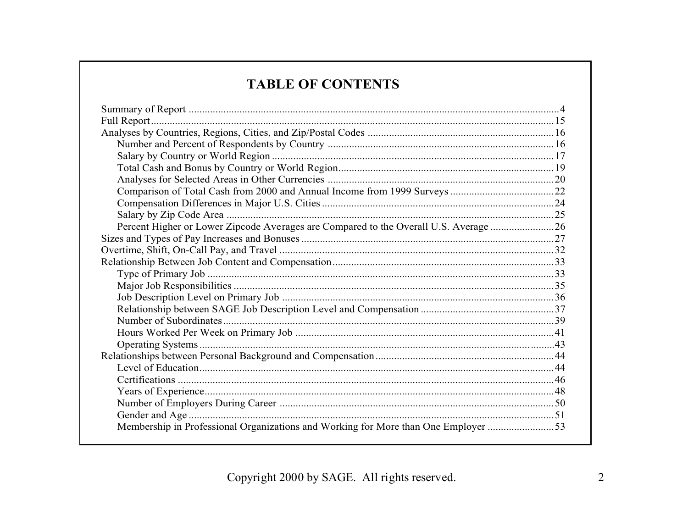## **TABLE OF CONTENTS**

| Percent Higher or Lower Zipcode Averages are Compared to the Overall U.S. Average 26 |  |
|--------------------------------------------------------------------------------------|--|
|                                                                                      |  |
|                                                                                      |  |
|                                                                                      |  |
|                                                                                      |  |
|                                                                                      |  |
|                                                                                      |  |
|                                                                                      |  |
|                                                                                      |  |
|                                                                                      |  |
|                                                                                      |  |
|                                                                                      |  |
|                                                                                      |  |
|                                                                                      |  |
|                                                                                      |  |
|                                                                                      |  |
|                                                                                      |  |
| Membership in Professional Organizations and Working for More than One Employer 53   |  |
|                                                                                      |  |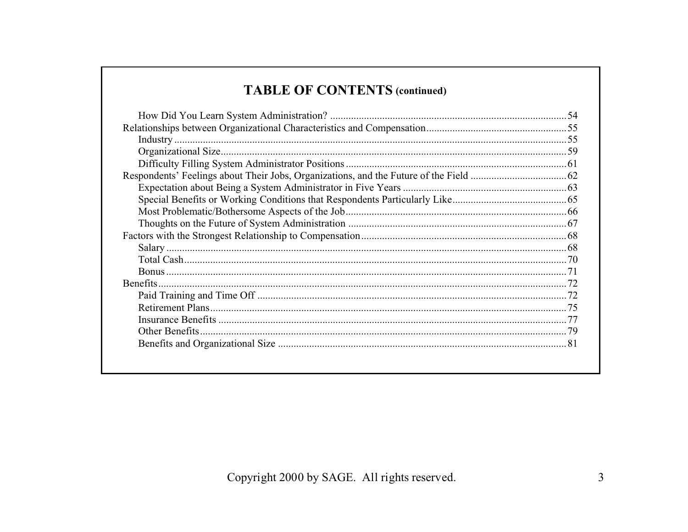## **TABLE OF CONTENTS (continued)**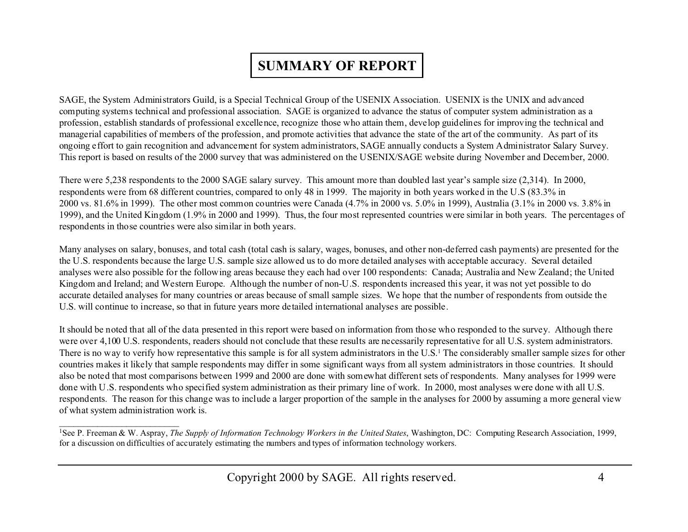## **SUMMARY OF REPORT**

SAGE, the System Administrators Guild, is a Special Technical Group of the USENIX Association. USENIX is the UNIX and advanced computing systems technical and professional association. SAGE is organized to advance the status of computer system administration as a profession, establish standards of professional excellence, recognize those who attain them, develop guidelines for improving the technical and managerial capabilities of members of the profession, and promote activities that advance the state of the art of the community. As part of its ongoing effort to gain recognition and advancement for system administrators, SAGE annually conducts a System Administrator Salary Survey. This report is based on results of the 2000 survey that was administered on the USENIX/SAGE website during November and December, 2000.

There were 5,238 respondents to the 2000 SAGE salary survey. This amount more than doubled last year's sample size (2,314). In 2000, respondents were from 68 different countries, compared to only 48 in 1999. The majority in both years worked in the U.S (83.3% in 2000 vs. 81.6% in 1999). The other most common countries were Canada (4.7% in 2000 vs. 5.0% in 1999), Australia (3.1% in 2000 vs. 3.8% in 1999), and the United Kingdom (1.9% in 2000 and 1999). Thus, the four most represented countries were similar in both years. The percentages of respondents in those countries were also similar in both years.

Many analyses on salary, bonuses, and total cash (total cash is salary, wages, bonuses, and other non-deferred cash payments) are presented for the the U.S. respondents because the large U.S. sample size allowed us to do more detailed analyses with acceptable accuracy. Several detailed analyses were also possible for the following areas because they each had over 100 respondents: Canada; Australia and New Zealand; the United Kingdom and Ireland; and Western Europe. Although the number of non-U.S. respondents increased this year, it was not yet possible to do accurate detailed analyses for many countries or areas because of small sample sizes. We hope that the number of respondents from outside the U.S. will continue to increase, so that in future years more detailed international analyses are possible.

It should be noted that all of the data presented in this report were based on information from those who responded to the survey. Although there were over 4,100 U.S. respondents, readers should not conclude that these results are necessarily representative for all U.S. system administrators. There is no way to verify how representative this sample is for all system administrators in the U.S.<sup>1</sup> The considerably smaller sample sizes for other countries makes it likely that sample respondents may differ in some significant ways from all system administrators in those countries. It should also be noted that most comparisons between 1999 and 2000 are done with somewhat different sets of respondents. Many analyses for 1999 were done with U.S. respondents who specified system administration as their primary line of work. In 2000, most analyses were done with all U.S. respondents. The reason for this change was to include a larger proportion of the sample in the analyses for 2000 by assuming a more general view of what system administration work is.

 $\overline{\phantom{a}}$  , and the contribution of the contribution of the contribution of the contribution of the contribution of the contribution of the contribution of the contribution of the contribution of the contribution of the

<sup>1</sup>See P. Freeman & W. Aspray, *The Supply of Information Technology Workers in the United States*, Washington, DC: Computing Research Association, 1999, for a discussion on difficulties of accurately estimating the numbers and types of information technology workers.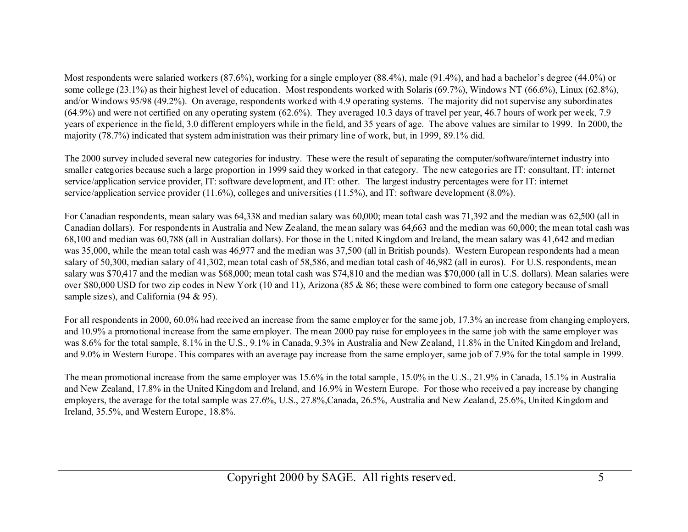Most respondents were salaried workers (87.6%), working for a single employer (88.4%), male (91.4%), and had a bachelor's degree (44.0%) or some college (23.1%) as their highest level of education. Most respondents worked with Solaris (69.7%), Windows NT (66.6%), Linux (62.8%), and/or Windows 95/98 (49.2%). On average, respondents worked with 4.9 operating systems. The majority did not supervise any subordinates (64.9%) and were not certified on any operating system (62.6%). They averaged 10.3 days of travel per year, 46.7 hours of work per week, 7.9 years of experience in the field, 3.0 different employers while in the field, and 35 years of age. The above values are similar to 1999. In 2000, the majority (78.7%) indicated that system administration was their primary line of work, but, in 1999, 89.1% did.

The 2000 survey included several new categories for industry. These were the result of separating the computer/software/internet industry into smaller categories because such a large proportion in 1999 said they worked in that category. The new categories are IT: consultant, IT: internet service/application service provider, IT: software development, and IT: other. The largest industry percentages were for IT: internet service/application service provider (11.6%), colleges and universities (11.5%), and IT: software development (8.0%).

For Canadian respondents, mean salary was 64,338 and median salary was 60,000; mean total cash was 71,392 and the median was 62,500 (all in Canadian dollars). For respondents in Australia and New Zealand, the mean salary was 64,663 and the median was 60,000; the mean total cash was 68,100 and median was 60,788 (all in Australian dollars). For those in the United Kingdom and Ireland, the mean salary was 41,642 and median was 35,000, while the mean total cash was 46,977 and the median was 37,500 (all in British pounds). Western European respondents had a mean salary of 50,300, median salary of 41,302, mean total cash of 58,586, and median total cash of 46,982 (all in euros). For U.S. respondents, mean salary was \$70,417 and the median was \$68,000; mean total cash was \$74,810 and the median was \$70,000 (all in U.S. dollars). Mean salaries were over \$80,000 USD for two zip codes in New York (10 and 11), Arizona (85 & 86; these were combined to form one category because of small sample sizes), and California (94 & 95).

For all respondents in 2000, 60.0% had received an increase from the same employer for the same job, 17.3% an increase from changing employers, and 10.9% a promotional increase from the same employer. The mean 2000 pay raise for employees in the same job with the same employer was was 8.6% for the total sample, 8.1% in the U.S., 9.1% in Canada, 9.3% in Australia and New Zealand, 11.8% in the United Kingdom and Ireland, and 9.0% in Western Europe. This compares with an average pay increase from the same employer, same job of 7.9% for the total sample in 1999.

The mean promotional increase from the same employer was 15.6% in the total sample, 15.0% in the U.S., 21.9% in Canada, 15.1% in Australia and New Zealand, 17.8% in the United Kingdom and Ireland, and 16.9% in Western Europe. For those who received a pay increase by changing employers, the average for the total sample was 27.6%, U.S., 27.8%,Canada, 26.5%, Australia and New Zealand, 25.6%, United Kingdom and Ireland, 35.5%, and Western Europe, 18.8%.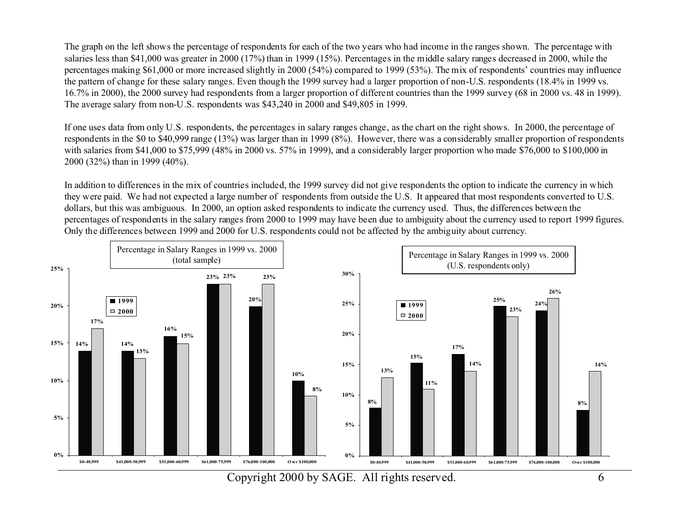The graph on the left shows the percentage of respondents for each of the two years who had income in the ranges shown. The percentage with salaries less than \$41,000 was greater in 2000 (17%) than in 1999 (15%). Percentages in the middle salary ranges decreased in 2000, while the percentages making \$61,000 or more increased slightly in 2000 (54%) compared to 1999 (53%). The mix of respondents' countries may influence the pattern of change for these salary ranges. Even though the 1999 survey had a larger proportion of non-U.S. respondents (18.4% in 1999 vs. 16.7% in 2000), the 2000 survey had respondents from a larger proportion of different countries than the 1999 survey (68 in 2000 vs. 48 in 1999). The average salary from non-U.S. respondents was \$43,240 in 2000 and \$49,805 in 1999.

If one uses data from only U.S. respondents, the percentages in salary ranges change, as the chart on the right shows. In 2000, the percentage of respondents in the \$0 to \$40,999 range (13%) was larger than in 1999 (8%). However, there was a considerably smaller proportion of respondents with salaries from \$41,000 to \$75,999 (48% in 2000 vs. 57% in 1999), and a considerably larger proportion who made \$76,000 to \$100,000 in 2000 (32%) than in 1999 (40%).

In addition to differences in the mix of countries included, the 1999 survey did not give respondents the option to indicate the currency in which they were paid. We had not expected a large number of respondents from outside the U.S. It appeared that most respondents converted to U.S. dollars, but this was ambiguous. In 2000, an option asked respondents to indicate the currency used. Thus, the differences between the percentages of respondents in the salary ranges from 2000 to 1999 may have been due to ambiguity about the currency used to report 1999 figures. Only the differences between 1999 and 2000 for U.S. respondents could not be affected by the ambiguity about currency.

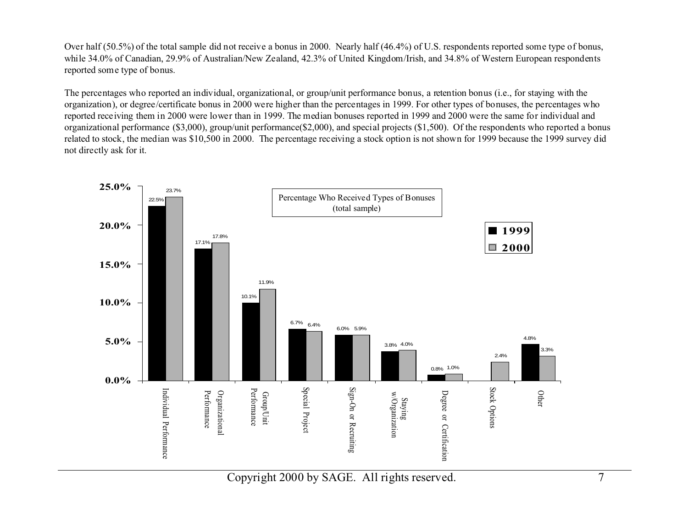Over half (50.5%) of the total sample did not receive a bonus in 2000. Nearly half (46.4%) of U.S. respondents reported some type of bonus, while 34.0% of Canadian, 29.9% of Australian/New Zealand, 42.3% of United Kingdom/Irish, and 34.8% of Western European respondents reported some type of bonus.

The percentages who reported an individual, organizational, or group/unit performance bonus, a retention bonus (i.e., for staying with the organization), or degree/certificate bonus in 2000 were higher than the percentages in 1999. For other types of bonuses, the percentages who reported receiving them in 2000 were lower than in 1999. The median bonuses reported in 1999 and 2000 were the same for individual and organizational performance (\$3,000), group/unit performance(\$2,000), and special projects (\$1,500). Of the respondents who reported a bonus related to stock, the median was \$10,500 in 2000. The percentage receiving a stock option is not shown for 1999 because the 1999 survey did not directly ask for it.



Copyright 2000 by SAGE. All rights reserved. 7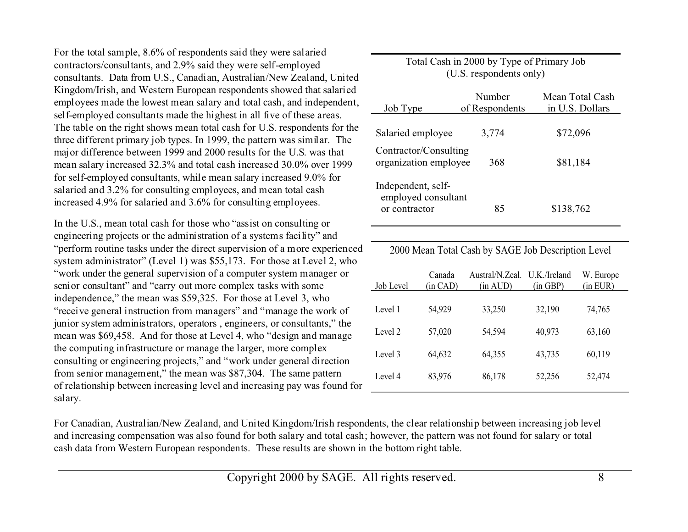For the total sample, 8.6% of respondents said they were salaried contractors/consultants, and 2.9% said they were self-employed consultants. Data from U.S., Canadian, Australian/New Zealand, United Kingdom/Irish, and Western European respondents showed that salaried employees made the lowest mean salary and total cash, and independent, self-employed consultants made the highest in all five of these areas. The table on the right shows mean total cash for U.S. respondents for the three different primary job types. In 1999, the pattern was similar. The major difference between 1999 and 2000 results for the U.S. was that mean salary increased 32.3% and total cash increased 30.0% over 1999 for self-employed consultants, while mean salary increased 9.0% for salaried and 3.2% for consulting employees, and mean total cash increased 4.9% for salaried and 3.6% for consulting employees.

In the U.S., mean total cash for those who "assist on consulting or engineering projects or the administration of a systems facility" and "perform routine tasks under the direct supervision of a more experienced system administrator" (Level 1) was \$55,173. For those at Level 2, who "work under the general supervision of a computer system manager or senior consultant" and "carry out more complex tasks with some independence," the mean was \$59,325. For those at Level 3, who "receive general instruction from managers" and "manage the work of junior system administrators, operators , engineers, or consultants," the mean was \$69,458. And for those at Level 4, who "design and manage the computing infrastructure or manage the larger, more complex consulting or engineering projects," and "work under general direction from senior management," the mean was \$87,304. The same pattern of relationship between increasing level and increasing pay was found for salary.

| Job Type                                                   | Number<br>of Respondents | Mean Total Cash<br>in U.S. Dollars |
|------------------------------------------------------------|--------------------------|------------------------------------|
| Salaried employee                                          | 3,774                    | \$72,096                           |
| Contractor/Consulting<br>organization employee             | 368                      | \$81,184                           |
| Independent, self-<br>employed consultant<br>or contractor | 85                       | \$138,762                          |

Total Cash in 2000 by Type of Primary Job (U.S. respondents only)

2000 Mean Total Cash by SAGE Job Description Level

| Canada<br>(in CAD) | Austral/N.Zeal.<br>(in AUD) | U.K./Ireland<br>(in GBP) | W. Europe<br>(in EUR) |
|--------------------|-----------------------------|--------------------------|-----------------------|
| 54,929             | 33,250                      | 32,190                   | 74,765                |
| 57,020             | 54,594                      | 40,973                   | 63,160                |
| 64,632             | 64,355                      | 43,735                   | 60,119                |
| 83,976             | 86,178                      | 52,256                   | 52,474                |
|                    |                             |                          |                       |

For Canadian, Australian/New Zealand, and United Kingdom/Irish respondents, the clear relationship between increasing job level and increasing compensation was also found for both salary and total cash; however, the pattern was not found for salary or total cash data from Western European respondents. These results are shown in the bottom right table.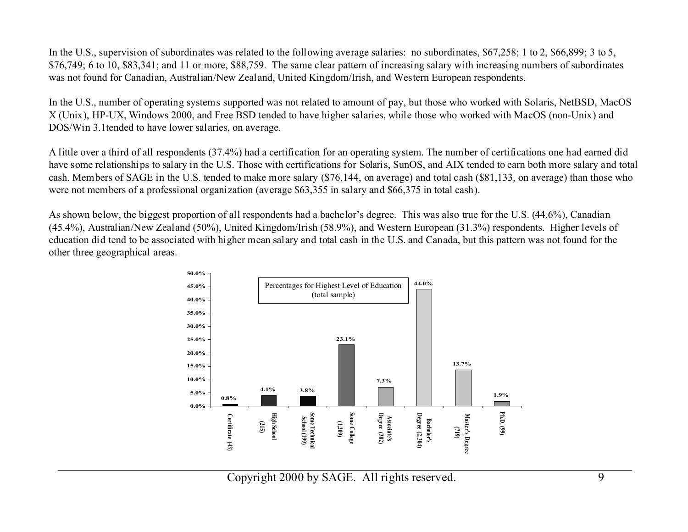In the U.S., supervision of subordinates was related to the following average salaries: no subordinates, \$67,258; 1 to 2, \$66,899; 3 to 5, \$76,749; 6 to 10, \$83,341; and 11 or more, \$88,759. The same clear pattern of increasing salary with increasing numbers of subordinates was not found for Canadian, Australian/New Zealand, United Kingdom/Irish, and Western European respondents.

In the U.S., number of operating systems supported was not related to amount of pay, but those who worked with Solaris, NetBSD, MacOS X (Unix), HP-UX, Windows 2000, and Free BSD tended to have higher salaries, while those who worked with MacOS (non-Unix) and DOS/Win 3.1tended to have lower salaries, on average.

A little over a third of all respondents (37.4%) had a certification for an operating system. The number of certifications one had earned did have some relationships to salary in the U.S. Those with certifications for Solaris, SunOS, and AIX tended to earn both more salary and total cash. Members of SAGE in the U.S. tended to make more salary (\$76,144, on average) and total cash (\$81,133, on average) than those who were not members of a professional organization (average \$63,355 in salary and \$66,375 in total cash).

As shown below, the biggest proportion of all respondents had a bachelor's degree. This was also true for the U.S. (44.6%), Canadian (45.4%), Australian/New Zealand (50%), United Kingdom/Irish (58.9%), and Western European (31.3%) respondents. Higher levels of education did tend to be associated with higher mean salary and total cash in the U.S. and Canada, but this pattern was not found for the other three geographical areas.

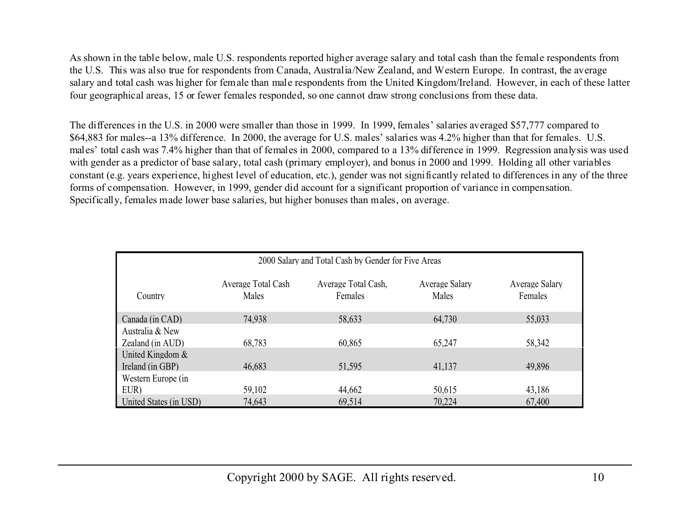As shown in the table below, male U.S. respondents reported higher average salary and total cash than the female respondents from the U.S. This was also true for respondents from Canada, Australia/New Zealand, and Western Europe. In contrast, the average salary and total cash was higher for female than male respondents from the United Kingdom/Ireland. However, in each of these latter four geographical areas, 15 or fewer females responded, so one cannot draw strong conclusions from these data.

The differences in the U.S. in 2000 were smaller than those in 1999. In 1999, females' salaries averaged \$57,777 compared to \$64,883 for males--a 13% difference. In 2000, the average for U.S. males' salaries was 4.2% higher than that for females. U.S. males' total cash was 7.4% higher than that of females in 2000, compared to a 13% difference in 1999. Regression analysis was used with gender as a predictor of base salary, total cash (primary employer), and bonus in 2000 and 1999. Holding all other variables constant (e.g. years experience, highest level of education, etc.), gender was not significantly related to differences in any of the three forms of compensation. However, in 1999, gender did account for a significant proportion of variance in compensation. Specifically, females made lower base salaries, but higher bonuses than males, on average.

| 2000 Salary and Total Cash by Gender for Five Areas |                             |                                |                         |                           |
|-----------------------------------------------------|-----------------------------|--------------------------------|-------------------------|---------------------------|
| Country                                             | Average Total Cash<br>Males | Average Total Cash,<br>Females | Average Salary<br>Males | Average Salary<br>Females |
| Canada (in CAD)                                     | 74,938                      | 58,633                         | 64.730                  | 55,033                    |
| Australia & New                                     |                             |                                |                         |                           |
| Zealand (in AUD)                                    | 68,783                      | 60,865                         | 65,247                  | 58,342                    |
| United Kingdom $&$                                  |                             |                                |                         |                           |
| Ireland (in GBP)                                    | 46,683                      | 51,595                         | 41,137                  | 49,896                    |
| Western Europe (in                                  |                             |                                |                         |                           |
| EUR)                                                | 59,102                      | 44,662                         | 50,615                  | 43,186                    |
| United States (in USD)                              | 74,643                      | 69,514                         | 70,224                  | 67,400                    |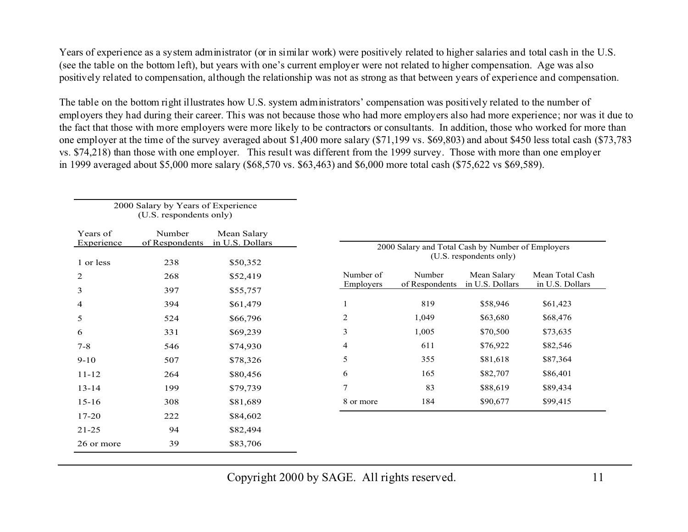Years of experience as a system administrator (or in similar work) were positively related to higher salaries and total cash in the U.S. (see the table on the bottom left), but years with one's current employer were not related to higher compensation. Age was also positively related to compensation, although the relationship was not as strong as that between years of experience and compensation.

The table on the bottom right illustrates how U.S. system administrators' compensation was positively related to the number of employers they had during their career. This was not because those who had more employers also had more experience; nor was it due to the fact that those with more employers were more likely to be contractors or consultants. In addition, those who worked for more than one employer at the time of the survey averaged about \$1,400 more salary (\$71,199 vs. \$69,803) and about \$450 less total cash (\$73,783 vs. \$74,218) than those with one employer. This result was different from the 1999 survey. Those with more than one employer in 1999 averaged about \$5,000 more salary (\$68,570 vs. \$63,463) and \$6,000 more total cash (\$75,622 vs \$69,589).

|                        | 2000 Salary by Years of Experience<br>(U.S. respondents only) |                                |                                                                              |
|------------------------|---------------------------------------------------------------|--------------------------------|------------------------------------------------------------------------------|
| Years of<br>Experience | Number<br>of Respondents                                      | Mean Salary<br>in U.S. Dollars | 2000 Salary and Total Cash by Number of Employers<br>(U.S. respondents only) |
| 1 or less              | 238                                                           | \$50,352                       |                                                                              |
| 2                      | 268                                                           | \$52,419                       | Number of<br>Number<br>Mean Salary<br>Mean Total Cash                        |
| 3                      | 397                                                           | \$55,757                       | in U.S. Dollars<br>in U.S. Dollars<br>Employers<br>of Respondents            |
| 4                      | 394                                                           | \$61,479                       | 819<br>\$58,946<br>\$61,423                                                  |
| 5                      | 524                                                           | \$66,796                       | 2<br>\$63,680<br>1,049<br>\$68,476                                           |
| 6                      | 331                                                           | \$69,239                       | 3<br>1,005<br>\$70,500<br>\$73,635                                           |
| $7 - 8$                | 546                                                           | \$74,930                       | 611<br>4<br>\$76,922<br>\$82,546                                             |
| $9 - 10$               | 507                                                           | \$78,326                       | 5<br>355<br>\$81,618<br>\$87,364                                             |
| $11 - 12$              | 264                                                           | \$80,456                       | 165<br>\$82,707<br>\$86,401<br>6                                             |
| $13 - 14$              | 199                                                           | \$79,739                       | $\tau$<br>83<br>\$88,619<br>\$89,434                                         |
| $15 - 16$              | 308                                                           | \$81,689                       | 184<br>\$90,677<br>\$99,415<br>8 or more                                     |
| 17-20                  | 222                                                           | \$84,602                       |                                                                              |
| $21 - 25$              | 94                                                            | \$82,494                       |                                                                              |
| 26 or more             | 39                                                            | \$83,706                       |                                                                              |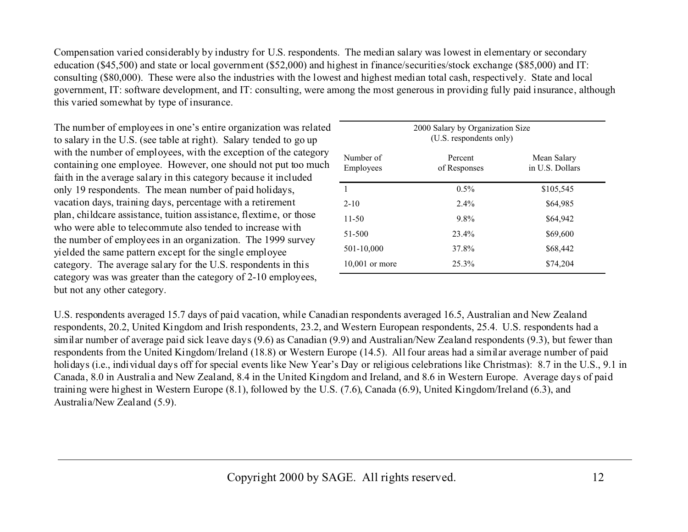Compensation varied considerably by industry for U.S. respondents. The median salary was lowest in elementary or secondary education (\$45,500) and state or local government (\$52,000) and highest in finance/securities/stock exchange (\$85,000) and IT: consulting (\$80,000). These were also the industries with the lowest and highest median total cash, respectively. State and local government, IT: software development, and IT: consulting, were among the most generous in providing fully paid insurance, although this varied somewhat by type of insurance.

The number of employees in one's entire organization was related to salary in the U.S. (see table at right). Salary tended to go up with the number of employees, with the exception of the category containing one employee. However, one should not put too much faith in the average salary in this category because it included only 19 respondents. The mean number of paid holidays, vacation days, training days, percentage with a retirement plan, childcare assistance, tuition assistance, flextime, or those who were able to telecommute also tended to increase withthe number of employees in an organization. The 1999 survey yielded the same pattern except for the single employee category. The average salary for the U.S. respondents in this category was was greater than the category of 2-10 employees, but not any other category.

|                        | 2000 Salary by Organization Size<br>(U.S. respondents only) |                                |
|------------------------|-------------------------------------------------------------|--------------------------------|
| Number of<br>Employees | Percent<br>of Responses                                     | Mean Salary<br>in U.S. Dollars |
| 1                      | $0.5\%$                                                     | \$105,545                      |
| $2 - 10$               | $2.4\%$                                                     | \$64,985                       |
| $11 - 50$              | $9.8\%$                                                     | \$64,942                       |
| 51-500                 | 23.4%                                                       | \$69,600                       |
| 501-10,000             | 37.8%                                                       | \$68,442                       |
| $10,001$ or more       | 25.3%                                                       | \$74,204                       |

U.S. respondents averaged 15.7 days of paid vacation, while Canadian respondents averaged 16.5, Australian and New Zealand respondents, 20.2, United Kingdom and Irish respondents, 23.2, and Western European respondents, 25.4. U.S. respondents had a similar number of average paid sick leave days (9.6) as Canadian (9.9) and Australian/New Zealand respondents (9.3), but fewer than respondents from the United Kingdom/Ireland (18.8) or Western Europe (14.5). All four areas had a similar average number of paid holidays (i.e., individual days off for special events like New Year's Day or religious celebrations like Christmas): 8.7 in the U.S., 9.1 in Canada, 8.0 in Australia and New Zealand, 8.4 in the United Kingdom and Ireland, and 8.6 in Western Europe. Average days of paid training were highest in Western Europe (8.1), followed by the U.S. (7.6), Canada (6.9), United Kingdom/Ireland (6.3), and Australia/New Zealand (5.9).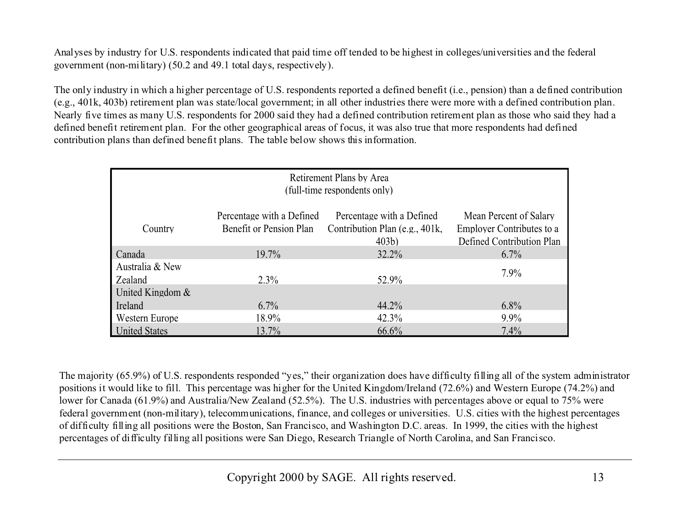Analyses by industry for U.S. respondents indicated that paid time off tended to be highest in colleges/universities and the federal government (non-military) (50.2 and 49.1 total days, respectively).

The only industry in which a higher percentage of U.S. respondents reported a defined benefit (i.e., pension) than a defined contribution (e.g., 401k, 403b) retirement plan was state/local government; in all other industries there were more with a defined contribution plan. Nearly five times as many U.S. respondents for 2000 said they had a defined contribution retirement plan as those who said they had a defined benefit retirement plan. For the other geographical areas of focus, it was also true that more respondents had defined contribution plans than defined benefit plans. The table below shows this information.

| Retirement Plans by Area<br>(full-time respondents only)                                                                                                                                                                                      |          |          |         |  |  |  |
|-----------------------------------------------------------------------------------------------------------------------------------------------------------------------------------------------------------------------------------------------|----------|----------|---------|--|--|--|
| Percentage with a Defined<br>Percentage with a Defined<br>Mean Percent of Salary<br>Benefit or Pension Plan<br>Contribution Plan (e.g., 401k,<br><b>Employer Contributes to a</b><br>Country<br>Defined Contribution Plan<br>403 <sub>b</sub> |          |          |         |  |  |  |
| Canada                                                                                                                                                                                                                                        | $19.7\%$ | $32.2\%$ | $6.7\%$ |  |  |  |
| Australia & New<br>Zealand                                                                                                                                                                                                                    | $2.3\%$  | 52.9%    | $7.9\%$ |  |  |  |
| United Kingdom $&$                                                                                                                                                                                                                            |          |          |         |  |  |  |
| Ireland                                                                                                                                                                                                                                       | $6.7\%$  | 44.2%    | $6.8\%$ |  |  |  |
| Western Europe                                                                                                                                                                                                                                | 18.9%    | 42.3%    | $9.9\%$ |  |  |  |
| <b>United States</b>                                                                                                                                                                                                                          | 13.7%    | 66.6%    | 7.4%    |  |  |  |

The majority (65.9%) of U.S. respondents responded "yes," their organization does have difficulty filling all of the system administrator positions it would like to fill. This percentage was higher for the United Kingdom/Ireland (72.6%) and Western Europe (74.2%) and lower for Canada (61.9%) and Australia/New Zealand (52.5%). The U.S. industries with percentages above or equal to 75% were federal government (non-military), telecommunications, finance, and colleges or universities. U.S. cities with the highest percentages of difficulty filling all positions were the Boston, San Francisco, and Washington D.C. areas. In 1999, the cities with the highest percentages of difficulty filling all positions were San Diego, Research Triangle of North Carolina, and San Francisco.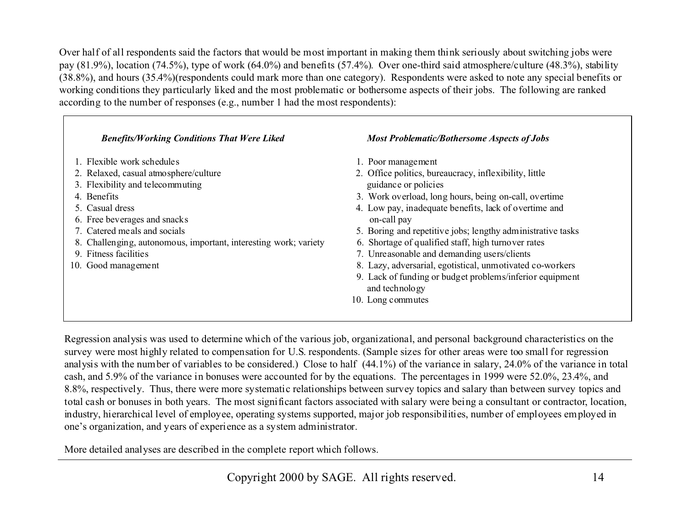Over half of all respondents said the factors that would be most important in making them think seriously about switching jobs were pay (81.9%), location (74.5%), type of work (64.0%) and benefits (57.4%). Over one-third said atmosphere/culture (48.3%), stability (38.8%), and hours (35.4%)(respondents could mark more than one category). Respondents were asked to note any special benefits or working conditions they particularly liked and the most problematic or bothersome aspects of their jobs. The following are ranked according to the number of responses (e.g., number 1 had the most respondents):

| <b>Benefits/Working Conditions That Were Liked</b>               | <b>Most Problematic/Bothersome Aspects of Jobs</b>                         |
|------------------------------------------------------------------|----------------------------------------------------------------------------|
| 1. Flexible work schedules                                       | 1. Poor management                                                         |
| 2. Relaxed, casual atmosphere/culture                            | 2. Office politics, bureaucracy, inflexibility, little                     |
| 3. Flexibility and telecommuting                                 | guidance or policies                                                       |
| 4. Benefits                                                      | 3. Work overload, long hours, being on-call, overtime                      |
| 5. Casual dress                                                  | 4. Low pay, inadequate benefits, lack of overtime and                      |
| 6. Free beverages and snacks                                     | on-call pay                                                                |
| 7. Catered meals and socials                                     | 5. Boring and repetitive jobs; lengthy administrative tasks                |
| 8. Challenging, autonomous, important, interesting work; variety | 6. Shortage of qualified staff, high turnover rates                        |
| 9. Fitness facilities                                            | 7. Unreasonable and demanding users/clients                                |
| 10. Good management                                              | 8. Lazy, adversarial, egotistical, unmotivated co-workers                  |
|                                                                  | 9. Lack of funding or budget problems/inferior equipment<br>and technology |
|                                                                  | 10. Long commutes                                                          |

Regression analysis was used to determine which of the various job, organizational, and personal background characteristics on the survey were most highly related to compensation for U.S. respondents. (Sample sizes for other areas were too small for regression analysis with the number of variables to be considered.) Close to half (44.1%) of the variance in salary, 24.0% of the variance in total cash, and 5.9% of the variance in bonuses were accounted for by the equations. The percentages in 1999 were 52.0%, 23.4%, and 8.8%, respectively. Thus, there were more systematic relationships between survey topics and salary than between survey topics and total cash or bonuses in both years. The most significant factors associated with salary were being a consultant or contractor, location, industry, hierarchical level of employee, operating systems supported, major job responsibilities, number of employees employed in one's organization, and years of experience as a system administrator.

More detailed analyses are described in the complete report which follows.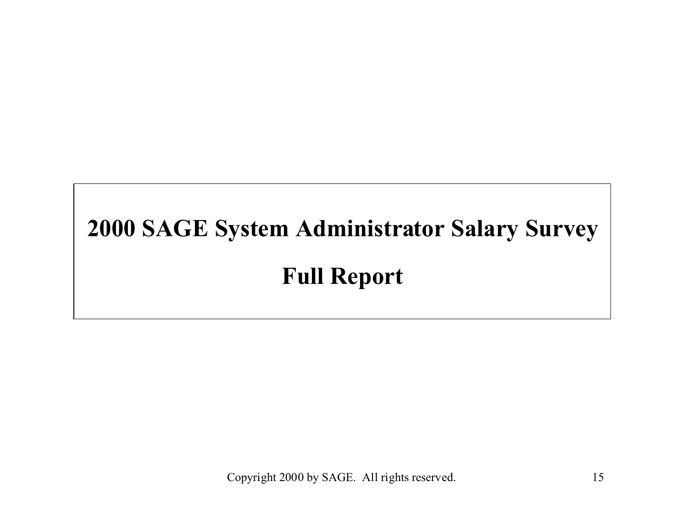# **2000 SAGE System Administrator Salary Survey Full Report**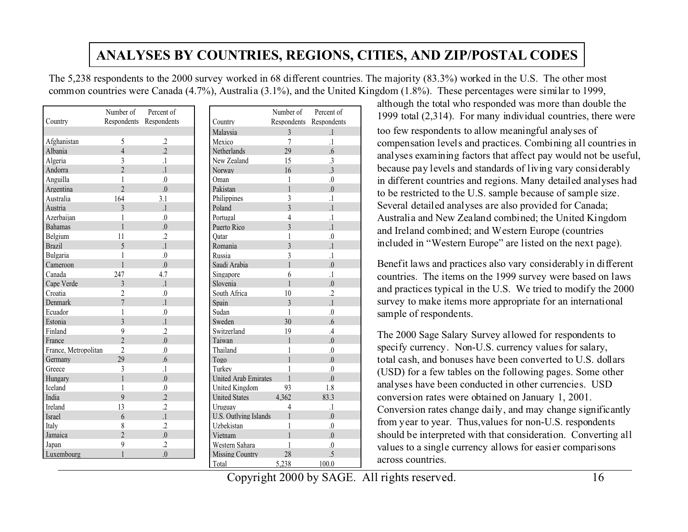## **ANALYSES BY COUNTRIES, REGIONS, CITIES, AND ZIP/POSTAL CODES**

The 5,238 respondents to the 2000 survey worked in 68 different countries. The majority (83.3%) worked in the U.S. The other most common countries were Canada (4.7%), Australia (3.1%), and the United Kingdom (1.8%). These percentages were similar to 1999,

|                      | Number of Percent of      |                         |
|----------------------|---------------------------|-------------------------|
| Country              |                           | Respondents Respondents |
|                      |                           |                         |
| Afghanistan          | 5                         | .2                      |
| Albania              | $\overline{4}$            | $\overline{.2}$         |
| Algeria              | 3                         | $\overline{1}$          |
| Andorra              | $\overline{2}$            | $\overline{1}$          |
| Anguilla             | 1                         | $\overline{0}$          |
| Argentina            | $\overline{\mathfrak{A}}$ | $\overline{0}$ .        |
| Australia            | 164                       | 3.1                     |
| Austria              | 3                         | $\cdot$                 |
| Azerbaijan           | 1                         | $\overline{0}$          |
| <b>Bahamas</b>       | $\mathbf{1}$              | $\overline{0}$ .        |
| Belgium              | 11                        | $\cdot$                 |
| <b>Brazil</b>        | 5                         | $\overline{1}$          |
| Bulgaria             | 1                         | $\overline{0}$          |
| Cameroon             | $\mathbf{1}$              | $\Omega$                |
| Canada               | 247                       | 4.7                     |
| Cape Verde           | 3                         | $\overline{1}$          |
| Croatia              | $\overline{2}$            | $\overline{0}$          |
| Denmark              | $\overline{7}$            | $\overline{1}$          |
| Ecuador              | 1                         | $\Omega$                |
| Estonia              | 3                         | $\overline{1}$          |
| Finland              | 9                         | $\cdot$                 |
| France               | $\overline{2}$            | 0.                      |
| France, Metropolitan | $\overline{2}$            | $\overline{0}$          |
| Germany              | 29                        | .6                      |
| Greece               | 3                         | $\cdot$                 |
| Hungary              | $\mathbf{1}$              | $\overline{0}$ .        |
| Iceland              | 1                         | $\overline{0}$          |
| India                | $\overline{9}$            | $\overline{2}$          |
| Ireland              | 13                        | .2                      |
| <b>Israel</b>        | 6                         | $\overline{1}$          |
| Italy                | 8                         | .2                      |
| Jamaica              | $\overline{2}$            | $\overline{0}$ .        |
| Japan                | 9                         | .2                      |
| Luxembourg           | 1                         | 0.                      |

|                              | Number of                | Percent of       |
|------------------------------|--------------------------|------------------|
| Country                      | Respondents              | Respondents      |
| Malaysia                     | $\overline{3}$           | $\overline{1}$   |
| Mexico                       | $\overline{7}$           | $\overline{1}$   |
| <b>Netherlands</b>           | 29                       | 6.6              |
| New Zealand                  | 15                       | 3                |
| Norway                       | 16                       | $\overline{3}$   |
| Oman                         | 1                        | $\Omega$         |
| Pakistan                     | 1                        | $\Omega$         |
| Philippines                  | 3                        | $\cdot$          |
| Poland                       | $\overline{\mathcal{E}}$ | $\overline{1}$   |
| Portugal                     | $\overline{4}$           | $\overline{1}$   |
| Puerto Rico                  | 3                        | $\overline{1}$   |
| Qatar                        | 1                        | $\Omega$         |
| Romania                      | $\overline{3}$           | $\overline{1}$   |
| Russia                       | 3                        | $\cdot$          |
| Saudi Arabia                 | 1                        | $\Omega$         |
| Singapore                    | 6                        | $\overline{1}$   |
| Slovenia                     | 1                        | $\Omega$         |
| South Africa                 | 10                       | $\cdot$          |
| Spain                        | 3                        | $\overline{1}$   |
| Sudan                        | 1                        | $\Omega$         |
| Sweden                       | 30                       | 6.6              |
| Switzerland                  | 19                       | $\mathcal{A}$    |
| Taiwan                       | 1                        | $\Omega$         |
| Thailand                     | 1                        | $\Omega$         |
| Togo                         | 1                        | $\Omega$         |
| Turkey                       | 1                        | $\overline{0}$   |
| <b>United Arab Emirates</b>  | $\mathbf{1}$             | $\Omega$         |
| <b>United Kingdom</b>        | 93                       | 1.8              |
| <b>United States</b>         | 4.362                    | 83.3             |
| Uruguay                      | 4                        | $\overline{1}$   |
| <b>U.S. Outlying Islands</b> | 1                        | $\overline{0}$ . |
| Uzbekistan                   | 1                        | 0                |
| Vietnam                      | $\mathbf{1}$             | $\Omega$         |
| Western Sahara               | 1                        | $\Omega$         |
| <b>Missing Country</b>       | 28                       | .5               |
| Total                        | 5,238                    | 100.0            |

although the total who responded was more than double the 1999 total  $(2,314)$ . For many individual countries, there were too few respondents to allow meaningful analyses of compensation levels and practices. Combining all countries in analyses examining factors that affect pay would not be useful, because pay levels and standards of living vary considerably in different countries and regions. Many detailed analyses had to be restricted to the U.S. sample because of sample size. Several detailed analyses are also provided for Canada; Australia and New Zealand combined; the United Kingdom and Ireland combined; and Western Europe (countries included in "Western Europe" are listed on the next page).

Benefit laws and practices also vary considerably in different countries. The items on the 1999 survey were based on laws and practices typical in the U.S. We tried to modify the 2000 survey to make items more appropriate for an international sample of respondents.

The 2000 Sage Salary Survey allowed for respondents to specify currency. Non-U.S. currency values for salary, total cash, and bonuses have been converted to U.S. dollars (USD) for a few tables on the following pages. Some other analyses have been conducted in other currencies. USD conversion rates were obtained on January 1, 2001. Conversion rates change daily, and may change significantly from year to year. Thus,values for non-U.S. respondents should be interpreted with that consideration. Converting all values to a single currency allows for easier comparisons across countries.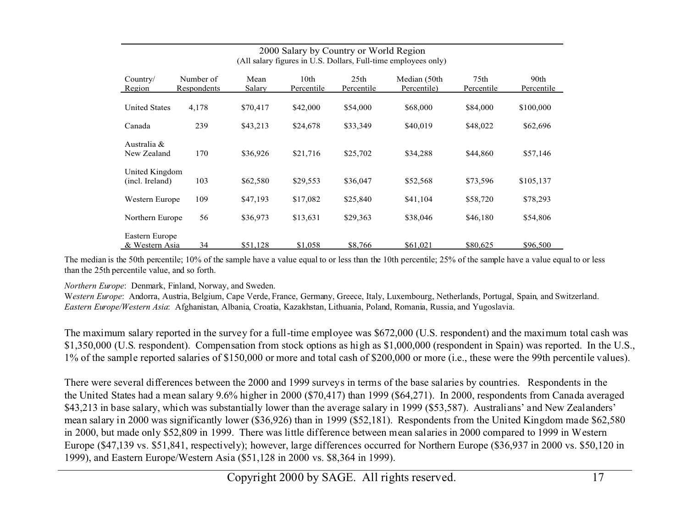|                                   |                          |                |                    |                                | (All salary lightes in $\cup$ ). Dollars, Full-three employees only $\overline{\phantom{a}}$ |                                |                    |
|-----------------------------------|--------------------------|----------------|--------------------|--------------------------------|----------------------------------------------------------------------------------------------|--------------------------------|--------------------|
| Country/<br>Region                | Number of<br>Respondents | Mean<br>Salary | 10th<br>Percentile | 25 <sub>th</sub><br>Percentile | Median (50th<br>Percentile)                                                                  | 75 <sub>th</sub><br>Percentile | 90th<br>Percentile |
| <b>United States</b>              | 4,178                    | \$70,417       | \$42,000           | \$54,000                       | \$68,000                                                                                     | \$84,000                       | \$100,000          |
| Canada                            | 239                      | \$43,213       | \$24,678           | \$33,349                       | \$40,019                                                                                     | \$48,022                       | \$62,696           |
| Australia &<br>New Zealand        | 170                      | \$36,926       | \$21,716           | \$25,702                       | \$34,288                                                                                     | \$44,860                       | \$57,146           |
| United Kingdom<br>(incl. Ireland) | 103                      | \$62,580       | \$29,553           | \$36,047                       | \$52,568                                                                                     | \$73,596                       | \$105,137          |
| Western Europe                    | 109                      | \$47,193       | \$17,082           | \$25,840                       | \$41,104                                                                                     | \$58,720                       | \$78,293           |
| Northern Europe                   | 56                       | \$36,973       | \$13,631           | \$29,363                       | \$38,046                                                                                     | \$46,180                       | \$54,806           |
| Eastern Europe<br>& Western Asia  | 34                       | \$51,128       | \$1,058            | \$8,766                        | \$61,021                                                                                     | \$80,625                       | \$96,500           |

#### 2000 Salary by Country or World Region  $(A)$ l salary figures in U.S. Dollars, Full-time employees only)

The median is the 50th percentile; 10% of the sample have a value equal to or less than the 10th percentile; 25% of the sample have a value equal to or less than the 25th percentile value, and so forth.

*Northern Europe*: Denmark, Finland, Norway, and Sweden.

W*estern Europe*: Andorra, Austria, Belgium, Cape Verde, France, Germany, Greece, Italy, Luxembourg, Netherlands, Portugal, Spain, and Switzerland. *Eastern Europe/Western Asia*: Afghanistan, Albania, Croatia, Kazakhstan, Lithuania, Poland, Romania, Russia, and Yugoslavia.

The maximum salary reported in the survey for a full-time employee was \$672,000 (U.S. respondent) and the maximum total cash was \$1,350,000 (U.S. respondent). Compensation from stock options as high as \$1,000,000 (respondent in Spain) was reported. In the U.S., 1% of the sample reported salaries of \$150,000 or more and total cash of \$200,000 or more (i.e., these were the 99th percentile values).

There were several differences between the 2000 and 1999 surveys in terms of the base salaries by countries. Respondents in the the United States had a mean salary 9.6% higher in 2000 (\$70,417) than 1999 (\$64,271). In 2000, respondents from Canada averaged \$43,213 in base salary, which was substantially lower than the average salary in 1999 (\$53,587). Australians' and New Zealanders' mean salary in 2000 was significantly lower (\$36,926) than in 1999 (\$52,181). Respondents from the United Kingdom made \$62,580 in 2000, but made only \$52,809 in 1999. There was little difference between mean salaries in 2000 compared to 1999 in Western Europe (\$47,139 vs. \$51,841, respectively); however, large differences occurred for Northern Europe (\$36,937 in 2000 vs. \$50,120 in 1999), and Eastern Europe/Western Asia (\$51,128 in 2000 vs. \$8,364 in 1999).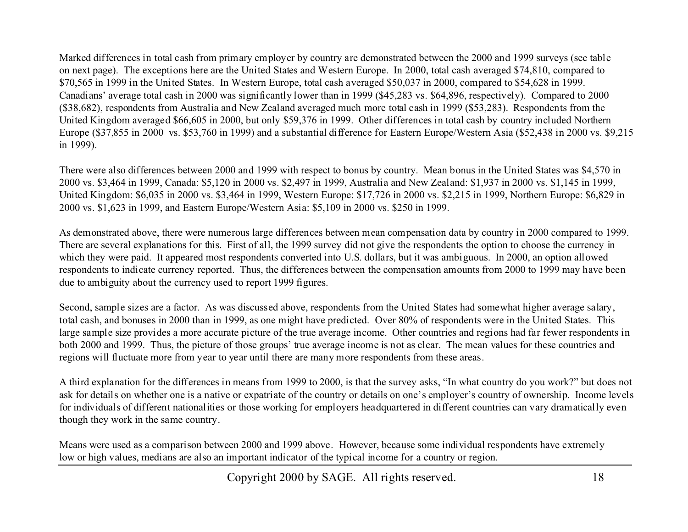Marked differences in total cash from primary employer by country are demonstrated between the 2000 and 1999 surveys (see table on next page). The exceptions here are the United States and Western Europe. In 2000, total cash averaged \$74,810, compared to \$70,565 in 1999 in the United States. In Western Europe, total cash averaged \$50,037 in 2000, compared to \$54,628 in 1999. Canadians' average total cash in 2000 was significantly lower than in 1999 (\$45,283 vs. \$64,896, respectively). Compared to 2000 (\$38,682), respondents from Australia and New Zealand averaged much more total cash in 1999 (\$53,283). Respondents from the United Kingdom averaged \$66,605 in 2000, but only \$59,376 in 1999. Other differences in total cash by country included Northern Europe (\$37,855 in 2000 vs. \$53,760 in 1999) and a substantial difference for Eastern Europe/Western Asia (\$52,438 in 2000 vs. \$9,215 in 1999).

There were also differences between 2000 and 1999 with respect to bonus by country. Mean bonus in the United States was \$4,570 in 2000 vs. \$3,464 in 1999, Canada: \$5,120 in 2000 vs. \$2,497 in 1999, Australia and New Zealand: \$1,937 in 2000 vs. \$1,145 in 1999, United Kingdom: \$6,035 in 2000 vs. \$3,464 in 1999, Western Europe: \$17,726 in 2000 vs. \$2,215 in 1999, Northern Europe: \$6,829 in 2000 vs. \$1,623 in 1999, and Eastern Europe/Western Asia: \$5,109 in 2000 vs. \$250 in 1999.

As demonstrated above, there were numerous large differences between mean compensation data by country in 2000 compared to 1999. There are several explanations for this. First of all, the 1999 survey did not give the respondents the option to choose the currency in which they were paid. It appeared most respondents converted into U.S. dollars, but it was ambiguous. In 2000, an option allowed respondents to indicate currency reported. Thus, the differences between the compensation amounts from 2000 to 1999 may have been due to ambiguity about the currency used to report 1999 figures.

Second, sample sizes are a factor. As was discussed above, respondents from the United States had somewhat higher average salary, total cash, and bonuses in 2000 than in 1999, as one might have predicted. Over 80% of respondents were in the United States. This large sample size provides a more accurate picture of the true average income. Other countries and regions had far fewer respondents in both 2000 and 1999. Thus, the picture of those groups' true average income is not as clear. The mean values for these countries and regions will fluctuate more from year to year until there are many more respondents from these areas.

A third explanation for the differences in means from 1999 to 2000, is that the survey asks, "In what country do you work?" but does not ask for details on whether one is a native or expatriate of the country or details on one's employer's country of ownership. Income levels for individuals of different nationalities or those working for employers headquartered in different countries can vary dramatically even though they work in the same country.

Means were used as a comparison between 2000 and 1999 above. However, because some individual respondents have extremely low or high values, medians are also an important indicator of the typical income for a country or region.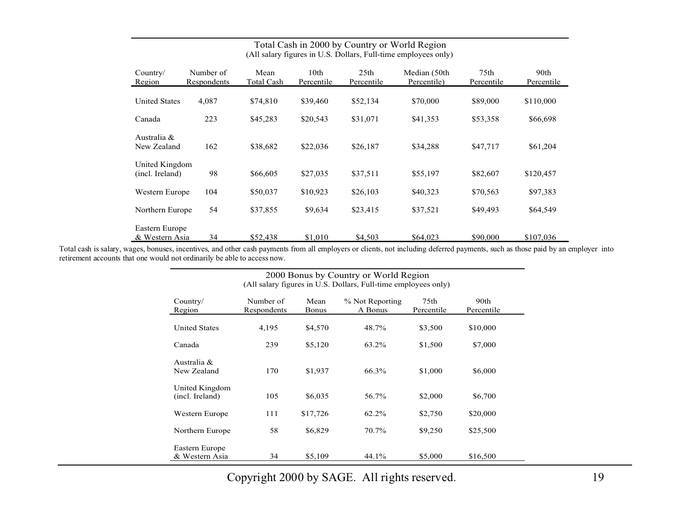| Total Cash in 2000 by Country or World Region<br>(All salary figures in U.S. Dollars, Full-time employees only) |                          |                           |                    |                                |                             |                                |                    |
|-----------------------------------------------------------------------------------------------------------------|--------------------------|---------------------------|--------------------|--------------------------------|-----------------------------|--------------------------------|--------------------|
| Country/<br>Region                                                                                              | Number of<br>Respondents | Mean<br><b>Total Cash</b> | 10th<br>Percentile | 25 <sub>th</sub><br>Percentile | Median (50th<br>Percentile) | 75 <sub>th</sub><br>Percentile | 90th<br>Percentile |
| <b>United States</b>                                                                                            | 4,087                    | \$74,810                  | \$39,460           | \$52,134                       | \$70,000                    | \$89,000                       | \$110,000          |
| Canada                                                                                                          | 223                      | \$45,283                  | \$20,543           | \$31,071                       | \$41,353                    | \$53,358                       | \$66,698           |
| Australia &<br>New Zealand                                                                                      | 162                      | \$38,682                  | \$22,036           | \$26,187                       | \$34,288                    | \$47,717                       | \$61,204           |
| United Kingdom<br>(incl. Ireland)                                                                               | 98                       | \$66,605                  | \$27,035           | \$37,511                       | \$55,197                    | \$82,607                       | \$120,457          |
| Western Europe                                                                                                  | 104                      | \$50,037                  | \$10,923           | \$26,103                       | \$40,323                    | \$70,563                       | \$97,383           |
| Northern Europe                                                                                                 | 54                       | \$37,855                  | \$9,634            | \$23,415                       | \$37,521                    | \$49,493                       | \$64,549           |
| Eastern Europe<br>& Western Asia                                                                                | 34                       | \$52,438                  | \$1,010            | \$4,503                        | \$64,023                    | \$90,000                       | \$107,036          |

## Total Cash in 2000 by Country or World Regio

Total cash is salary, wages, bonuses, incentives, and other cash payments from all employers or clients, not including deferred payments, such as those paid by an employer into retirement accounts that one would not ordinarily be able to access now.

|                                   | (All salary figures in $U.S.$ Dollars, Full-time employees only) |                      |                            |                                |                    |  |  |
|-----------------------------------|------------------------------------------------------------------|----------------------|----------------------------|--------------------------------|--------------------|--|--|
| Country/<br>Region                | Number of<br>Respondents                                         | Mean<br><b>Bonus</b> | % Not Reporting<br>A Bonus | 75 <sub>th</sub><br>Percentile | 90th<br>Percentile |  |  |
| <b>United States</b>              | 4,195                                                            | \$4,570              | 48.7%                      | \$3,500                        | \$10,000           |  |  |
| Canada                            | 239                                                              | \$5,120              | 63.2%                      | \$1,500                        | \$7,000            |  |  |
| Australia &<br>New Zealand        | 170                                                              | \$1,937              | 66.3%                      | \$1,000                        | \$6,000            |  |  |
| United Kingdom<br>(incl. Ireland) | 105                                                              | \$6,035              | 56.7%                      | \$2,000                        | \$6,700            |  |  |
| Western Europe                    | 111                                                              | \$17,726             | 62.2%                      | \$2,750                        | \$20,000           |  |  |
| Northern Europe                   | 58                                                               | \$6,829              | 70.7%                      | \$9,250                        | \$25,500           |  |  |
| Eastern Europe<br>& Western Asia  | 34                                                               | \$5,109              | 44.1%                      | \$5,000                        | \$16,500           |  |  |

2000 Bonus by Country or World Region (All salary figures in U.S. Dollars, Full-time employees only)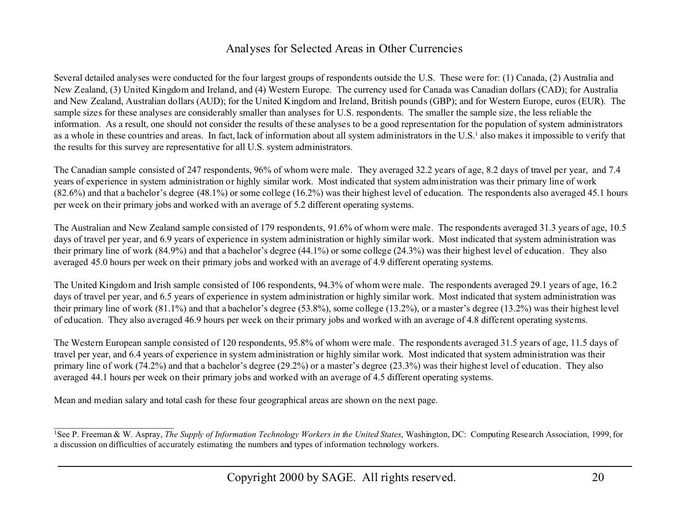#### Analyses for Selected Areas in Other Currencies

Several detailed analyses were conducted for the four largest groups of respondents outside the U.S. These were for: (1) Canada, (2) Australia and New Zealand, (3) United Kingdom and Ireland, and (4) Western Europe. The currency used for Canada was Canadian dollars (CAD); for Australia and New Zealand, Australian dollars (AUD); for the United Kingdom and Ireland, British pounds (GBP); and for Western Europe, euros (EUR). The sample sizes for these analyses are considerably smaller than analyses for U.S. respondents. The smaller the sample size, the less reliable the information. As a result, one should not consider the results of these analyses to be a good representation for the population of system administrators as a whole in these countries and areas. In fact, lack of information about all system administrators in the U.S.<sup>1</sup> also makes it impossible to verify that the results for this survey are representative for all U.S. system administrators.

The Canadian sample consisted of 247 respondents, 96% of whom were male. They averaged 32.2 years of age, 8.2 days of travel per year, and 7.4 years of experience in system administration or highly similar work. Most indicated that system administration was their primary line of work (82.6%) and that a bachelor's degree (48.1%) or some college (16.2%) was their highest level of education. The respondents also averaged 45.1 hours per week on their primary jobs and worked with an average of 5.2 different operating systems.

The Australian and New Zealand sample consisted of 179 respondents, 91.6% of whom were male. The respondents averaged 31.3 years of age, 10.5 days of travel per year, and 6.9 years of experience in system administration or highly similar work. Most indicated that system administration was their primary line of work (84.9%) and that a bachelor's degree (44.1%) or some college (24.3%) was their highest level of education. They also averaged 45.0 hours per week on their primary jobs and worked with an average of 4.9 different operating systems.

The United Kingdom and Irish sample consisted of 106 respondents, 94.3% of whom were male. The respondents averaged 29.1 years of age, 16.2 days of travel per year, and 6.5 years of experience in system administration or highly similar work. Most indicated that system administration was their primary line of work (81.1%) and that a bachelor's degree (53.8%), some college (13.2%), or a master's degree (13.2%) was their highest level of education. They also averaged 46.9 hours per week on their primary jobs and worked with an average of 4.8 different operating systems.

The Western European sample consisted of 120 respondents, 95.8% of whom were male. The respondents averaged 31.5 years of age, 11.5 days of travel per year, and 6.4 years of experience in system administration or highly similar work. Most indicated that system administration was their primary line of work (74.2%) and that a bachelor's degree (29.2%) or a master's degree (23.3%) was their highest level of education. They also averaged 44.1 hours per week on their primary jobs and worked with an average of 4.5 different operating systems.

Mean and median salary and total cash for these four geographical areas are shown on the next page.

<sup>&</sup>lt;sup>1</sup>See P. Freeman & W. Aspray, *The Supply of Information Technology Workers in the United States*, Washington, DC: Computing Research Association, 1999, for a discussion on difficulties of accurately estimating the numbers and types of information technology workers.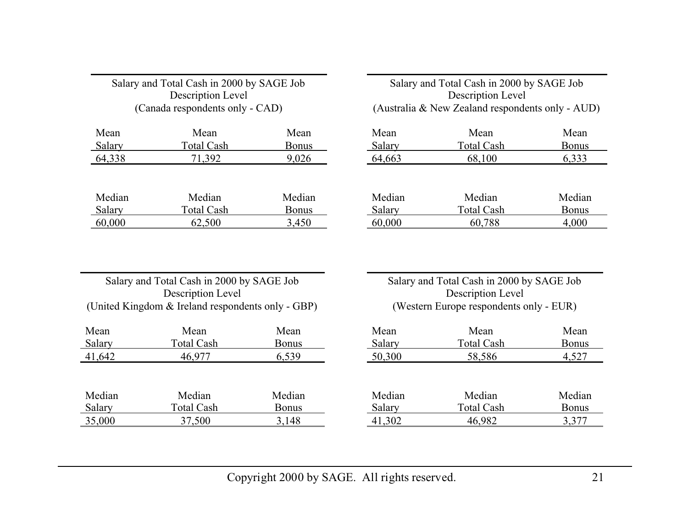| Description Level<br>(Canada respondents only - CAD) |                   |              |  |  |  |  |  |
|------------------------------------------------------|-------------------|--------------|--|--|--|--|--|
| Mean                                                 | Mean              | Mean         |  |  |  |  |  |
| Salary                                               | <b>Total Cash</b> | <b>Bonus</b> |  |  |  |  |  |
| 64,338                                               | 71,392            | 9,026        |  |  |  |  |  |
|                                                      |                   |              |  |  |  |  |  |
| Median                                               | Median            | Median       |  |  |  |  |  |
| Salary                                               | <b>Total Cash</b> | <b>Bonus</b> |  |  |  |  |  |
| 60,000                                               | 62,500            | 3,450        |  |  |  |  |  |

Salary and Total Cash in 2000 by SAGE Job Description Level (Australia & New Zealand respondents only - AUD)

| Mean   | Mean              | Mean         |
|--------|-------------------|--------------|
| Salary | <b>Total Cash</b> | <b>Bonus</b> |
| 64,663 | 68,100            | 6,333        |

| Median | Median            | Median       |
|--------|-------------------|--------------|
| Salary | <b>Total Cash</b> | <b>Bonus</b> |
| 60,000 | 60,788            | 4,000        |

#### Salary and Total Cash in 2000 by SAGE Job Description Level (United Kingdom & Ireland respondents only - GBP)

| Mean   | Mean              | Mean         |
|--------|-------------------|--------------|
| Salary | <b>Total Cash</b> | <b>Bonus</b> |
| 41,642 | 46,977            | 6,539        |
|        |                   |              |
|        |                   |              |
| Median | Median            | Median       |
| Salary | <b>Total Cash</b> | <b>Bonus</b> |
| 35,000 | 37,500            | 3,148        |

Salary and Total Cash in 2000 by SAGE Job Description Level (Western Europe respondents only - EUR)

| Mean          | Mean              | Mean         |
|---------------|-------------------|--------------|
| <b>Salary</b> | <b>Total Cash</b> | <b>Bonus</b> |
| 50,300        | 58,586            | 4,527        |
|               |                   |              |
|               |                   |              |
| Median        | Median            | Median       |
| Salary        | <b>Total Cash</b> | <b>Bonus</b> |
| 41,302        | 46.982            | 3,377        |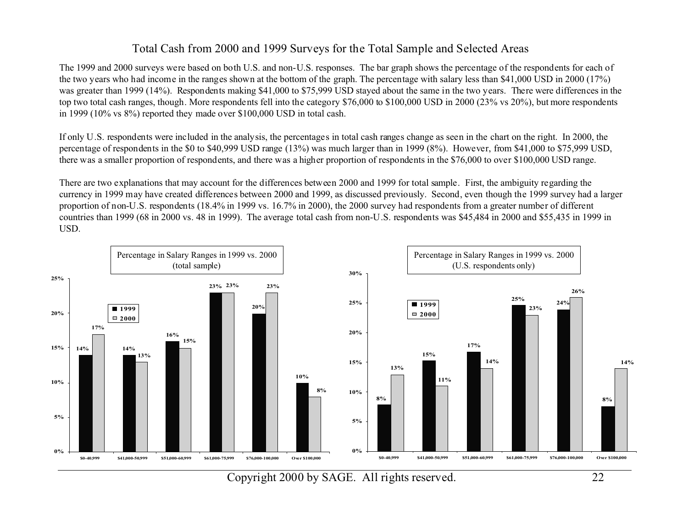#### Total Cash from 2000 and 1999 Surveys for the Total Sample and Selected Areas

The 1999 and 2000 surveys were based on both U.S. and non-U.S. responses. The bar graph shows the percentage of the respondents for each of the two years who had income in the ranges shown at the bottom of the graph. The percentage with salary less than \$41,000 USD in 2000 (17%) was greater than 1999 (14%). Respondents making \$41,000 to \$75,999 USD stayed about the same in the two years. There were differences in the top two total cash ranges, though. More respondents fell into the category \$76,000 to \$100,000 USD in 2000 (23% vs 20%), but more respondents in 1999 (10% vs 8%) reported they made over \$100,000 USD in total cash.

If only U.S. respondents were included in the analysis, the percentages in total cash ranges change as seen in the chart on the right. In 2000, the percentage of respondents in the \$0 to \$40,999 USD range (13%) was much larger than in 1999 (8%). However, from \$41,000 to \$75,999 USD, there was a smaller proportion of respondents, and there was a higher proportion of respondents in the \$76,000 to over \$100,000 USD range.

There are two explanations that may account for the differences between 2000 and 1999 for total sample. First, the ambiguity regarding the currency in 1999 may have created differences between 2000 and 1999, as discussed previously. Second, even though the 1999 survey had a larger proportion of non-U.S. respondents (18.4% in 1999 vs. 16.7% in 2000), the 2000 survey had respondents from a greater number of different countries than 1999 (68 in 2000 vs. 48 in 1999). The average total cash from non-U.S. respondents was \$45,484 in 2000 and \$55,435 in 1999 in USD.

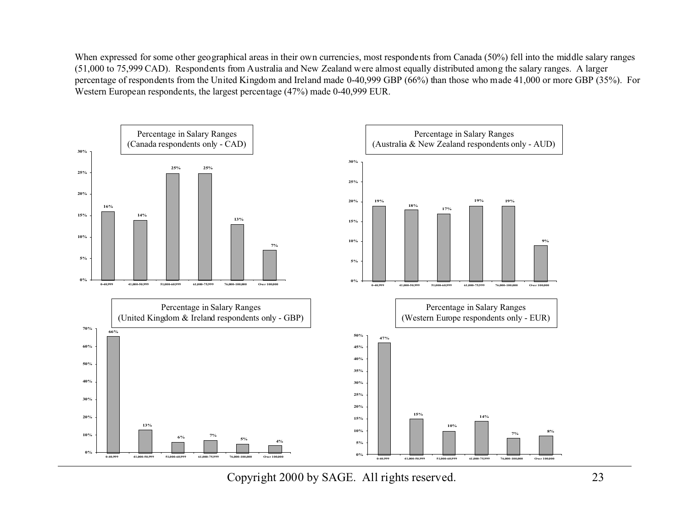When expressed for some other geographical areas in their own currencies, most respondents from Canada (50%) fell into the middle salary ranges (51,000 to 75,999 CAD). Respondents from Australia and New Zealand were almost equally distributed among the salary ranges. A larger percentage of respondents from the United Kingdom and Ireland made 0-40,999 GBP (66%) than those who made 41,000 or more GBP (35%). For Western European respondents, the largest percentage (47%) made 0-40,999 EUR.

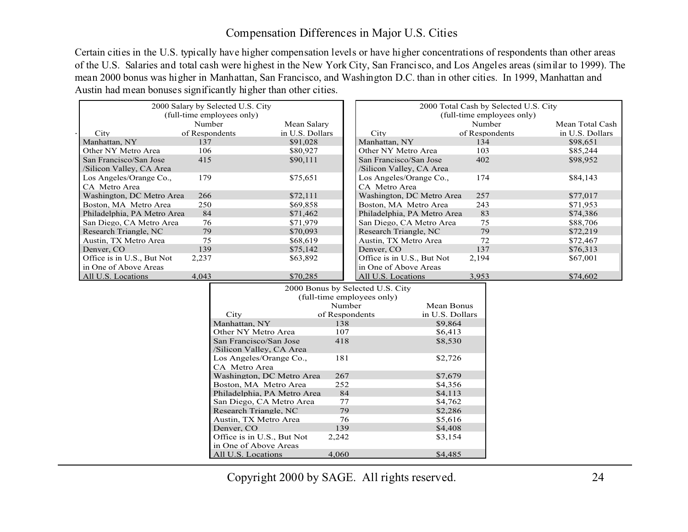#### Compensation Differences in Major U.S. Cities

Certain cities in the U.S. typically have higher compensation levels or have higher concentrations of respondents than other areas of the U.S. Salaries and total cash were highest in the New York City, San Francisco, and Los Angeles areas (similar to 1999). The mean 2000 bonus was higher in Manhattan, San Francisco, and Washington D.C. than in other cities. In 1999, Manhattan and Austin had mean bonuses significantly higher than other cities.

| (full-time employees only)<br>(full-time employees only)<br>Number<br>Number<br>Mean Salary<br>Mean Total Cash<br>in U.S. Dollars<br>of Respondents<br>in U.S. Dollars<br>of Respondents<br>City<br>City<br>Manhattan, NY<br>Manhattan, NY<br>137<br>\$91,028<br>134<br>\$98,651<br>Other NY Metro Area<br>Other NY Metro Area<br>106<br>\$80,927<br>103<br>\$85,244<br>San Francisco/San Jose<br>415<br>San Francisco/San Jose<br>402<br>\$90,111<br>\$98,952 |  |
|----------------------------------------------------------------------------------------------------------------------------------------------------------------------------------------------------------------------------------------------------------------------------------------------------------------------------------------------------------------------------------------------------------------------------------------------------------------|--|
|                                                                                                                                                                                                                                                                                                                                                                                                                                                                |  |
|                                                                                                                                                                                                                                                                                                                                                                                                                                                                |  |
|                                                                                                                                                                                                                                                                                                                                                                                                                                                                |  |
|                                                                                                                                                                                                                                                                                                                                                                                                                                                                |  |
|                                                                                                                                                                                                                                                                                                                                                                                                                                                                |  |
| /Silicon Valley, CA Area<br>/Silicon Valley, CA Area                                                                                                                                                                                                                                                                                                                                                                                                           |  |
| Los Angeles/Orange Co.,<br>Los Angeles/Orange Co.,<br>179<br>\$75,651<br>174<br>\$84,143                                                                                                                                                                                                                                                                                                                                                                       |  |
| CA Metro Area<br>CA Metro Area                                                                                                                                                                                                                                                                                                                                                                                                                                 |  |
| Washington, DC Metro Area<br>\$72,111<br>Washington, DC Metro Area<br>257<br>266<br>\$77,017                                                                                                                                                                                                                                                                                                                                                                   |  |
| Boston, MA Metro Area<br>Boston, MA Metro Area<br>250<br>243<br>\$69,858<br>\$71,953                                                                                                                                                                                                                                                                                                                                                                           |  |
| Philadelphia, PA Metro Area<br>Philadelphia, PA Metro Area<br>83<br>84<br>\$71,462<br>\$74,386                                                                                                                                                                                                                                                                                                                                                                 |  |
| San Diego, CA Metro Area<br>San Diego, CA Metro Area<br>75<br>76<br>\$71,979<br>\$88,706                                                                                                                                                                                                                                                                                                                                                                       |  |
| Research Triangle, NC<br>Research Triangle, NC<br>79<br>79<br>\$70,093<br>\$72,219                                                                                                                                                                                                                                                                                                                                                                             |  |
| Austin, TX Metro Area<br>Austin, TX Metro Area<br>75<br>72<br>\$68,619<br>\$72,467                                                                                                                                                                                                                                                                                                                                                                             |  |
| \$75,142<br>Denver, CO<br>139<br>137<br>\$76,313<br>Denver, CO                                                                                                                                                                                                                                                                                                                                                                                                 |  |
| Office is in U.S., But Not<br>Office is in U.S., But Not<br>\$63,892<br>2,237<br>2,194<br>\$67,001                                                                                                                                                                                                                                                                                                                                                             |  |
| in One of Above Areas<br>in One of Above Areas                                                                                                                                                                                                                                                                                                                                                                                                                 |  |
| All U.S. Locations<br>All U.S. Locations<br>4,043<br>\$70,285<br>3,953<br>\$74,602                                                                                                                                                                                                                                                                                                                                                                             |  |

|                             | 2000 Bonus by Selected U.S. City |                 |  |  |  |  |  |
|-----------------------------|----------------------------------|-----------------|--|--|--|--|--|
| (full-time employees only)  |                                  |                 |  |  |  |  |  |
|                             | Number                           | Mean Bonus      |  |  |  |  |  |
| City                        | of Respondents                   | in U.S. Dollars |  |  |  |  |  |
| Manhattan, NY               | 138                              | \$9.864         |  |  |  |  |  |
| Other NY Metro Area         | 107                              | \$6,413         |  |  |  |  |  |
| San Francisco/San Jose      | 418                              | \$8,530         |  |  |  |  |  |
| /Silicon Valley, CA Area    |                                  |                 |  |  |  |  |  |
| Los Angeles/Orange Co.,     | 181                              | \$2,726         |  |  |  |  |  |
| CA Metro Area               |                                  |                 |  |  |  |  |  |
| Washington, DC Metro Area   | 267                              | \$7.679         |  |  |  |  |  |
| Boston, MA Metro Area       | 252                              | \$4,356         |  |  |  |  |  |
| Philadelphia, PA Metro Area | 84                               | \$4,113         |  |  |  |  |  |
| San Diego, CA Metro Area    | 77                               | \$4,762         |  |  |  |  |  |
| Research Triangle, NC       | 79                               | \$2,286         |  |  |  |  |  |
| Austin, TX Metro Area       | 76                               | \$5.616         |  |  |  |  |  |
| Denver, CO                  | 139                              | \$4,408         |  |  |  |  |  |
| Office is in U.S., But Not  | 2,242                            | \$3,154         |  |  |  |  |  |
| in One of Above Areas       |                                  |                 |  |  |  |  |  |
| All U.S. Locations          | 4.060                            | \$4.485         |  |  |  |  |  |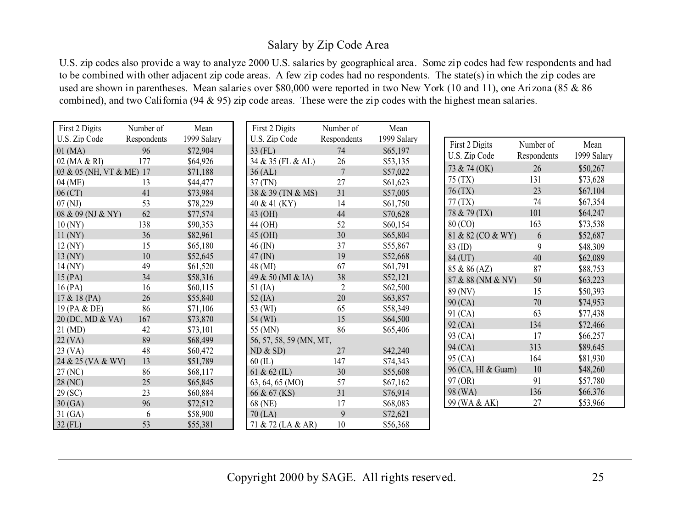#### Salary by Zip Code Area

U.S. zip codes also provide a way to analyze 2000 U.S. salaries by geographical area. Some zip codes had few respondents and had to be combined with other adjacent zip code areas. A few zip codes had no respondents. The state(s) in which the zip codes are used are shown in parentheses. Mean salaries over \$80,000 were reported in two New York (10 and 11), one Arizona (85 & 86 combined), and two California (94 & 95) zip code areas. These were the zip codes with the highest mean salaries.

| First 2 Digits           | Number of   | Mean        | First 2 Digits          | Number of      | Mean        |
|--------------------------|-------------|-------------|-------------------------|----------------|-------------|
| U.S. Zip Code            | Respondents | 1999 Salary | U.S. Zip Code           | Respondents    | 1999 Salary |
| $01$ (MA)                | 96          | \$72,904    | $33$ (FL)               | 74             | \$65,197    |
| 02 (MA & RI)             | 177         | \$64,926    | 34 & 35 (FL & AL)       | 26             | \$53,135    |
| 03 & 05 (NH, VT & ME) 17 |             | \$71,188    | 36 (AL)                 | $\overline{7}$ | \$57,022    |
| 04 (ME)                  | 13          | \$44,477    | 37 (TN)                 | 27             | \$61,623    |
| $06$ (CT)                | 41          | \$73,984    | 38 & 39 (TN & MS)       | 31             | \$57,005    |
| 07(NJ)                   | 53          | \$78,229    | 40 & 41 (KY)            | 14             | \$61,750    |
| 08 & 09 (NJ & NY)        | 62          | \$77,574    | 43 (OH)                 | 44             | \$70,628    |
| 10(NY)                   | 138         | \$90,353    | 44 (OH)                 | 52             | \$60,154    |
| $11$ (NY)                | 36          | \$82,961    | 45 (OH)                 | 30             | \$65,804    |
| 12 (NY)                  | 15          | \$65,180    | $46$ (IN)               | 37             | \$55,867    |
| $13$ (NY)                | 10          | \$52,645    | $47 \text{ (IN)}$       | 19             | \$52,668    |
| 14 (NY)                  | 49          | \$61,520    | 48 (MI)                 | 67             | \$61,791    |
| $15$ (PA)                | 34          | \$58,316    | 49 & 50 (MI & IA)       | 38             | \$52,121    |
| 16(PA)                   | 16          | \$60,115    | $51$ (IA)               | $\overline{2}$ | \$62,500    |
| 17 & 18 (PA)             | 26          | \$55,840    | $52$ (IA)               | 20             | \$63,857    |
| 19 (PA & DE)             | 86          | \$71,106    | 53 (WI)                 | 65             | \$58,349    |
| 20 (DC, MD & VA)         | 167         | \$73,870    | 54 (WI)                 | 15             | \$64,500    |
| $21 \, (\text{MD})$      | 42          | \$73,101    | 55 (MN)                 | 86             | \$65,406    |
| $22$ (VA)                | 89          | \$68,499    | 56, 57, 58, 59 (MN, MT, |                |             |
| $23$ (VA)                | 48          | \$60,472    | ND & SD                 | 27             | \$42,240    |
| 24 & 25 (VA & WV)        | 13          | \$51,789    | $60$ (IL)               | 147            | \$74,343    |
| 27 (NC)                  | 86          | \$68,117    | 61 & 62 (IL)            | 30             | \$55,608    |
| 28 (NC)                  | 25          | \$65,845    | 63, 64, 65 (MO)         | 57             | \$67,162    |
| 29 (SC)                  | 23          | \$60,884    | 66 & 67 (KS)            | 31             | \$76,914    |
| 30(GA)                   | 96          | \$72,512    | 68 (NE)                 | 17             | \$68,083    |
| 31(GA)                   | 6           | \$58,900    | $70$ (LA)               | 9              | \$72,621    |
| $32$ (FL)                | 53          | \$55,381    | 71 & 72 (LA & AR)       | 10             | \$56,368    |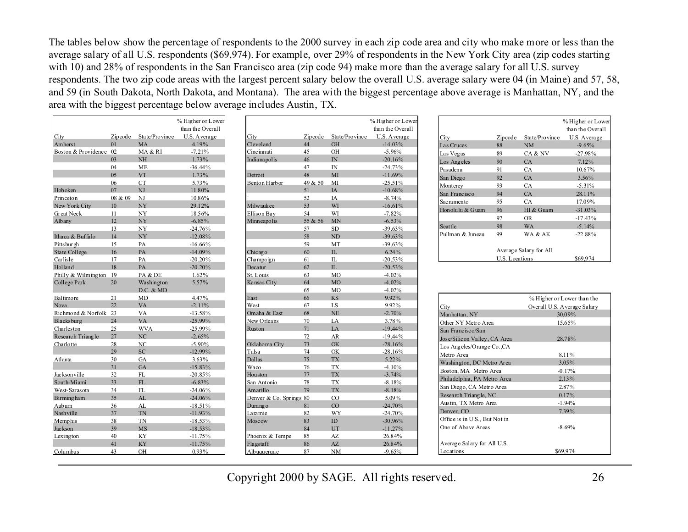The tables below show the percentage of respondents to the 2000 survey in each zip code area and city who make more or less than the average salary of all U.S. respondents (\$69,974). For example, over 29% of respondents in the New York City area (zip codes starting with 10) and 28% of respondents in the San Francisco area (zip code 94) make more than the average salary for all U.S. survey respondents. The two zip code areas with the largest percent salary below the overall U.S. average salary were 04 (in Maine) and 57, 58, and 59 (in South Dakota, North Dakota, and Montana). The area with the biggest percentage above average is Manhattan, NY, and the area with the biggest percentage below average includes Austin, TX.

|                        |         |                             | % Higher or Lower |               |
|------------------------|---------|-----------------------------|-------------------|---------------|
|                        |         |                             | than the Overall  |               |
| City                   | Zipcode | State/Province              | U.S. Average      | City          |
| Amherst                | 01      | <b>MA</b>                   | 4.19%             | Cleveland     |
| Boston & Providence 02 |         | MA & RI                     | $-7.21%$          | Cincinnati    |
|                        | 03      | NH                          | $1.73\%$          | Indianapolis  |
|                        | 04      | <b>ME</b>                   | $-36.44%$         |               |
|                        | 0.5     | <b>VT</b>                   | $1.73\%$          | Detroit       |
|                        | 06      | <b>CT</b>                   | 5.73%             | Benton Harbo  |
| Hoboken                | 07      | NJ                          | 11.80%            |               |
| Princeton              | 08 & 09 | NJ                          | 10.86%            |               |
| New York City          | 10      | NY                          | 29.12%            | Milwaukee     |
| <b>Great Neck</b>      | 11      | NY                          | 18.56%            | Ellison Bay   |
| Albany                 | 12      | <b>NY</b>                   | $-6.85%$          | Minneapolis   |
|                        | 13      | NY                          | $-24.76%$         |               |
| Ithaca & Buffalo       | 14      | <b>NY</b>                   | $-12.08\%$        |               |
| Pittsburgh             | 15      | PA                          | $-16.66\%$        |               |
| <b>State College</b>   | 16      | PA                          | $-14.09\%$        | Chicago       |
| Carlisle               | 17      | PA                          | $-20.20%$         | Champaign     |
| Holland                | 18      | PA                          | $-20.20\%$        | Decatur       |
| Philly & Wilmington    | 19      | PA & DE                     | $1.62\%$          | St. Louis     |
| College Park           | 20      | Washington<br>$D.C.$ & $MD$ | 5.57%             | Kansas City   |
| Baltimore              | 21      | <b>MD</b>                   | 4.47%             | East          |
| <b>Nova</b>            | 22      | <b>VA</b>                   | $-2.11%$          | West          |
| Richmond & Norfolk 23  |         | VA                          | $-13.58\%$        | Omaha & Eas   |
| Blacksburg             | 24      | <b>VA</b>                   | $-25.99\%$        | New Orleans   |
| Charleston             | 25      | <b>WVA</b>                  | $-25.99\%$        | Ruston        |
| Research Triangle      | 27      | NC                          | $-2.65%$          |               |
| Charlotte              | 28      | N <sub>C</sub>              | $-5.90\%$         | Oklahoma Cit  |
|                        | 29      | SC                          | $-12.99\%$        | Tulsa         |
| Atlanta                | 30      | <b>GA</b>                   | $3.63\%$          | <b>Dallas</b> |
|                        | 31      | GA                          | $-15.83\%$        | Waco          |
| Jac kson ville         | 32      | FL                          | $-20.85\%$        | Houston       |
| South-Miami            | 33      | FL.                         | $-6.83%$          | San Antonio   |
| West-Sarasota          | 34      | FL                          | $-24.06\%$        | Amarillo      |
| <b>Birming</b> ham     | 35      | AL                          | $-24.06\%$        | Denver & Co.  |
| Auburn                 | 36      | AL                          | $-18.51%$         | Durango       |
| Nashville              | 37      | <b>TN</b>                   | $-11.93\%$        | Laramie       |
| Memphis                | 38      | TN                          | $-18.53\%$        | Moscow        |
| Jac kson               | 39      | <b>MS</b>                   | $-18.53\%$        |               |
| Lexington              | 40      | KY                          | $-11.75\%$        | Phoenix & Te  |
|                        | 41      | KY                          | $-11.75%$         | Flagstaff     |
| Columbus               | 43      | OH                          | 0.93%             | Albuquerque   |
|                        |         |                             |                   |               |

|                         |         |                 | % Higher or Lower |
|-------------------------|---------|-----------------|-------------------|
|                         |         |                 | than the Overall  |
| City                    | Zipcode | State/Province  | U.S. A verage     |
| Cleveland               | 44      | OH              | $-14.03%$         |
| Cincinnati              | 45      | OН              | $-5.96%$          |
| Indianapolis            | 46      | <b>IN</b>       | $-20.16%$         |
|                         | 47      | IN              | $-24.73%$         |
| Detroit                 | 48      | MI              | $-11.69%$         |
| Benton Harbor           | 49 & 50 | MI              | $-25.51%$         |
|                         | 51      | <b>IA</b>       | $-10.68\%$        |
|                         | 52      | IA              | $-8.74%$          |
| Milwaukee               | 53      | WI              | $-16.61%$         |
| Ellison Bay             | 54      | WI              | $-7.82%$          |
| Minneapolis             | 55 & 56 | MN              | $-6.53%$          |
|                         | 57      | <b>SD</b>       | $-39.63%$         |
|                         | 58      | <b>ND</b>       | $-39.63%$         |
|                         | 59      | MT              | $-39.63%$         |
| Chicago                 | 60      | Π.              | 6.24%             |
| Champaign               | 61      | IL              | $-20.53\%$        |
| Decatur                 | 62      | $\Pi$ .         | $-20.53%$         |
| St. Louis               | 63      | M <sub>O</sub>  | $-4.02%$          |
| Kansas City             | 64      | <b>MO</b>       | $-4.02%$          |
|                         | 65      | M <sub>O</sub>  | $-4.02%$          |
| East                    | 66      | <b>KS</b>       | 9.92%             |
| West                    | 67      | LS              | 9.92%             |
| Omaha & East            | 68      | <b>NE</b>       | $-2.70%$          |
| New Orleans             | 70      | LA              | 3.78%             |
| Ruston                  | 71      | LA              | $-19.44%$         |
|                         | 72      | AR              | $-19.44%$         |
| Oklahoma City           | 73      | OK              | $-28.16%$         |
| Tulsa                   | 74      | OK              | $-28.16%$         |
| Dallas                  | 75      | <b>TX</b>       | $5.22\%$          |
| Waco                    | 76      | <b>TX</b>       | $-4.10%$          |
| Houston                 | 77      | <b>TX</b>       | $-3.74%$          |
| San Antonio             | 78      | <b>TX</b>       | $-8.18%$          |
| Amarillo                | 79      | <b>TX</b>       | $-8.18%$          |
| Denver & Co. Springs 80 |         | CO              | 5.09%             |
| Durang o                | 81      | $\overline{C}O$ | $-24.70%$         |
| Laramie                 | 82      | WY              | $-24.70%$         |
| Moscow                  | 83      | ID              | $-30.96%$         |
|                         | 84      | UT              | $-11.27%$         |
| Phoenix & Tempe         | 85      | AZ              | 26.84%            |
| Flagstaff               | 86      | AZ.             | 26.84%            |
| Albuquerque             | 87      | <b>NM</b>       | $-9.65%$          |

|                  |                |                        | % Higher or Lower |
|------------------|----------------|------------------------|-------------------|
|                  |                |                        | than the Overall  |
| City             | Zipcode        | State/Province         | U.S. A verage     |
| Las Cruces       | 88             | <b>NM</b>              | $-9.65%$          |
| Las Vegas        | 89             | CA & NV                | $-27.98%$         |
| Los Angeles      | 90             | CA                     | $7.12\%$          |
| Pasadena         | 91             | CA                     | 10.67%            |
| San Diego        | 92             | CA                     | $3.56\%$          |
| Monterey         | 93             | CA                     | $-5.31%$          |
| San Francisco    | 94             | CA                     | 28.11%            |
| Sacramento       | 95             | CA                     | 17.09%            |
| Honolulu & Guam  | 96             | HI & Guam              | $-31.03\%$        |
|                  | 97             | <b>OR</b>              | $-17.43%$         |
| Seattle          | 98             | <b>WA</b>              | $-5.14%$          |
| Pullman & Juneau | 99             | WA & AK                | $-22.88%$         |
|                  |                |                        |                   |
|                  |                | Average Salary for All |                   |
|                  | U.S. Locations |                        | \$69,974          |

|                               | % Higher or Lower than the  |
|-------------------------------|-----------------------------|
| City                          | Overall U.S. Average Salary |
| Manhattan, NY                 | 30.09%                      |
| Other NY Metro Area           | 15.65%                      |
| San Francisco/San             |                             |
| Jose/Silicon Valley, CA Area  | 28.78%                      |
| Los Angeles/Orange Co., CA    |                             |
| Metro Area                    | 8.11%                       |
| Washington, DC Metro Area     | $3.05\%$                    |
| Boston, MA Metro Area         | $-0.17%$                    |
| Philadelphia, PA Metro Area   | $2.13\%$                    |
| San Diego, CA Metro Area      | 2.87%                       |
| Research Triangle, NC         | $0.17\%$                    |
| Austin, TX Metro Area         | $-1.94%$                    |
| Denver, CO                    | 7.39%                       |
| Office is in U.S., But Not in |                             |
| One of Above Areas            | $-8.69\%$                   |
|                               |                             |
| Average Salary for All U.S.   |                             |
| Locations                     | \$69,974                    |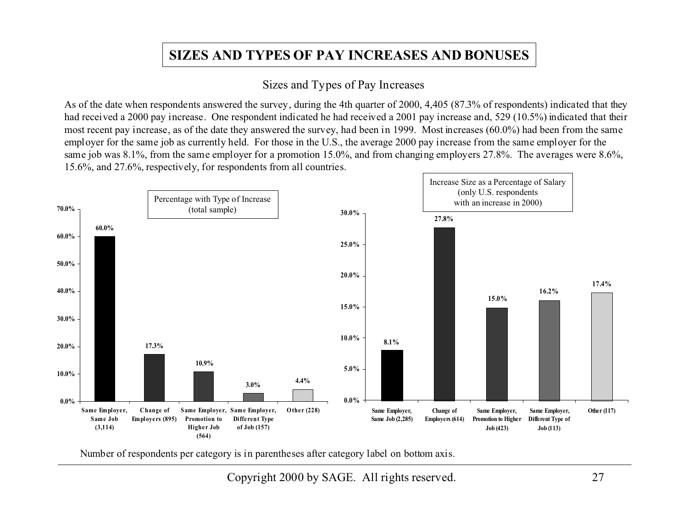## **SIZES AND TYPES OF PAY INCREASES AND BONUSES**

#### Sizes and Types of Pay Increases

As of the date when respondents answered the survey, during the 4th quarter of 2000, 4,405 (87.3% of respondents) indicated that they had received a 2000 pay increase. One respondent indicated he had received a 2001 pay increase and, 529 (10.5%) indicated that their most recent pay increase, as of the date they answered the survey, had been in 1999. Most increases (60.0%) had been from the same employer for the same job as currently held. For those in the U.S., the average 2000 pay increase from the same employer for the same job was 8.1%, from the same employer for a promotion 15.0%, and from changing employers 27.8%. The averages were 8.6%, 15.6%, and 27.6%, respectively, for respondents from all countries.



Number of respondents per category is in parentheses after category label on bottom axis.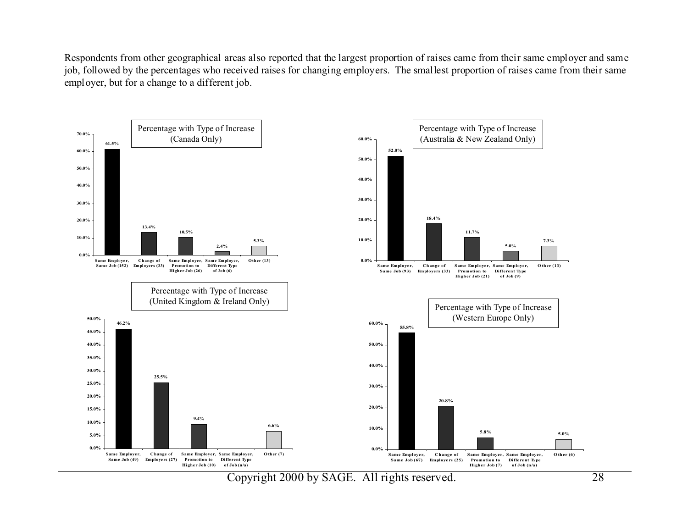Respondents from other geographical areas also reported that the largest proportion of raises came from their same employer and same job, followed by the percentages who received raises for changing employers. The smallest proportion of raises came from their same employer, but for a change to a different job.

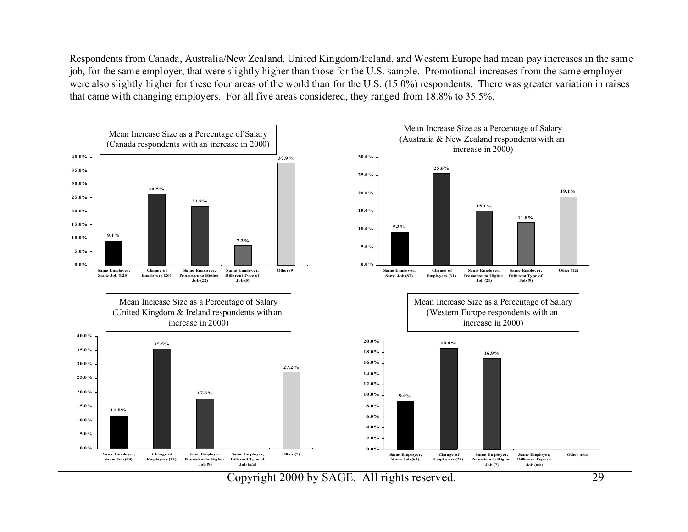Respondents from Canada, Australia/New Zealand, United Kingdom/Ireland, and Western Europe had mean pay increases in the same job, for the same employer, that were slightly higher than those for the U.S. sample. Promotional increases from the same employer were also slightly higher for these four areas of the world than for the U.S. (15.0%) respondents. There was greater variation in raises that came with changing employers. For all five areas considered, they ranged from 18.8% to 35.5%.

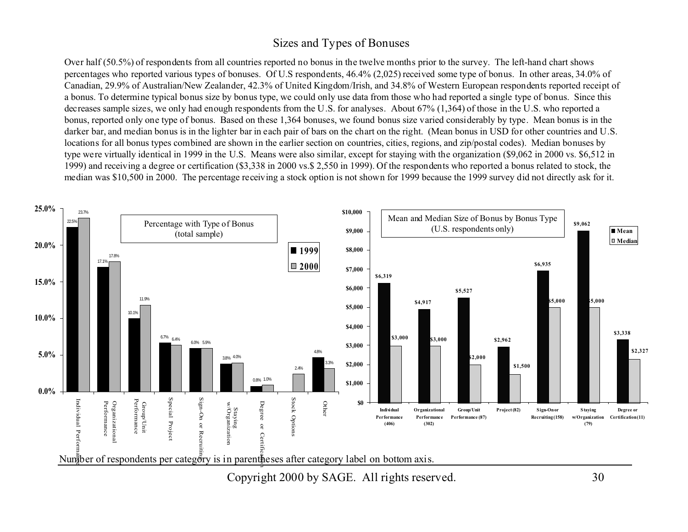#### Sizes and Types of Bonuses

Over half (50.5%) of respondents from all countries reported no bonus in the twelve months prior to the survey. The left-hand chart shows percentages who reported various types of bonuses. Of U.S respondents, 46.4% (2,025) received some type of bonus. In other areas, 34.0% of Canadian, 29.9% of Australian/New Zealander, 42.3% of United Kingdom/Irish, and 34.8% of Western European respondents reported receipt of a bonus. To determine typical bonus size by bonus type, we could only use data from those who had reported a single type of bonus. Since this decreases sample sizes, we only had enough respondents from the U.S. for analyses. About 67% (1,364) of those in the U.S. who reported a bonus, reported only one type of bonus. Based on these 1,364 bonuses, we found bonus size varied considerably by type. Mean bonus is in the darker bar, and median bonus is in the lighter bar in each pair of bars on the chart on the right. (Mean bonus in USD for other countries and U.S. locations for all bonus types combined are shown in the earlier section on countries, cities, regions, and zip/postal codes). Median bonuses by type were virtually identical in 1999 in the U.S. Means were also similar, except for staying with the organization (\$9,062 in 2000 vs. \$6,512 in 1999) and receiving a degree or certification (\$3,338 in 2000 vs.\$ 2,550 in 1999). Of the respondents who reported a bonus related to stock, the median was \$10,500 in 2000. The percentage receiving a stock option is not shown for 1999 because the 1999 survey did not directly ask for it.



Copyright 2000 by SAGE. All rights reserved. 30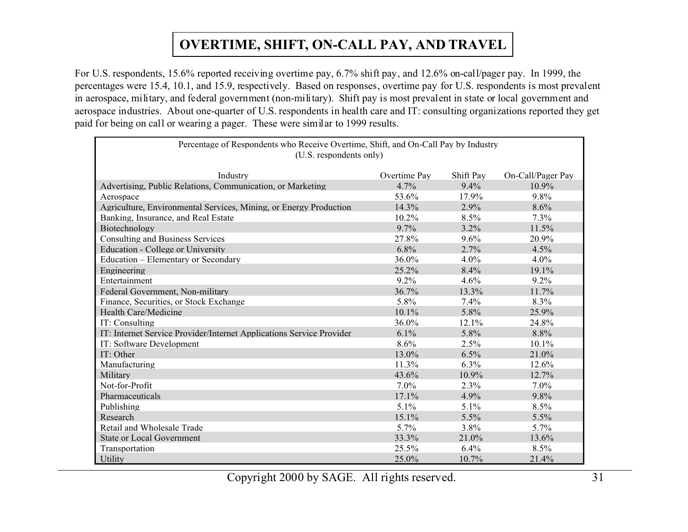## **OVERTIME, SHIFT, ON-CALL PAY, AND TRAVEL**

For U.S. respondents, 15.6% reported receiving overtime pay, 6.7% shift pay, and 12.6% on-call/pager pay. In 1999, the percentages were 15.4, 10.1, and 15.9, respectively. Based on responses, overtime pay for U.S. respondents is most prevalent in aerospace, military, and federal government (non-military). Shift pay is most prevalent in state or local government and aerospace industries. About one-quarter of U.S. respondents in health care and IT: consulting organizations reported they get paid for being on call or wearing a pager. These were similar to 1999 results.

| Percentage of Respondents who Receive Overtime, Shift, and On-Call Pay by Industry<br>(U.S. respondents only) |              |           |                   |  |  |  |  |  |  |  |
|---------------------------------------------------------------------------------------------------------------|--------------|-----------|-------------------|--|--|--|--|--|--|--|
| Industry                                                                                                      | Overtime Pay | Shift Pay | On-Call/Pager Pay |  |  |  |  |  |  |  |
| Advertising, Public Relations, Communication, or Marketing                                                    | 4.7%         | $9.4\%$   | 10.9%             |  |  |  |  |  |  |  |
| Aerospace                                                                                                     | 53.6%        | 17.9%     | 9.8%              |  |  |  |  |  |  |  |
| Agriculture, Environmental Services, Mining, or Energy Production                                             | 14.3%        | 2.9%      | $8.6\%$           |  |  |  |  |  |  |  |
| Banking, Insurance, and Real Estate                                                                           | 10.2%        | $8.5\%$   | $7.3\%$           |  |  |  |  |  |  |  |
| Biotechnology                                                                                                 | $9.7\%$      | 3.2%      | 11.5%             |  |  |  |  |  |  |  |
| Consulting and Business Services                                                                              | 27.8%        | 9.6%      | 20.9%             |  |  |  |  |  |  |  |
| <b>Education - College or University</b>                                                                      | 6.8%         | 2.7%      | 4.5%              |  |  |  |  |  |  |  |
| Education – Elementary or Secondary                                                                           | 36.0%        | $4.0\%$   | $4.0\%$           |  |  |  |  |  |  |  |
| Engineering                                                                                                   | 25.2%        | 8.4%      | 19.1%             |  |  |  |  |  |  |  |
| Entertainment                                                                                                 | 9.2%         | 4.6%      | 9.2%              |  |  |  |  |  |  |  |
| Federal Government, Non-military                                                                              | 36.7%        | 13.3%     | 11.7%             |  |  |  |  |  |  |  |
| Finance, Securities, or Stock Exchange                                                                        | 5.8%         | 7.4%      | 8.3%              |  |  |  |  |  |  |  |
| Health Care/Medicine                                                                                          | 10.1%        | 5.8%      | 25.9%             |  |  |  |  |  |  |  |
| IT: Consulting                                                                                                | 36.0%        | 12.1%     | 24.8%             |  |  |  |  |  |  |  |
| IT: Internet Service Provider/Internet Applications Service Provider                                          | $6.1\%$      | 5.8%      | 8.8%              |  |  |  |  |  |  |  |
| IT: Software Development                                                                                      | 8.6%         | 2.5%      | $10.1\%$          |  |  |  |  |  |  |  |
| IT: Other                                                                                                     | 13.0%        | 6.5%      | 21.0%             |  |  |  |  |  |  |  |
| Manufacturing                                                                                                 | 11.3%        | 6.3%      | 12.6%             |  |  |  |  |  |  |  |
| Military                                                                                                      | 43.6%        | 10.9%     | 12.7%             |  |  |  |  |  |  |  |
| Not-for-Profit                                                                                                | 7.0%         | 2.3%      | $7.0\%$           |  |  |  |  |  |  |  |
| Pharmaceuticals                                                                                               | 17.1%        | 4.9%      | 9.8%              |  |  |  |  |  |  |  |
| Publishing                                                                                                    | 5.1%         | 5.1%      | 8.5%              |  |  |  |  |  |  |  |
| Research                                                                                                      | 15.1%        | 5.5%      | 5.5%              |  |  |  |  |  |  |  |
| Retail and Wholesale Trade                                                                                    | 5.7%         | 3.8%      | $5.7\%$           |  |  |  |  |  |  |  |
| State or Local Government                                                                                     | 33.3%        | 21.0%     | 13.6%             |  |  |  |  |  |  |  |
| Transportation                                                                                                | 25.5%        | 6.4%      | 8.5%              |  |  |  |  |  |  |  |
| Utility                                                                                                       | 25.0%        | 10.7%     | 21.4%             |  |  |  |  |  |  |  |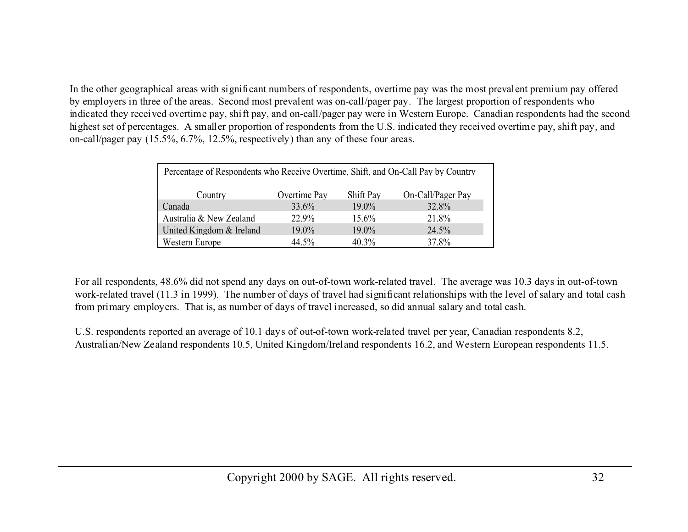In the other geographical areas with significant numbers of respondents, overtime pay was the most prevalent premium pay offered by employers in three of the areas. Second most prevalent was on-call/pager pay. The largest proportion of respondents who indicated they received overtime pay, shift pay, and on-call/pager pay were in Western Europe. Canadian respondents had the second highest set of percentages. A smaller proportion of respondents from the U.S. indicated they received overtime pay, shift pay, and on-call/pager pay (15.5%, 6.7%, 12.5%, respectively) than any of these four areas.

| Percentage of Respondents who Receive Overtime, Shift, and On-Call Pay by Country |       |          |       |  |  |  |  |  |  |
|-----------------------------------------------------------------------------------|-------|----------|-------|--|--|--|--|--|--|
| On-Call/Pager Pay<br>Overtime Pay<br>Shift Pay<br>Country                         |       |          |       |  |  |  |  |  |  |
| Canada                                                                            | 33.6% | $19.0\%$ | 32.8% |  |  |  |  |  |  |
| Australia & New Zealand                                                           | 22.9% | 15.6%    | 21.8% |  |  |  |  |  |  |
| United Kingdom & Ireland                                                          | 19.0% | 19.0%    | 24.5% |  |  |  |  |  |  |
| Western Europe                                                                    | 44.5% | 40.3%    | 37.8% |  |  |  |  |  |  |

For all respondents, 48.6% did not spend any days on out-of-town work-related travel. The average was 10.3 days in out-of-town work-related travel (11.3 in 1999). The number of days of travel had significant relationships with the level of salary and total cash from primary employers. That is, as number of days of travel increased, so did annual salary and total cash.

U.S. respondents reported an average of 10.1 days of out-of-town work-related travel per year, Canadian respondents 8.2, Australian/New Zealand respondents 10.5, United Kingdom/Ireland respondents 16.2, and Western European respondents 11.5.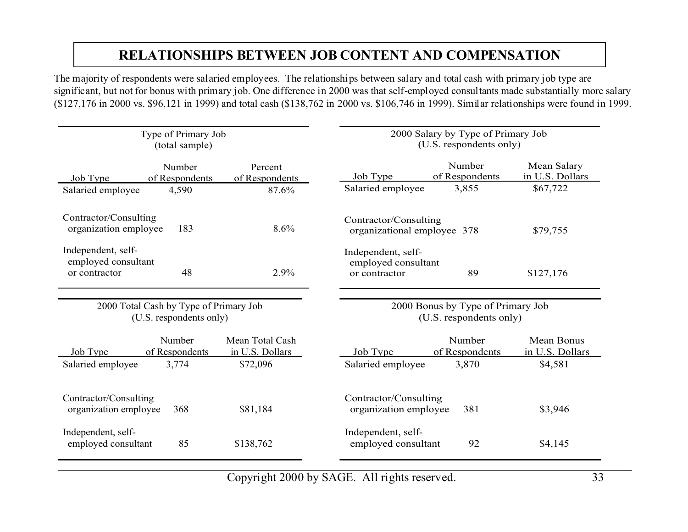## **RELATIONSHIPS BETWEEN JOB CONTENT AND COMPENSATION**

The majority of respondents were salaried employees. The relationships between salary and total cash with primary job type are significant, but not for bonus with primary job. One difference in 2000 was that self-employed consultants made substantially more salary (\$127,176 in 2000 vs. \$96,121 in 1999) and total cash (\$138,762 in 2000 vs. \$106,746 in 1999). Similar relationships were found in 1999.

|                                                            | Type of Primary Job<br>(total sample)  |                                    | 2000 Salary by Type of Primary Job<br>(U.S. respondents only)    |                          |                                      |  |  |  |
|------------------------------------------------------------|----------------------------------------|------------------------------------|------------------------------------------------------------------|--------------------------|--------------------------------------|--|--|--|
| Job Type                                                   | Number<br>of Respondents               | Percent<br>of Respondents          | Job Type                                                         | Number<br>of Respondents | Mean Salary<br>in U.S. Dollars       |  |  |  |
| Salaried employee                                          | 4,590                                  | 87.6%                              | Salaried employee                                                | 3,855                    | \$67,722                             |  |  |  |
| Contractor/Consulting<br>organization employee             | 183                                    | 8.6%                               | Contractor/Consulting<br>organizational employee 378             |                          | \$79,755                             |  |  |  |
| Independent, self-<br>employed consultant<br>or contractor | 48                                     | 2.9%                               | Independent, self-<br>employed consultant<br>89<br>or contractor |                          |                                      |  |  |  |
|                                                            | 2000 Total Cash by Type of Primary Job |                                    |                                                                  |                          |                                      |  |  |  |
|                                                            | (U.S. respondents only)                |                                    | 2000 Bonus by Type of Primary Job<br>(U.S. respondents only)     |                          |                                      |  |  |  |
| Job Type                                                   | Number<br>of Respondents               | Mean Total Cash<br>in U.S. Dollars | Job Type                                                         | Number<br>of Respondents | <b>Mean Bonus</b><br>in U.S. Dollars |  |  |  |
| Salaried employee                                          | 3,774                                  | \$72,096                           | Salaried employee                                                | 3,870                    | \$4,581                              |  |  |  |
| Contractor/Consulting<br>organization employee             | 368                                    | \$81,184                           | Contractor/Consulting<br>organization employee                   | 381                      | \$3,946                              |  |  |  |
| Independent, self-<br>employed consultant                  | 85                                     | \$138,762                          | Independent, self-<br>employed consultant                        | 92                       | \$4,145                              |  |  |  |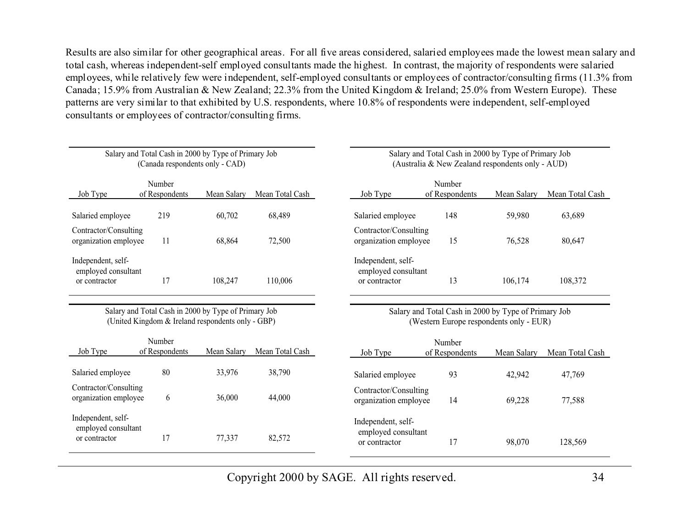Results are also similar for other geographical areas. For all five areas considered, salaried employees made the lowest mean salary and total cash, whereas independent-self employed consultants made the highest. In contrast, the majority of respondents were salaried employees, while relatively few were independent, self-employed consultants or employees of contractor/consulting firms (11.3% from Canada; 15.9% from Australian & New Zealand; 22.3% from the United Kingdom & Ireland; 25.0% from Western Europe). These patterns are very similar to that exhibited by U.S. respondents, where 10.8% of respondents were independent, self-employed consultants or employees of contractor/consulting firms.

|                                                            | (Canada respondents only - CAD) | Salary and Total Cash in 2000 by Type of Primary Job                                                      |                 | Salary and Total Cash in 2000 by Type of Primary Job<br>(Australia & New Zealand respondents only - AUD) |  |  |  |  |  |
|------------------------------------------------------------|---------------------------------|-----------------------------------------------------------------------------------------------------------|-----------------|----------------------------------------------------------------------------------------------------------|--|--|--|--|--|
| Job Type                                                   | Number<br>of Respondents        | Mean Salary                                                                                               | Mean Total Cash | Number<br>of Respondents<br>Mean Salary<br>Job Type<br>Mean Total Cash                                   |  |  |  |  |  |
| Salaried employee                                          | 219                             | 60,702                                                                                                    | 68,489          | 148<br>Salaried employee<br>59,980<br>63,689                                                             |  |  |  |  |  |
| Contractor/Consulting<br>organization employee             | 11                              | 68,864                                                                                                    | 72,500          | Contractor/Consulting<br>15<br>organization employee<br>76,528<br>80,647                                 |  |  |  |  |  |
| Independent, self-<br>employed consultant<br>or contractor | 17                              | 108,247                                                                                                   | 110,006         | Independent, self-<br>employed consultant<br>13<br>108,372<br>106,174<br>or contractor                   |  |  |  |  |  |
|                                                            |                                 | Salary and Total Cash in 2000 by Type of Primary Job<br>(United Kingdom & Ireland respondents only - GBP) |                 | Salary and Total Cash in 2000 by Type of Primary Job<br>(Western Europe respondents only - EUR)          |  |  |  |  |  |
| Job Type                                                   | Number<br>of Respondents        | Mean Salary                                                                                               | Mean Total Cash | Number<br>Job Type<br>of Respondents<br>Mean Salary<br>Mean Total Cash                                   |  |  |  |  |  |
| Salaried employee                                          | 80                              | 33,976                                                                                                    | 38,790          | 93<br>Salaried employee<br>42,942<br>47,769                                                              |  |  |  |  |  |
| Contractor/Consulting<br>organization employee             | 6                               | 36,000                                                                                                    | 44,000          | Contractor/Consulting<br>14<br>organization employee<br>69,228<br>77,588                                 |  |  |  |  |  |
| Independent, self-<br>employed consultant<br>or contractor | 17                              | 77,337                                                                                                    | 82,572          | Independent, self-<br>employed consultant<br>17<br>98,070<br>128,569<br>or contractor                    |  |  |  |  |  |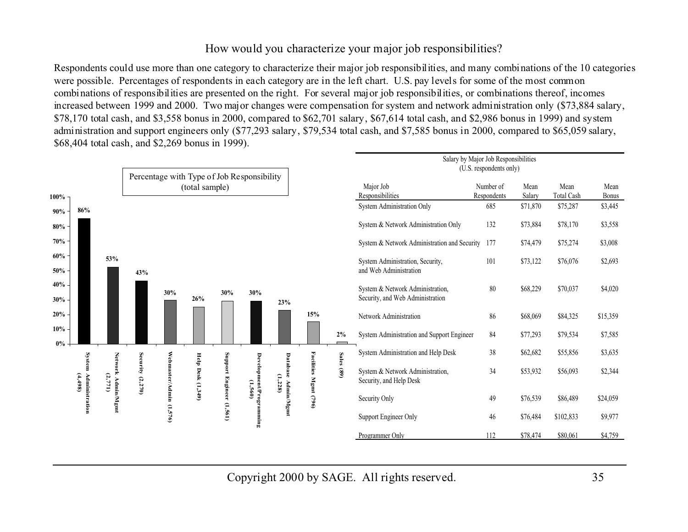#### How would you characterize your major job responsibilities?

Respondents could use more than one category to characterize their major job responsibilities, and many combinations of the 10 categories were possible. Percentages of respondents in each category are in the left chart. U.S. pay levels for some of the most common combinations of responsibilities are presented on the right. For several major job responsibilities, or combinations thereof, incomes increased between 1999 and 2000. Two major changes were compensation for system and network administration only (\$73,884 salary, \$78,170 total cash, and \$3,558 bonus in 2000, compared to \$62,701 salary, \$67,614 total cash, and \$2,986 bonus in 1999) and system administration and support engineers only (\$77,293 salary, \$79,534 total cash, and \$7,585 bonus in 2000, compared to \$65,059 salary, \$68,404 total cash, and \$2,269 bonus in 1999).

|                  |                                  |                               |                  |                                                              |         |                  |                         |               |                       |                               |                                                                      | Salary by Major Job Responsibilities<br>(U.S. respondents only) |          |                           |               |
|------------------|----------------------------------|-------------------------------|------------------|--------------------------------------------------------------|---------|------------------|-------------------------|---------------|-----------------------|-------------------------------|----------------------------------------------------------------------|-----------------------------------------------------------------|----------|---------------------------|---------------|
| 100%             |                                  |                               |                  | Percentage with Type of Job Responsibility<br>(total sample) |         |                  |                         |               |                       | Major Job<br>Responsibilities |                                                                      | Number of<br>Mean<br>Salary<br>Respondents                      |          | Mean<br><b>Total Cash</b> | Mean<br>Bonus |
| 90%              | 86%                              |                               |                  |                                                              |         |                  |                         |               |                       |                               | System Administration Only                                           | 685                                                             | \$71,870 | \$75,287                  | \$3,445       |
| 80%              |                                  |                               |                  |                                                              |         |                  |                         |               |                       |                               | System & Network Administration Only                                 | 132                                                             | \$73,884 | \$78,170                  | \$3,558       |
| 70%              |                                  |                               |                  |                                                              |         |                  |                         |               |                       |                               | System & Network Administration and Security                         | 177                                                             | \$74,479 | \$75,274                  | \$3,008       |
| 60%<br>50%       |                                  | 53%                           | 43%              |                                                              |         |                  |                         |               |                       |                               | System Administration, Security,<br>and Web Administration           | 101                                                             | \$73,122 | \$76,076                  | \$2,693       |
| 40%<br>30%       |                                  |                               |                  | 30%                                                          | 26%     | 30%              | 30%                     | 23%           |                       |                               | System & Network Administration,<br>Security, and Web Administration | 80                                                              | \$68,229 | \$70,037                  | \$4,020       |
| 20%              |                                  |                               |                  |                                                              |         |                  |                         |               | 15%                   |                               | Network Administration                                               | 86                                                              | \$68,069 | \$84,325                  | \$15,359      |
| 10%              |                                  |                               |                  |                                                              |         |                  |                         |               |                       | $2\%$                         | System Administration and Support Engineer                           | 84                                                              | \$77,293 | \$79,534                  | \$7,585       |
| $0\% \downarrow$ |                                  |                               |                  |                                                              | Help    |                  |                         | Datal         |                       | <b>Sales</b>                  | System Administration and Help Desk                                  | 38                                                              | \$62,682 | \$55,856                  | \$3,635       |
|                  | System Administration<br>(4,498) | Network Admin/Mgmt<br>(2,771) | Security (2,270) | Webmaster/Admin                                              | Desk    | Support          | Development/Programming | æ<br>(1, 228) | Facilities Mgmt (796) | (89)                          | System & Network Administration,<br>Security, and Help Desk          | 34                                                              | \$53,932 | \$56,093                  | \$2,344       |
|                  |                                  |                               |                  |                                                              | (1,349) | Engineer (1,561) | (1,560)                 | Admin/Mgmt    |                       |                               | Security Only                                                        | 49                                                              | \$76,539 | \$86,489                  | \$24,059      |
|                  |                                  |                               |                  | (1,576)                                                      |         |                  |                         |               |                       |                               | Support Engineer Only                                                | 46                                                              | \$76,484 | \$102,833                 | \$9,977       |
|                  |                                  |                               |                  |                                                              |         |                  |                         |               |                       |                               | Programmer Only                                                      | 112                                                             | \$78,474 | \$80,061                  | \$4,759       |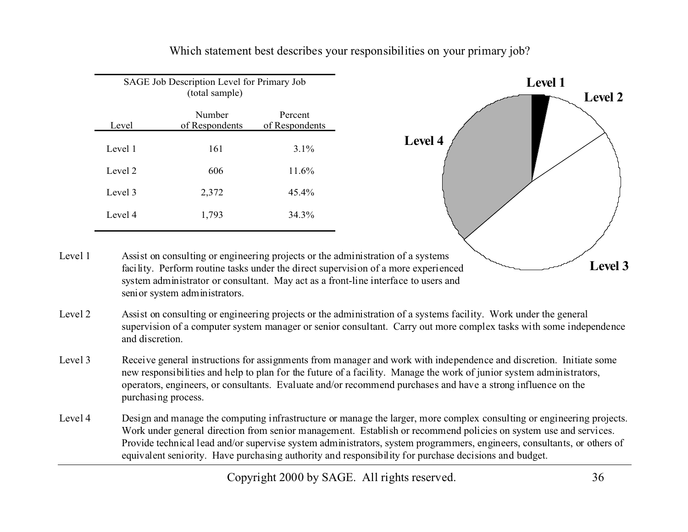

Which statement best describes your responsibilities on your primary job?

- Level 1system administrator or consultant. May act as a front-line interface to users and senior system administrators.
- Level 2 Assist on consulting or engineering projects or the administration of a systems facility. Work under the general supervision of a computer system manager or senior consultant. Carry out more complex tasks with some independence and discretion.
- Level 3 Receive general instructions for assignments from manager and work with independence and discretion. Initiate some new responsibilities and help to plan for the future of a facility. Manage the work of junior system administrators, operators, engineers, or consultants. Evaluate and/or recommend purchases and have a strong influence on the purchasing process.
- Level 4 Design and manage the computing infrastructure or manage the larger, more complex consulting or engineering projects. Work under general direction from senior management. Establish or recommend policies on system use and services. Provide technical lead and/or supervise system administrators, system programmers, engineers, consultants, or others of equivalent seniority. Have purchasing authority and responsibility for purchase decisions and budget.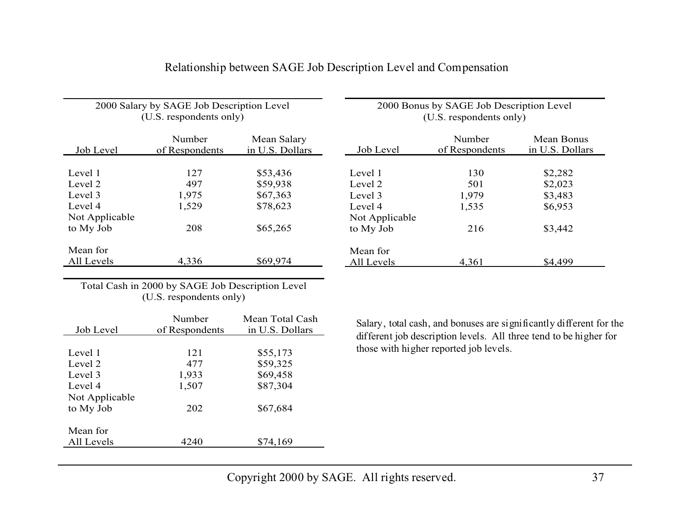| 2000 Salary by SAGE Job Description Level<br>(U.S. respondents only) |                          | 2000 Bonus by SAGE Job Description Level<br>(U.S. respondents only) |                |                          |                               |
|----------------------------------------------------------------------|--------------------------|---------------------------------------------------------------------|----------------|--------------------------|-------------------------------|
| Job Level                                                            | Number<br>of Respondents | Mean Salary<br>in U.S. Dollars                                      | Job Level      | Number<br>of Respondents | Mean Bonus<br>in U.S. Dollars |
|                                                                      |                          |                                                                     |                |                          |                               |
| Level 1                                                              | 127                      | \$53,436                                                            | Level 1        | 130                      | \$2,282                       |
| Level 2                                                              | 497                      | \$59,938                                                            | Level 2        | 501                      | \$2,023                       |
| Level 3                                                              | 1,975                    | \$67,363                                                            | Level 3        | 1,979                    | \$3,483                       |
| Level 4                                                              | 1,529                    | \$78,623                                                            | Level 4        | 1,535                    | \$6,953                       |
| Not Applicable                                                       |                          |                                                                     | Not Applicable |                          |                               |
| to My Job                                                            | 208                      | \$65,265                                                            | to My Job      | 216                      | \$3,442                       |
| Mean for                                                             |                          |                                                                     | Mean for       |                          |                               |
| All Levels                                                           | 4,336                    | \$69,974                                                            | All Levels     | 4,361                    | \$4,499                       |

#### Relationship between SAGE Job Description Level and Compensation

Total Cash in 2000 by SAGE Job Description Level (U.S. respondents only)

|                | Number         | Mean Total Cash |
|----------------|----------------|-----------------|
| Job Level      | of Respondents | in U.S. Dollars |
|                |                |                 |
| Level 1        | 121            | \$55,173        |
| Level 2        | 477            | \$59,325        |
| Level 3        | 1,933          | \$69,458        |
| Level 4        | 1,507          | \$87,304        |
| Not Applicable |                |                 |
| to My Job      | 202            | \$67,684        |
|                |                |                 |
| Mean for       |                |                 |
| All Levels     | 4240           | \$74,169        |
|                |                |                 |

Salary, total cash, and bonuses are significantly different for the different job description levels. All three tend to be higher for those with higher reported job levels.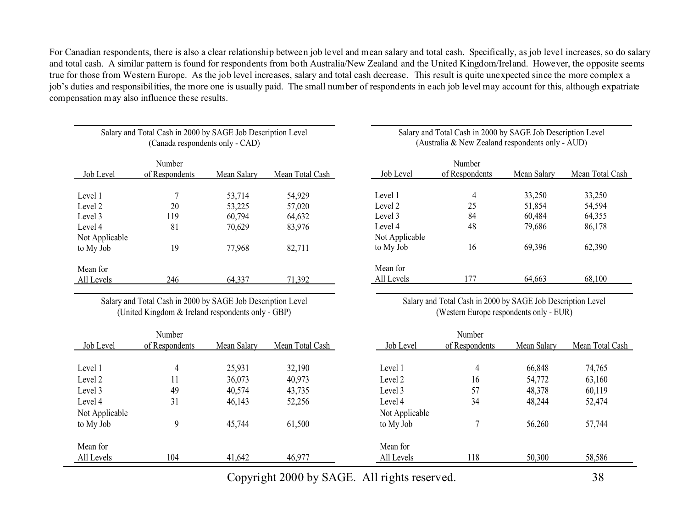For Canadian respondents, there is also a clear relationship between job level and mean salary and total cash. Specifically, as job level increases, so do salary and total cash. A similar pattern is found for respondents from both Australia/New Zealand and the United Kingdom/Ireland. However, the opposite seems true for those from Western Europe. As the job level increases, salary and total cash decrease. This result is quite unexpected since the more complex a job's duties and responsibilities, the more one is usually paid. The small number of respondents in each job level may account for this, although expatriate compensation may also influence these results.

| Salary and Total Cash in 2000 by SAGE Job Description Level<br>(Canada respondents only - CAD) |                |             |                 |  |  |  |
|------------------------------------------------------------------------------------------------|----------------|-------------|-----------------|--|--|--|
|                                                                                                | Number         |             |                 |  |  |  |
| Job Level                                                                                      | of Respondents | Mean Salary | Mean Total Cash |  |  |  |
| Level 1                                                                                        | 7              | 53,714      | 54,929          |  |  |  |
| Level 2                                                                                        | 20             | 53,225      | 57,020          |  |  |  |
| Level 3                                                                                        | 119            | 60,794      | 64,632          |  |  |  |
| Level 4                                                                                        | 81             | 70,629      | 83,976          |  |  |  |
| Not Applicable                                                                                 |                |             |                 |  |  |  |
| to My Job                                                                                      | 19             | 77,968      | 82.711          |  |  |  |
| Mean for                                                                                       |                |             |                 |  |  |  |
| All Levels                                                                                     | 246            | 64.337      | 71.392          |  |  |  |

Salary and Total Cash in 2000 by SAGE Job Description Level (United Kingdom & Ireland respondents only - GBP)

#### Salary and Total Cash in 2000 by SAGE Job Description Level (Australia & New Zealand respondents only - AUD)

|                | Number         |             |                 |
|----------------|----------------|-------------|-----------------|
| Job Level      | of Respondents | Mean Salary | Mean Total Cash |
|                |                |             |                 |
| Level 1        | 4              | 33,250      | 33,250          |
| Level 2        | 25             | 51,854      | 54,594          |
| Level 3        | 84             | 60,484      | 64,355          |
| Level 4        | 48             | 79,686      | 86,178          |
| Not Applicable |                |             |                 |
| to My Job      | 16             | 69,396      | 62,390          |
|                |                |             |                 |
| Mean for       |                |             |                 |
| All Levels     | 177            | 64,663      | 68,100          |

Salary and Total Cash in 2000 by SAGE Job Description Level (Western Europe respondents only - EUR)

|                | Number         |             |                 |                | Number         |             |                 |
|----------------|----------------|-------------|-----------------|----------------|----------------|-------------|-----------------|
| Job Level      | of Respondents | Mean Salary | Mean Total Cash | Job Level      | of Respondents | Mean Salary | Mean Total Cash |
|                |                |             |                 |                |                |             |                 |
| Level 1        | 4              | 25,931      | 32,190          | Level 1        | 4              | 66,848      | 74,765          |
| Level 2        | 11             | 36,073      | 40,973          | Level 2        | 16             | 54,772      | 63,160          |
| Level 3        | 49             | 40,574      | 43,735          | Level 3        | 57             | 48,378      | 60,119          |
| Level 4        | 31             | 46,143      | 52,256          | Level 4        | 34             | 48,244      | 52,474          |
| Not Applicable |                |             |                 | Not Applicable |                |             |                 |
| to My Job      | 9              | 45,744      | 61,500          | to My Job      |                | 56,260      | 57,744          |
| Mean for       |                |             |                 | Mean for       |                |             |                 |
| All Levels     | 104            | 41,642      | 46,977          | All Levels     | 118            | 50,300      | 58,586          |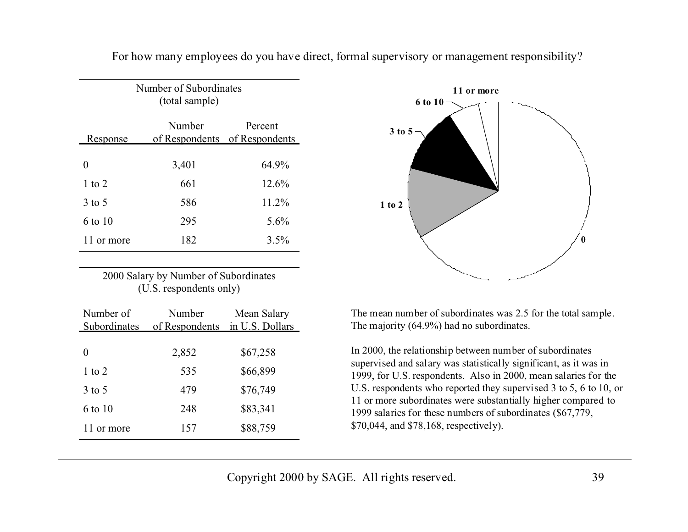| Number of Subordinates<br>(total sample) |                                         |         |  |  |  |  |
|------------------------------------------|-----------------------------------------|---------|--|--|--|--|
| Response                                 | Number<br>of Respondents of Respondents | Percent |  |  |  |  |
|                                          | 3,401                                   | 64.9%   |  |  |  |  |
| 1 to 2                                   | 661                                     | 12.6%   |  |  |  |  |
| 3 to 5                                   | 586                                     | 11.2%   |  |  |  |  |
| 6 to 10                                  | 295                                     | 5.6%    |  |  |  |  |
| 11 or more                               | 182                                     | 3.5%    |  |  |  |  |

For how many employees do you have direct, formal supervisory or management responsibility?

| 2000 Salary by Number of Subordinates |  |
|---------------------------------------|--|
| (U.S. respondents only)               |  |

| Number of<br>Subordinates | Number<br>of Respondents | Mean Salary<br>in U.S. Dollars |
|---------------------------|--------------------------|--------------------------------|
| 0                         | 2,852                    | \$67,258                       |
| $1$ to $2$                | 535                      | \$66,899                       |
| $3$ to 5                  | 479                      | \$76,749                       |
| 6 to 10                   | 248                      | \$83,341                       |
| 11 or more                | 157                      | \$88,759                       |



The mean number of subordinates was 2.5 for the total sample. The majority (64.9%) had no subordinates.

In 2000, the relationship between number of subordinates supervised and salary was statistically significant, as it was in 1999, for U.S. respondents. Also in 2000, mean salaries for the U.S. respondents who reported they supervised 3 to 5, 6 to 10, or 11 or more subordinates were substantially higher compared to 1999 salaries for these numbers of subordinates (\$67,779, \$70,044, and \$78,168, respectively).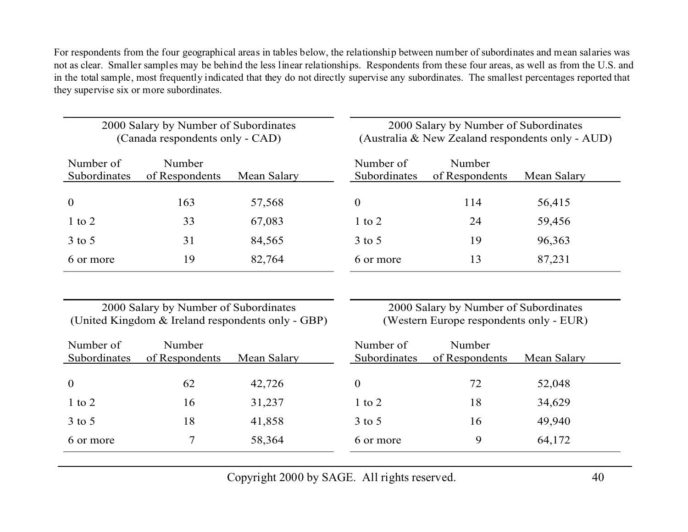For respondents from the four geographical areas in tables below, the relationship between number of subordinates and mean salaries was not as clear. Smaller samples may be behind the less linear relationships. Respondents from these four areas, as well as from the U.S. and in the total sample, most frequently indicated that they do not directly supervise any subordinates. The smallest percentages reported that they supervise six or more subordinates.

| 2000 Salary by Number of Subordinates<br>(Canada respondents only - CAD) |                          | 2000 Salary by Number of Subordinates<br>(Australia & New Zealand respondents only - AUD) |                                  |                          |             |
|--------------------------------------------------------------------------|--------------------------|-------------------------------------------------------------------------------------------|----------------------------------|--------------------------|-------------|
| Number of<br>Subordinates                                                | Number<br>of Respondents | Mean Salary                                                                               | Number of<br><b>Subordinates</b> | Number<br>of Respondents | Mean Salary |
| $\boldsymbol{0}$                                                         | 163                      | 57,568                                                                                    | $\mathbf{0}$                     | 114                      | 56,415      |
| $1$ to $2$                                                               | 33                       | 67,083                                                                                    | $1$ to $2$                       | 24                       | 59,456      |
| $3$ to $5$                                                               | 31                       | 84,565                                                                                    | $3$ to 5                         | 19                       | 96,363      |
| 6 or more                                                                | 19                       | 82,764                                                                                    | 6 or more                        | 13                       | 87,231      |

2000 Salary by Number of Subordinates (United Kingdom & Ireland respondents only - GBP)

2000 Salary by Number of Subordinates (Western Europe respondents only - EUR)

| Number of<br>Subordinates | Number<br>of Respondents | Mean Salary | Number of<br><b>Subordinates</b> | Number<br>of Respondents | Mean Salary |  |
|---------------------------|--------------------------|-------------|----------------------------------|--------------------------|-------------|--|
|                           |                          |             |                                  |                          |             |  |
| $\boldsymbol{0}$          | 62                       | 42,726      | $\theta$                         | 72                       | 52,048      |  |
| $1$ to $2$                | 16                       | 31,237      | 1 to 2                           | 18                       | 34,629      |  |
| $3$ to $5$                | 18                       | 41,858      | $3$ to $5$                       | 16                       | 49,940      |  |
| 6 or more                 |                          | 58,364      | 6 or more                        | 9                        | 64,172      |  |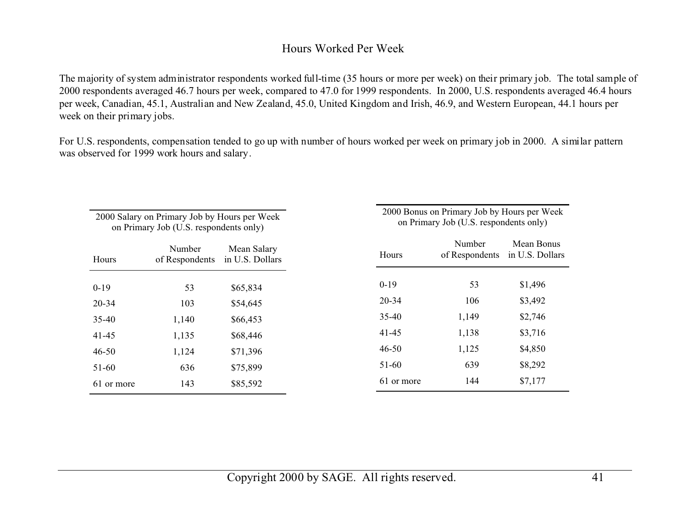#### Hours Worked Per Week

The majority of system administrator respondents worked full-time (35 hours or more per week) on their primary job. The total sample of 2000 respondents averaged 46.7 hours per week, compared to 47.0 for 1999 respondents. In 2000, U.S. respondents averaged 46.4 hours per week, Canadian, 45.1, Australian and New Zealand, 45.0, United Kingdom and Irish, 46.9, and Western European, 44.1 hours per week on their primary jobs.

For U.S. respondents, compensation tended to go up with number of hours worked per week on primary job in 2000. A similar pattern was observed for 1999 work hours and salary.

| 2000 Salary on Primary Job by Hours per Week<br>on Primary Job (U.S. respondents only) |             |  |  |  |  |
|----------------------------------------------------------------------------------------|-------------|--|--|--|--|
| Number<br>of Respondents in U.S. Dollars                                               | Mean Salary |  |  |  |  |
| 53                                                                                     | \$65,834    |  |  |  |  |
| 103                                                                                    | \$54,645    |  |  |  |  |
| 1,140                                                                                  | \$66,453    |  |  |  |  |
| 1,135                                                                                  | \$68,446    |  |  |  |  |
| 1,124                                                                                  | \$71,396    |  |  |  |  |
| 636                                                                                    | \$75,899    |  |  |  |  |
| 143                                                                                    | \$85,592    |  |  |  |  |
|                                                                                        |             |  |  |  |  |

2000 Bonus on Primary Job by Hours per Week on Primary Job (U.S. respondents only)

| Hours      | Number<br>of Respondents | Mean Bonus<br>in U.S. Dollars |
|------------|--------------------------|-------------------------------|
| $0-19$     | 53                       | \$1,496                       |
| $20 - 34$  | 106                      | \$3,492                       |
| 35-40      | 1,149                    | \$2,746                       |
| 41-45      | 1,138                    | \$3,716                       |
| $46 - 50$  | 1,125                    | \$4,850                       |
| $51-60$    | 639                      | \$8,292                       |
| 61 or more | 144                      | \$7,177                       |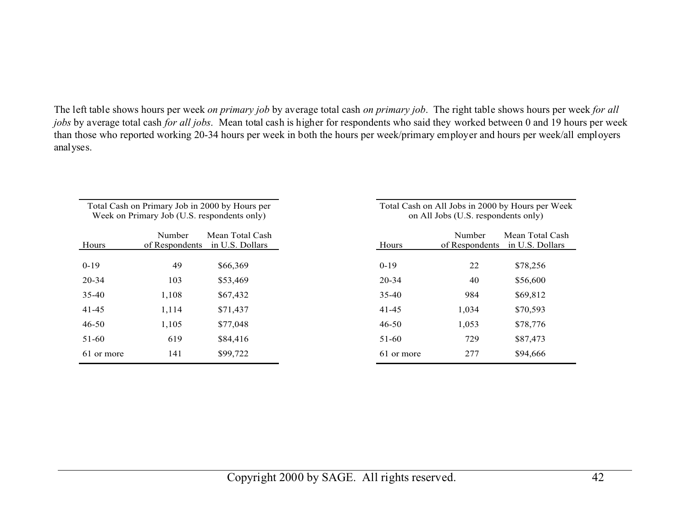The left table shows hours per week *on primary job* by average total cash *on primary job*. The right table shows hours per week *for all jobs* by average total cash *for all jobs*. Mean total cash is higher for respondents who said they worked between 0 and 19 hours per week than those who reported working 20-34 hours per week in both the hours per week/primary employer and hours per week/all employers analyses.

|            | Week on Primary Job (U.S. respondents only) | Total Cash on Primary Job in 2000 by Hours per |            | on All Jobs (U.S. respondents only) | Total Cash on All Jobs in 2000 by Hours per Week |
|------------|---------------------------------------------|------------------------------------------------|------------|-------------------------------------|--------------------------------------------------|
| Hours      | Number<br>of Respondents                    | Mean Total Cash<br>in U.S. Dollars             | Hours      | Number<br>of Respondents            | Mean Total Cash<br>in U.S. Dollars               |
| $0-19$     | 49                                          | \$66,369                                       | $0-19$     | 22                                  | \$78,256                                         |
| 20-34      | 103                                         | \$53,469                                       | 20-34      | 40                                  | \$56,600                                         |
| $35 - 40$  | 1,108                                       | \$67,432                                       | $35 - 40$  | 984                                 | \$69,812                                         |
| $41 - 45$  | 1,114                                       | \$71,437                                       | $41 - 45$  | 1,034                               | \$70,593                                         |
| $46 - 50$  | 1,105                                       | \$77,048                                       | 46-50      | 1,053                               | \$78,776                                         |
| 51-60      | 619                                         | \$84,416                                       | 51-60      | 729                                 | \$87,473                                         |
| 61 or more | 141                                         | \$99,722                                       | 61 or more | 277                                 | \$94,666                                         |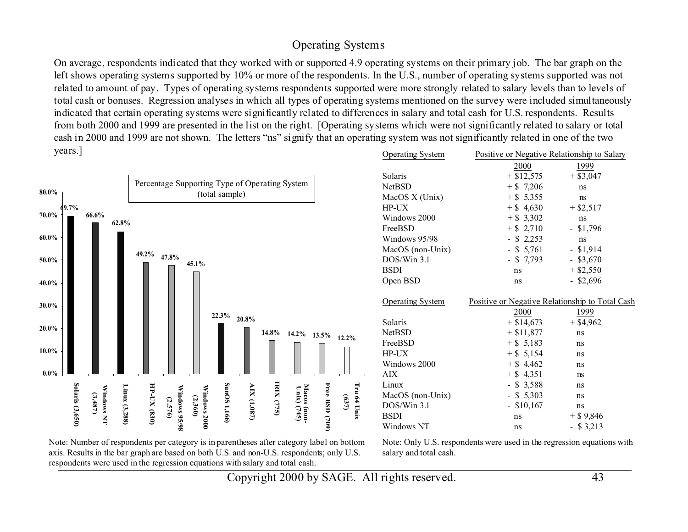#### Operating Systems

On average, respondents indicated that they worked with or supported 4.9 operating systems on their primary job. The bar graph on the left shows operating systems supported by 10% or more of the respondents. In the U.S., number of operating systems supported was not related to amount of pay. Types of operating systems respondents supported were more strongly related to salary levels than to levels of total cash or bonuses. Regression analyses in which all types of operating systems mentioned on the survey were included simultaneously indicated that certain operating systems were significantly related to differences in salary and total cash for U.S. respondents. Results from both 2000 and 1999 are presented in the list on the right. [Operating systems which were not significantly related to salary or total cash in 2000 and 1999 are not shown. The letters "ns" signify that an operating system was not significantly related in one of the two years.] Operating System Positive or Negative Relationship to Salary

| 80.0%                               |                                          | Percentage Supporting Type of Operating System |                          |                         | (total sample)         |             |                   |                                               |                |                      | Solaris<br><b>NetBSD</b>                                                                               | 2000<br>$+$ \$12,575<br>$+ $7,206$                                                                                                     | 1999<br>$+$ \$3,047<br>ns                                                  |  |
|-------------------------------------|------------------------------------------|------------------------------------------------|--------------------------|-------------------------|------------------------|-------------|-------------------|-----------------------------------------------|----------------|----------------------|--------------------------------------------------------------------------------------------------------|----------------------------------------------------------------------------------------------------------------------------------------|----------------------------------------------------------------------------|--|
| 69.7%<br>$70.0\%$<br>60.0%<br>50.0% | 66.6%<br>62.8%                           | $49.2\%$                                       | 47.8%                    | 45.1%                   |                        |             |                   |                                               |                |                      | MacOS X (Unix)<br>HP-UX<br>Windows 2000<br>FreeBSD<br>Windows 95/98<br>MacOS (non-Unix)<br>DOS/Win 3.1 | $+$ \$ 5,355<br>$+$ \$ 4,630<br>$+$ \$ 3,302<br>$+$ \$ 2,710<br>$-$ \$ 2,253<br>$-$ \$ 5,761<br>$-$ \$ 7,793                           | ns<br>$+$ \$2,517<br>ns<br>$-$ \$1,796<br>ns<br>$-$ \$1,914<br>$-$ \$3,670 |  |
| 40.0%                               |                                          |                                                |                          |                         |                        |             |                   |                                               |                |                      | <b>BSDI</b><br>Open BSD                                                                                | ns<br>ns                                                                                                                               | $+$ \$2,550<br>$-$ \$2,696                                                 |  |
| 30.0%<br>20.0%<br>10.0%<br>$0.0\%$  |                                          |                                                |                          |                         | 22.3%                  | 20.8%       | 14.8%             | $14.2\%$                                      | 13.5%          | 12.2%                | <b>Operating System</b><br>Solaris<br><b>NetBSD</b><br>FreeBSD<br>HP-UX<br>Windows 2000                | Positive or Negative Relationship to Total Cash<br>2000<br>$+$ \$14,673<br>$+ $11,877$<br>$+$ \$ 5,183<br>$+$ \$ 5,154<br>$+$ \$ 4,462 | 1999<br>$+$ \$4,962<br>ns<br>ns<br>ns<br>ns                                |  |
|                                     | Solaris (3,650)<br>Windows NT<br>(3,487) | HP-UX (830)<br>Linux (3,288)                   | Windows 95/98<br>(2,576) | Windows 2000<br>(2,360) | SunOS <sub>1,166</sub> | AIX (1,087) | <b>IRIX (775)</b> | Macos<br>Unix)<br>$\frac{(n \cdot n)}{(745)}$ | Free BSD (709) | Tru 64 Unix<br>(237) | <b>AIX</b><br>Linux<br>MacOS (non-Unix)<br>DOS/Win 3.1<br><b>BSDI</b><br>Windows NT                    | $+$ \$ 4,351<br>$-$ \$ 3,588<br>$-$ \$ 5,303<br>$-$ \$10,167<br>ns<br>ns                                                               | ns<br>ns<br>ns<br>ns<br>$+$ \$ 9,846<br>$-$ \$ 3,213                       |  |

Note: Number of respondents per category is in parentheses after category label on bottom axis. Results in the bar graph are based on both U.S. and non-U.S. respondents; only U.S. respondents were used in the regression equations with salary and total cash.

Note: Only U.S. respondents were used in the regression equations with salary and total cash.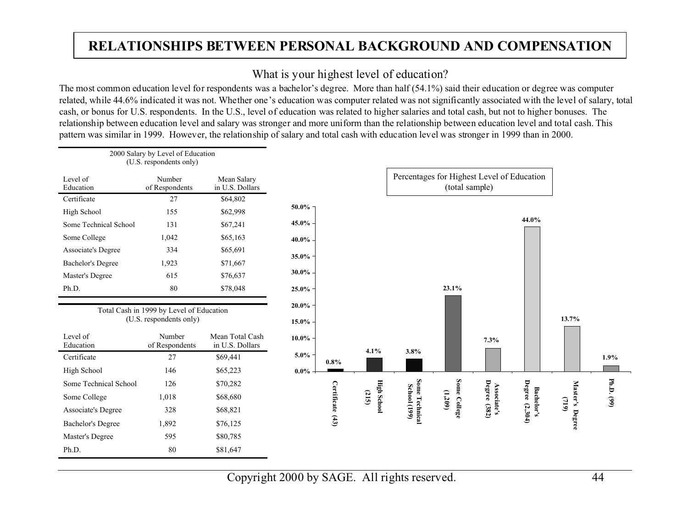# **RELATIONSHIPS BETWEEN PERSONAL BACKGROUND AND COMPENSATION**

### What is your highest level of education?

The most common education level for respondents was a bachelor's degree. More than half (54.1%) said their education or degree was computer related, while 44.6% indicated it was not. Whether one's education was computer related was not significantly associated with the level of salary, total cash, or bonus for U.S. respondents. In the U.S., level of education was related to higher salaries and total cash, but not to higher bonuses. The relationship between education level and salary was stronger and more uniform than the relationship between education level and total cash. This pattern was similar in 1999. However, the relationship of salary and total cash with education level was stronger in 1999 than in 2000.

|                           | 2000 Salary by Level of Education<br>(U.S. respondents only)        |                                    |          |                  |                             |                                            |                |                             |                                     |                   |            |
|---------------------------|---------------------------------------------------------------------|------------------------------------|----------|------------------|-----------------------------|--------------------------------------------|----------------|-----------------------------|-------------------------------------|-------------------|------------|
| Level of<br>Education     | Number<br>of Respondents                                            | Mean Salary<br>in U.S. Dollars     |          |                  |                             | Percentages for Highest Level of Education | (total sample) |                             |                                     |                   |            |
| Certificate               | 27                                                                  | \$64,802                           |          |                  |                             |                                            |                |                             |                                     |                   |            |
| High School               | 155                                                                 | \$62,998                           | 50.0%    |                  |                             |                                            |                |                             |                                     |                   |            |
| Some Technical School     | 131                                                                 | \$67,241                           | 45.0%    |                  |                             |                                            |                |                             | 44.0%                               |                   |            |
| Some College              | 1,042                                                               | \$65,163                           | 40.0%    |                  |                             |                                            |                |                             |                                     |                   |            |
| <b>Associate's Degree</b> | 334                                                                 | \$65,691                           | 35.0%    |                  |                             |                                            |                |                             |                                     |                   |            |
| <b>Bachelor's Degree</b>  | 1,923                                                               | \$71,667                           |          |                  |                             |                                            |                |                             |                                     |                   |            |
| Master's Degree           | 615                                                                 | \$76,637                           | 30.0%    |                  |                             |                                            |                |                             |                                     |                   |            |
| Ph.D.                     | 80                                                                  | \$78,048                           | 25.0%    |                  |                             |                                            | 23.1%          |                             |                                     |                   |            |
|                           |                                                                     |                                    | 20.0%    |                  |                             |                                            |                |                             |                                     |                   |            |
|                           | Total Cash in 1999 by Level of Education<br>(U.S. respondents only) |                                    | $15.0\%$ |                  |                             |                                            |                |                             |                                     | 13.7%             |            |
| Level of<br>Education     | Number<br>of Respondents                                            | Mean Total Cash<br>in U.S. Dollars | $10.0\%$ |                  |                             |                                            |                | 7.3%                        |                                     |                   |            |
| Certificate               | 27                                                                  | \$69,441                           | $5.0\%$  |                  | 4.1%                        | 3.8%                                       |                |                             |                                     |                   | 1.9%       |
| High School               | 146                                                                 | \$65,223                           | $0.0\%$  | $0.8\%$          |                             |                                            |                |                             |                                     |                   |            |
| Some Technical School     | 126                                                                 | \$70,282                           |          |                  |                             |                                            |                |                             |                                     |                   |            |
| Some College              | 1,018                                                               | \$68,680                           |          |                  |                             |                                            |                |                             |                                     |                   |            |
| Associate's Degree        | 328                                                                 | \$68,821                           |          |                  | <b>High School</b><br>(215) |                                            | (1, 209)       |                             |                                     | Master's<br>(719) | Ph.D. (99) |
| <b>Bachelor's Degree</b>  | 1,892                                                               | \$76,125                           |          | Certificate (43) |                             | Some Technical<br><b>School</b> (199)      | Some College   | Associate's<br>Degree (382) | Degree (2,304)<br><b>Bachelor's</b> |                   |            |
| Master's Degree           | 595                                                                 | \$80,785                           |          |                  |                             |                                            |                |                             |                                     | Degree            |            |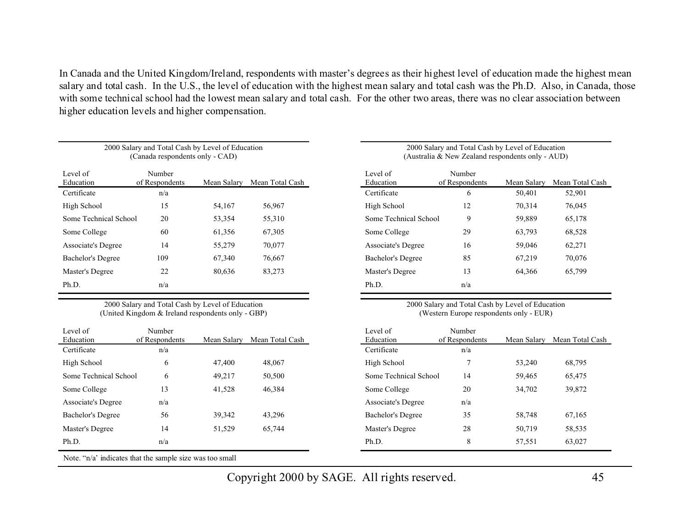In Canada and the United Kingdom/Ireland, respondents with master's degrees as their highest level of education made the highest mean salary and total cash. In the U.S., the level of education with the highest mean salary and total cash was the Ph.D. Also, in Canada, those with some technical school had the lowest mean salary and total cash. For the other two areas, there was no clear association between higher education levels and higher compensation.

| (Canada respondents only - CAD) |                          |             |                 |  |  |  |  |  |
|---------------------------------|--------------------------|-------------|-----------------|--|--|--|--|--|
| Level of<br>Education           | Number<br>of Respondents | Mean Salary | Mean Total Cash |  |  |  |  |  |
| Certificate                     | n/a                      |             |                 |  |  |  |  |  |
| High School                     | 15                       | 54,167      | 56,967          |  |  |  |  |  |
| Some Technical School           | 20                       | 53,354      | 55,310          |  |  |  |  |  |
| Some College                    | 60                       | 61,356      | 67,305          |  |  |  |  |  |
| Associate's Degree              | 14                       | 55,279      | 70,077          |  |  |  |  |  |
| <b>Bachelor's Degree</b>        | 109                      | 67,340      | 76,667          |  |  |  |  |  |
| Master's Degree                 | 22                       | 80,636      | 83,273          |  |  |  |  |  |
| Ph.D.                           | n/a                      |             |                 |  |  |  |  |  |

2000 Salary and Total Cash by Level of Education

2000 Salary and Total Cash by Level of Education (United Kingdom & Ireland respondents only - GBP)

| Level of              | Number         |             |                 |
|-----------------------|----------------|-------------|-----------------|
| Education             | of Respondents | Mean Salarv | Mean Total Cash |
| Certificate           | n/a            |             |                 |
| High School           | 6              | 47,400      | 48,067          |
| Some Technical School | 6              | 49,217      | 50,500          |
| Some College          | 13             | 41,528      | 46,384          |
| Associate's Degree    | n/a            |             |                 |
| Bachelor's Degree     | 56             | 39,342      | 43,296          |
| Master's Degree       | 14             | 51,529      | 65,744          |
| Ph.D.                 | n/a            |             |                 |

#### 2000 Salary and Total Cash by Level of Education (Australia & New Zealand respondents only - AUD)

| Level of              | Number         |             |                 |
|-----------------------|----------------|-------------|-----------------|
| Education             | of Respondents | Mean Salarv | Mean Total Cash |
| Certificate           | 6              | 50,401      | 52,901          |
| High School           | 12             | 70,314      | 76,045          |
| Some Technical School | 9              | 59,889      | 65,178          |
| Some College          | 29             | 63,793      | 68,528          |
| Associate's Degree    | 16             | 59,046      | 62,271          |
| Bachelor's Degree     | 85             | 67,219      | 70,076          |
| Master's Degree       | 13             | 64,366      | 65,799          |
| Ph.D.                 | n/a            |             |                 |

<sup>2000</sup> Salary and Total Cash by Level of Education (Western Europe respondents only - EUR)

| Level of                  | Number         |             |                 |
|---------------------------|----------------|-------------|-----------------|
| Education                 | of Respondents | Mean Salarv | Mean Total Cash |
| Certificate               | n/a            |             |                 |
| High School               | 7              | 53,240      | 68,795          |
| Some Technical School     | 14             | 59,465      | 65,475          |
| Some College              | 20             | 34,702      | 39,872          |
| <b>Associate's Degree</b> | n/a            |             |                 |
| Bachelor's Degree         | 35             | 58,748      | 67,165          |
| Master's Degree           | 28             | 50,719      | 58,535          |
| Ph.D.                     | 8              | 57,551      | 63,027          |

Note. "n/a' indicates that the sample size was too small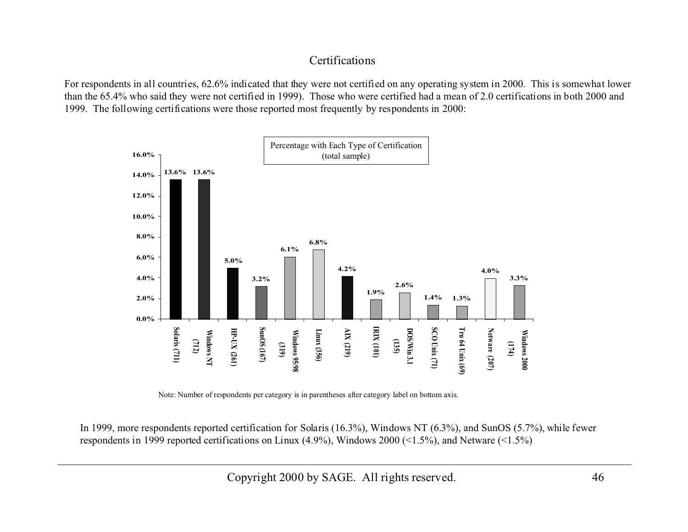#### Certifications

For respondents in all countries, 62.6% indicated that they were not certified on any operating system in 2000. This is somewhat lower than the 65.4% who said they were not certified in 1999). Those who were certified had a mean of 2.0 certifications in both 2000 and 1999. The following certifications were those reported most frequently by respondents in 2000:



Note: Number of respondents per category is in parentheses after category label on bottom axis.

In 1999, more respondents reported certification for Solaris (16.3%), Windows NT (6.3%), and SunOS (5.7%), while fewer respondents in 1999 reported certifications on Linux (4.9%), Windows 2000 (<1.5%), and Netware (<1.5%)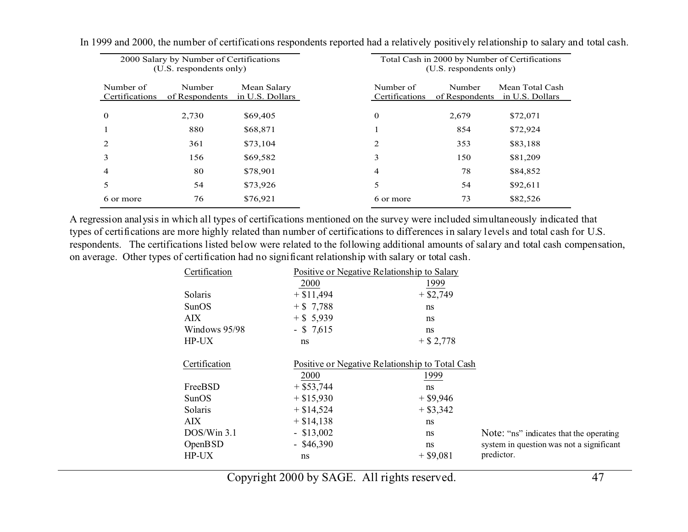|                             | 2000 Salary by Number of Certifications<br>(U.S. respondents only) |                                |                             | Total Cash in 2000 by Number of Certifications<br>(U.S. respondents only) |                                    |  |  |
|-----------------------------|--------------------------------------------------------------------|--------------------------------|-----------------------------|---------------------------------------------------------------------------|------------------------------------|--|--|
| Number of<br>Certifications | Number<br>of Respondents                                           | Mean Salary<br>in U.S. Dollars | Number of<br>Certifications | Number<br>of Respondents                                                  | Mean Total Cash<br>in U.S. Dollars |  |  |
| $\mathbf 0$                 | 2,730                                                              | \$69,405                       | $\mathbf{0}$                | 2,679                                                                     | \$72,071                           |  |  |
|                             | 880                                                                | \$68,871                       |                             | 854                                                                       | \$72,924                           |  |  |
|                             | 361                                                                | \$73,104                       | 2                           | 353                                                                       | \$83,188                           |  |  |
| 3                           | 156                                                                | \$69,582                       | 3                           | 150                                                                       | \$81,209                           |  |  |
| 4                           | 80                                                                 | \$78,901                       | 4                           | 78                                                                        | \$84,852                           |  |  |
| 5                           | 54                                                                 | \$73,926                       | 5                           | 54                                                                        | \$92,611                           |  |  |
| 6 or more                   | 76                                                                 | \$76,921                       | 6 or more                   | 73                                                                        | \$82,526                           |  |  |

In 1999 and 2000, the number of certifications respondents reported had a relatively positively relationship to salary and total cash.

A regression analysis in which all types of certifications mentioned on the survey were included simultaneously indicated that types of certifications are more highly related than number of certifications to differences in salary levels and total cash for U.S. respondents. The certifications listed below were related to the following additional amounts of salary and total cash compensation, on average. Other types of certification had no significant relationship with salary or total cash.

| Certification  |              | Positive or Negative Relationship to Salary     |                                          |
|----------------|--------------|-------------------------------------------------|------------------------------------------|
|                | 2000         | 1999                                            |                                          |
| Solaris        | $+$ \$11,494 | $+$ \$2,749                                     |                                          |
| SunOS          | $+ $7,788$   | ns                                              |                                          |
| <b>AIX</b>     | $+$ \$ 5,939 | ns                                              |                                          |
| Windows 95/98  | $-$ \$ 7,615 | ns                                              |                                          |
| HP-UX          | ns           | $+$ \$ 2,778                                    |                                          |
| Certification  |              | Positive or Negative Relationship to Total Cash |                                          |
|                | 2000         | 1999                                            |                                          |
| FreeBSD        | $+$ \$53,744 | ns                                              |                                          |
| <b>SunOS</b>   | $+$ \$15,930 | $+$ \$9,946                                     |                                          |
| Solaris        | $+$ \$14,524 | $+$ \$3,342                                     |                                          |
| <b>AIX</b>     | $+$ \$14,138 | ns                                              |                                          |
| $DOS/W$ in 3.1 | $-$ \$13,002 | ns                                              | Note: "ns" indicates that the operating  |
| <b>OpenBSD</b> | $-$ \$46,390 | ns                                              | system in question was not a significant |
| HP-UX          | ns           | $+$ \$9,081                                     | predictor.                               |
|                |              |                                                 |                                          |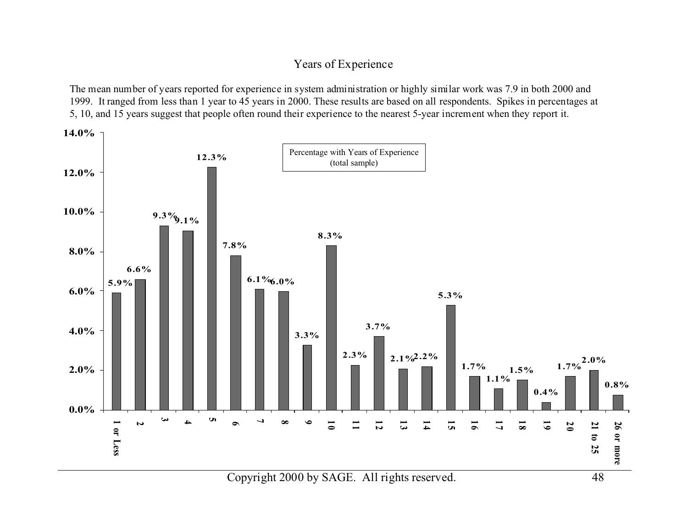#### Years of Experience

The mean number of years reported for experience in system administration or highly similar work was 7.9 in both 2000 and 1999. It ranged from less than 1 year to 45 years in 2000. These results are based on all respondents. Spikes in percentages at 5, 10, and 15 years suggest that people often round their experience to the nearest 5-year increment when they report it.

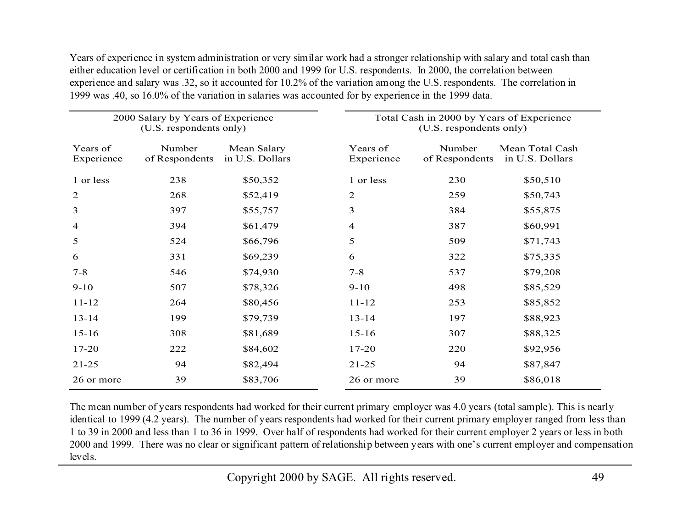Years of experience in system administration or very similar work had a stronger relationship with salary and total cash than either education level or certification in both 2000 and 1999 for U.S. respondents. In 2000, the correlation between experience and salary was .32, so it accounted for 10.2% of the variation among the U.S. respondents. The correlation in 1999 was .40, so 16.0% of the variation in salaries was accounted for by experience in the 1999 data.

|                        | 2000 Salary by Years of Experience<br>(U.S. respondents only) |                                | Total Cash in 2000 by Years of Experience<br>(U.S. respondents only) |                          |                                    |  |
|------------------------|---------------------------------------------------------------|--------------------------------|----------------------------------------------------------------------|--------------------------|------------------------------------|--|
| Years of<br>Experience | Number<br>of Respondents                                      | Mean Salary<br>in U.S. Dollars | Years of<br>Experience                                               | Number<br>of Respondents | Mean Total Cash<br>in U.S. Dollars |  |
| 1 or less              | 238                                                           | \$50,352                       | 1 or less                                                            | 230                      | \$50,510                           |  |
| $\overline{2}$         | 268                                                           | \$52,419                       | $\mathfrak{D}$                                                       | 259                      | \$50,743                           |  |
| 3                      | 397                                                           | \$55,757                       | 3                                                                    | 384                      | \$55,875                           |  |
| 4                      | 394                                                           | \$61,479                       | 4                                                                    | 387                      | \$60,991                           |  |
| 5                      | 524                                                           | \$66,796                       | 5                                                                    | 509                      | \$71,743                           |  |
| 6                      | 331                                                           | \$69,239                       | 6                                                                    | 322                      | \$75,335                           |  |
| $7 - 8$                | 546                                                           | \$74,930                       | $7 - 8$                                                              | 537                      | \$79,208                           |  |
| $9 - 10$               | 507                                                           | \$78,326                       | $9 - 10$                                                             | 498                      | \$85,529                           |  |
| $11 - 12$              | 264                                                           | \$80,456                       | $11 - 12$                                                            | 253                      | \$85,852                           |  |
| $13 - 14$              | 199                                                           | \$79,739                       | $13 - 14$                                                            | 197                      | \$88,923                           |  |
| $15 - 16$              | 308                                                           | \$81,689                       | $15 - 16$                                                            | 307                      | \$88,325                           |  |
| $17 - 20$              | 222                                                           | \$84,602                       | $17 - 20$                                                            | 220                      | \$92,956                           |  |
| $21 - 25$              | 94                                                            | \$82,494                       | $21 - 25$                                                            | 94                       | \$87,847                           |  |
| 26 or more             | 39                                                            | \$83,706                       | 26 or more                                                           | 39                       | \$86,018                           |  |

The mean number of years respondents had worked for their current primary employer was 4.0 years (total sample). This is nearly identical to 1999 (4.2 years). The number of years respondents had worked for their current primary employer ranged from less than 1 to 39 in 2000 and less than 1 to 36 in 1999. Over half of respondents had worked for their current employer 2 years or less in both 2000 and 1999. There was no clear or significant pattern of relationship between years with one's current employer and compensation levels.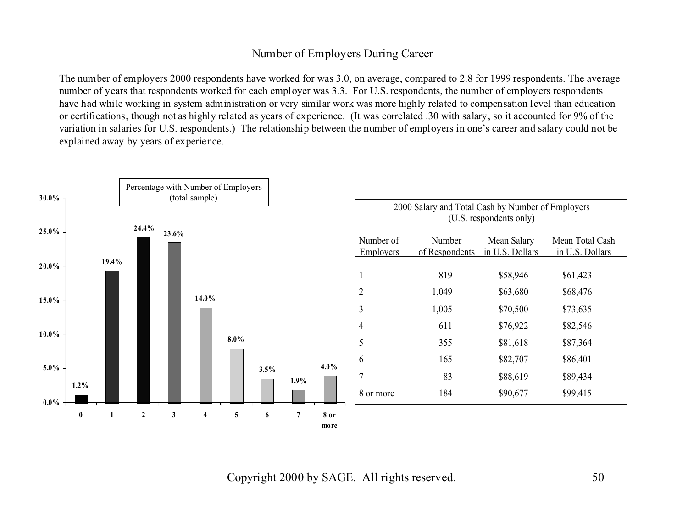### Number of Employers During Career

The number of employers 2000 respondents have worked for was 3.0, on average, compared to 2.8 for 1999 respondents. The average number of years that respondents worked for each employer was 3.3. For U.S. respondents, the number of employers respondents have had while working in system administration or very similar work was more highly related to compensation level than education or certifications, though not as highly related as years of experience. (It was correlated .30 with salary, so it accounted for 9% of the variation in salaries for U.S. respondents.) The relationship between the number of employers in one's career and salary could not be explained away by years of experience.

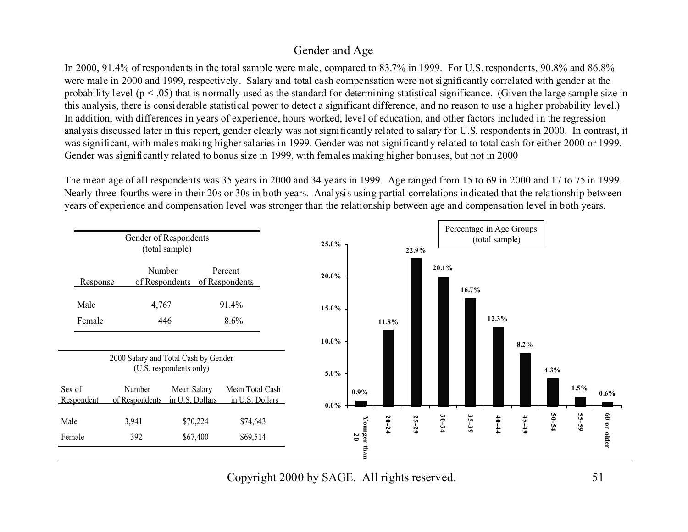#### Gender and Age

In 2000, 91.4% of respondents in the total sample were male, compared to 83.7% in 1999. For U.S. respondents, 90.8% and 86.8% were male in 2000 and 1999, respectively. Salary and total cash compensation were not significantly correlated with gender at the probability level ( $p < .05$ ) that is normally used as the standard for determining statistical significance. (Given the large sample size in this analysis, there is considerable statistical power to detect a significant difference, and no reason to use a higher probability level.) In addition, with differences in years of experience, hours worked, level of education, and other factors included in the regression analysis discussed later in this report, gender clearly was not significantly related to salary for U.S. respondents in 2000. In contrast, it was significant, with males making higher salaries in 1999. Gender was not significantly related to total cash for either 2000 or 1999. Gender was significantly related to bonus size in 1999, with females making higher bonuses, but not in 2000

The mean age of all respondents was 35 years in 2000 and 34 years in 1999. Age ranged from 15 to 69 in 2000 and 17 to 75 in 1999. Nearly three-fourths were in their 20s or 30s in both years. Analysis using partial correlations indicated that the relationship between years of experience and compensation level was stronger than the relationship between age and compensation level in both years.

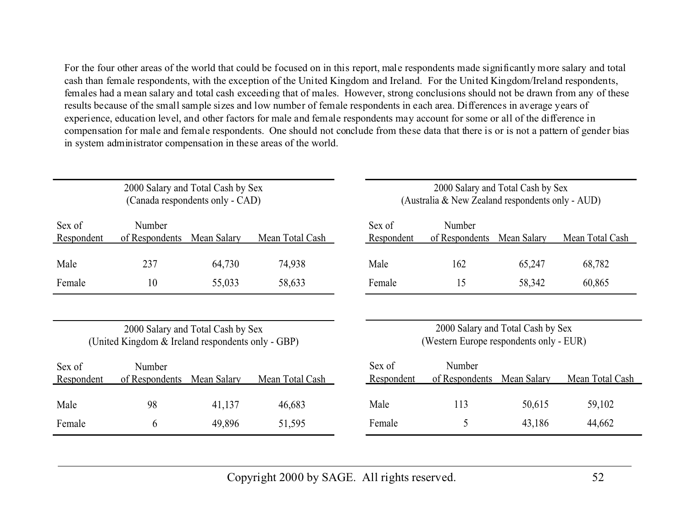For the four other areas of the world that could be focused on in this report, male respondents made significantly more salary and total cash than female respondents, with the exception of the United Kingdom and Ireland. For the United Kingdom/Ireland respondents, females had a mean salary and total cash exceeding that of males. However, strong conclusions should not be drawn from any of these results because of the small sample sizes and low number of female respondents in each area. Differences in average years of experience, education level, and other factors for male and female respondents may account for some or all of the difference in compensation for male and female respondents. One should not conclude from these data that there is or is not a pattern of gender bias in system administrator compensation in these areas of the world.

|                      | 2000 Salary and Total Cash by Sex<br>(Canada respondents only - CAD) |                                   |                 |                      | 2000 Salary and Total Cash by Sex<br>(Australia & New Zealand respondents only - AUD) |             |                 |  |
|----------------------|----------------------------------------------------------------------|-----------------------------------|-----------------|----------------------|---------------------------------------------------------------------------------------|-------------|-----------------|--|
| Sex of<br>Respondent | Number<br>of Respondents                                             | Mean Salary                       | Mean Total Cash | Sex of<br>Respondent | Number<br>of Respondents                                                              | Mean Salary | Mean Total Cash |  |
| Male                 | 237                                                                  | 64,730                            | 74,938          | Male                 | 162                                                                                   | 65,247      | 68,782          |  |
| Female               | 10                                                                   | 55,033                            | 58,633          | Female               | 15                                                                                    | 58,342      | 60,865          |  |
|                      | (United Kingdom & Ireland respondents only - GBP)                    | 2000 Salary and Total Cash by Sex |                 |                      | 2000 Salary and Total Cash by Sex<br>(Western Europe respondents only - EUR)          |             |                 |  |
|                      |                                                                      |                                   |                 |                      |                                                                                       |             |                 |  |
| Sex of<br>Respondent | Number<br>of Respondents                                             | Mean Salary                       | Mean Total Cash | Sex of<br>Respondent | Number<br>of Respondents                                                              | Mean Salary | Mean Total Cash |  |
| Male                 | 98                                                                   | 41,137                            | 46,683          | Male                 | 113                                                                                   | 50,615      | 59,102          |  |
| Female               | 6                                                                    | 49,896                            | 51,595          | Female               | 5                                                                                     | 43,186      | 44,662          |  |
|                      |                                                                      |                                   |                 |                      |                                                                                       |             |                 |  |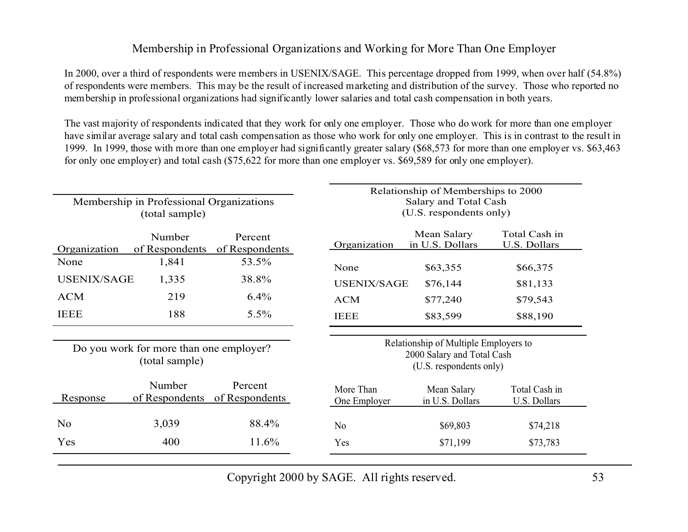#### Membership in Professional Organizations and Working for More Than One Employer

In 2000, over a third of respondents were members in USENIX/SAGE. This percentage dropped from 1999, when over half (54.8%) of respondents were members. This may be the result of increased marketing and distribution of the survey. Those who reported no membership in professional organizations had significantly lower salaries and total cash compensation in both years.

The vast majority of respondents indicated that they work for only one employer. Those who do work for more than one employer have similar average salary and total cash compensation as those who work for only one employer. This is in contrast to the result in 1999. In 1999, those with more than one employer had significantly greater salary (\$68,573 for more than one employer vs. \$63,463 for only one employer) and total cash (\$75,622 for more than one employer vs. \$69,589 for only one employer).

|                    | Membership in Professional Organizations<br>(total sample) |                           | Relationship of Memberships to 2000<br>Salary and Total Cash<br>(U.S. respondents only) |                                                                                                |                                      |  |
|--------------------|------------------------------------------------------------|---------------------------|-----------------------------------------------------------------------------------------|------------------------------------------------------------------------------------------------|--------------------------------------|--|
| Organization       | Number<br>of Respondents                                   | Percent<br>of Respondents | Organization                                                                            | Mean Salary<br>in U.S. Dollars                                                                 | Total Cash in<br><b>U.S. Dollars</b> |  |
| None               | 1,841                                                      | 53.5%                     | None                                                                                    | \$63,355                                                                                       | \$66,375                             |  |
| <b>USENIX/SAGE</b> | 1,335                                                      | 38.8%                     | <b>USENIX/SAGE</b>                                                                      | \$76,144                                                                                       | \$81,133                             |  |
| <b>ACM</b>         | 219                                                        | $6.4\%$                   | <b>ACM</b>                                                                              | \$77,240                                                                                       | \$79,543                             |  |
| <b>IEEE</b>        | 188                                                        | $5.5\%$                   | <b>IEEE</b>                                                                             | \$83,599                                                                                       | \$88,190                             |  |
|                    | Do you work for more than one employer?<br>(total sample)  |                           |                                                                                         | Relationship of Multiple Employers to<br>2000 Salary and Total Cash<br>(U.S. respondents only) |                                      |  |
| Response           | Number<br>of Respondents                                   | Percent<br>of Respondents | More Than<br>One Employer                                                               | Mean Salary<br>in U.S. Dollars                                                                 | Total Cash in<br>U.S. Dollars        |  |
| N <sub>o</sub>     | 3,039                                                      | 88.4%                     | N <sub>o</sub>                                                                          | \$69,803                                                                                       | \$74,218                             |  |
| Yes                | 400                                                        | 11.6%                     | Yes                                                                                     | \$71,199                                                                                       | \$73,783                             |  |
|                    |                                                            |                           |                                                                                         |                                                                                                |                                      |  |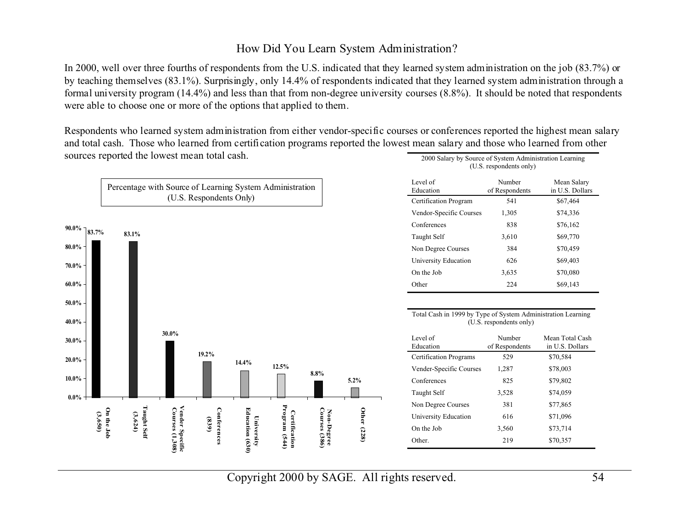#### How Did You Learn System Administration?

In 2000, well over three fourths of respondents from the U.S. indicated that they learned system administration on the job (83.7%) or by teaching themselves (83.1%). Surprisingly, only 14.4% of respondents indicated that they learned system administration through a formal university program (14.4%) and less than that from non-degree university courses (8.8%). It should be noted that respondents were able to choose one or more of the options that applied to them.

Respondents who learned system administration from either vendor-specific courses or conferences reported the highest mean salary and total cash. Those who learned from certification programs reported the lowest mean salary and those who learned from other sources reported the lowest mean total cash. 2000 Salary by Source of System Administration Learning

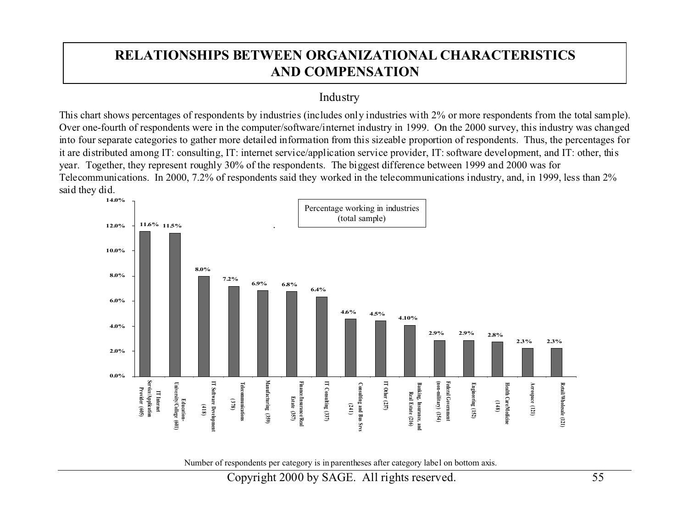# **RELATIONSHIPS BETWEEN ORGANIZATIONAL CHARACTERISTICSAND COMPENSATION**

#### Industry

This chart shows percentages of respondents by industries (includes only industries with 2% or more respondents from the total sample). Over one-fourth of respondents were in the computer/software/internet industry in 1999. On the 2000 survey, this industry was changed into four separate categories to gather more detailed information from this sizeable proportion of respondents. Thus, the percentages for it are distributed among IT: consulting, IT: internet service/application service provider, IT: software development, and IT: other, this year. Together, they represent roughly 30% of the respondents. The biggest difference between 1999 and 2000 was for Telecommunications. In 2000, 7.2% of respondents said they worked in the telecommunications industry, and, in 1999, less than 2% said they did.



Number of respondents per category is in parentheses after category label on bottom axis.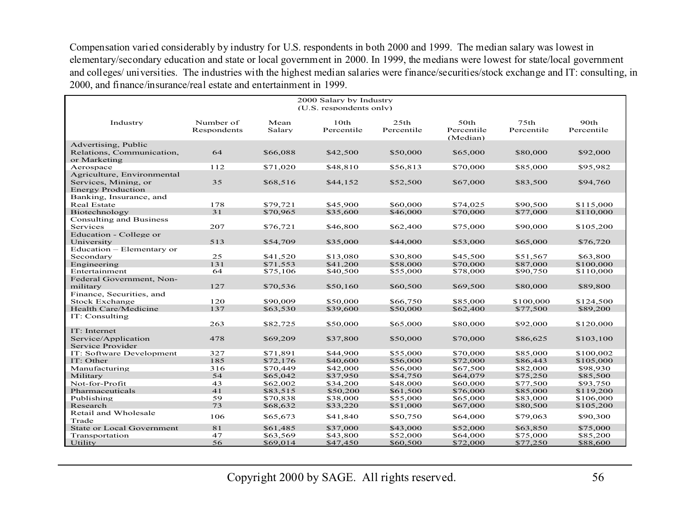Compensation varied considerably by industry for U.S. respondents in both 2000 and 1999. The median salary was lowest in elementary/secondary education and state or local government in 2000. In 1999, the medians were lowest for state/local government and colleges/ universities. The industries with the highest median salaries were finance/securities/stock exchange and IT: consulting, in 2000, and finance/insurance/real estate and entertainment in 1999.

| 2000 Salary by Industry<br>(U.S. respondents only) |                          |                |                    |                    |                                |                                |                    |  |
|----------------------------------------------------|--------------------------|----------------|--------------------|--------------------|--------------------------------|--------------------------------|--------------------|--|
| Industry                                           | Number of<br>Respondents | Mean<br>Salary | 10th<br>Percentile | 25th<br>Percentile | 50th<br>Percentile<br>(Median) | 75 <sub>th</sub><br>Percentile | 90th<br>Percentile |  |
| Advertising, Public                                |                          |                |                    |                    |                                |                                |                    |  |
| Relations, Communication,<br>or Marketing          | 64                       | \$66,088       | \$42,500           | \$50,000           | \$65,000                       | \$80,000                       | \$92,000           |  |
| Aerospace                                          | 112                      | \$71,020       | \$48,810           | \$56,813           | \$70,000                       | \$85,000                       | \$95,982           |  |
| Agriculture, Environmental                         |                          |                |                    |                    |                                |                                |                    |  |
| Services, Mining, or<br><b>Energy Production</b>   | 35                       | \$68,516       | \$44,152           | \$52,500           | \$67,000                       | \$83,500                       | \$94,760           |  |
| Banking, Insurance, and                            |                          |                |                    |                    |                                |                                |                    |  |
| <b>Real Estate</b>                                 | 178                      | \$79,721       | \$45,900           | \$60,000           | \$74,025                       | \$90,500                       | \$115,000          |  |
| Biotechnology                                      | 31                       | \$70,965       | \$35,600           | \$46,000           | \$70,000                       | \$77,000                       | \$110,000          |  |
| <b>Consulting and Business</b>                     |                          |                |                    |                    |                                |                                |                    |  |
| Services                                           | 207                      | \$76.721       | \$46,800           | \$62,400           | \$75,000                       | \$90,000                       | \$105,200          |  |
| Education - College or                             |                          |                |                    |                    |                                |                                |                    |  |
| University                                         | 513                      | \$54,709       | \$35,000           | \$44,000           | \$53,000                       | \$65,000                       | \$76,720           |  |
| Education - Elementary or                          |                          |                |                    |                    |                                |                                |                    |  |
| Secondary                                          | 25                       | \$41,520       | \$13,080           | \$30,800           | \$45,500                       | \$51,567                       | \$63,800           |  |
| Engineering                                        | 131                      | \$71,553       | \$41,200           | \$58,000           | \$70,000                       | \$87,000                       | \$100,000          |  |
| Entertainment                                      | 64                       | \$75,106       | \$40,500           | \$55,000           | \$78,000                       | \$90,750                       | \$110,000          |  |
| Federal Government, Non-                           |                          |                |                    |                    |                                |                                |                    |  |
| military                                           | 127                      | \$70,536       | \$50,160           | \$60,500           | \$69,500                       | \$80,000                       | \$89,800           |  |
| Finance, Securities, and                           |                          |                |                    |                    |                                |                                |                    |  |
| Stock Exchange                                     | 120                      | \$90,009       | \$50,000           | \$66,750           | \$85,000                       | \$100,000                      | \$124,500          |  |
| Health Care/Medicine                               | 137                      | \$63,530       | \$39,600           | \$50,000           | \$62,400                       | \$77,500                       | \$89,200           |  |
| IT: Consulting                                     |                          |                |                    |                    |                                |                                |                    |  |
|                                                    | 263                      | \$82,725       | \$50,000           | \$65,000           | \$80,000                       | \$92,000                       | \$120,000          |  |
| IT: Internet                                       |                          |                |                    |                    |                                |                                |                    |  |
| Service/Application                                | 478                      | \$69,209       | \$37,800           | \$50,000           | \$70,000                       | \$86,625                       | \$103,100          |  |
| Service Provider                                   |                          |                |                    |                    |                                |                                |                    |  |
| IT: Software Development                           | 327                      | \$71,891       | \$44,900           | \$55,000           | \$70,000                       | \$85,000                       | \$100,002          |  |
| IT: Other                                          | 185                      | \$72,176       | \$40,600           | \$56,000           | \$72,000                       | \$86,443                       | \$105,000          |  |
| Manufacturing                                      | 316                      | \$70,449       | \$42,000           | \$56,000           | \$67,500                       | \$82,000                       | \$98,930           |  |
| Military                                           | 54                       | \$65,042       | \$37,950           | \$54,750           | \$64,079                       | \$75,250                       | \$85,500           |  |
| Not-for-Profit                                     | 43                       | \$62,002       | \$34,200           | \$48,000           | \$60,000                       | \$77,500                       | \$93,750           |  |
| Pharmaceuticals                                    | 41                       | \$83,515       | \$50,200           | \$61,500           | \$76,000                       | \$85,000                       | \$119,200          |  |
| Publishing                                         | 59                       | \$70,838       | \$38,000           | \$55,000           | \$65,000                       | \$83,000                       | \$106,000          |  |
| Research                                           | 73                       | \$68,632       | \$33,220           | \$51,000           | \$67,000                       | \$80,500                       | \$105,200          |  |
| Retail and Wholesale                               | 106                      | \$65,673       | \$41,840           | \$50,750           | \$64,000                       | \$79,063                       | \$90,300           |  |
| Trade                                              |                          |                |                    |                    |                                |                                |                    |  |
| <b>State or Local Government</b>                   | 81                       | \$61,485       | \$37,000           | \$43,000           | \$52,000                       | \$63,850                       | \$75,000           |  |
| Transportation                                     | 47                       | \$63,569       | \$43,800           | \$52,000           | \$64,000                       | \$75,000                       | \$85,200           |  |
| Utility                                            | 56                       | \$69,014       | \$47,450           | \$60,500           | \$72,000                       | \$77,250                       | \$88,600           |  |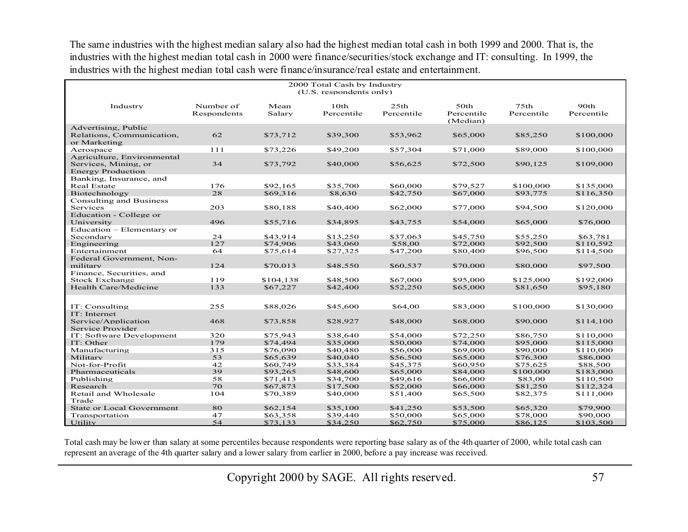The same industries with the highest median salary also had the highest median total cash in both 1999 and 2000. That is, the industries with the highest median total cash in 2000 were finance/securities/stock exchange and IT: consulting. In 1999, the industries with the highest median total cash were finance/insurance/real estate and entertainment.

| 2000 Total Cash by Industry<br>(U.S. respondents only)                         |                          |                |                    |                    |                                |                                |                    |  |
|--------------------------------------------------------------------------------|--------------------------|----------------|--------------------|--------------------|--------------------------------|--------------------------------|--------------------|--|
| Industry                                                                       | Number of<br>Respondents | Mean<br>Salary | 10th<br>Percentile | 25th<br>Percentile | 50th<br>Percentile<br>(Median) | 75 <sub>th</sub><br>Percentile | 90th<br>Percentile |  |
| Advertising, Public<br>Relations, Communication,<br>or Marketing               | 62                       | \$73,712       | \$39,300           | \$53,962           | \$65,000                       | \$85,250                       | \$100,000          |  |
| Aerospace                                                                      | 111                      | \$73,226       | \$49,200           | \$57,304           | \$71,000                       | \$89,000                       | \$100,000          |  |
| Agriculture, Environmental<br>Services, Mining, or<br><b>Energy Production</b> | 34                       | \$73,792       | \$40,000           | \$56,625           | \$72,500                       | \$90,125                       | \$109,000          |  |
| Banking, Insurance, and                                                        |                          |                |                    |                    |                                |                                |                    |  |
| Real Estate                                                                    | 176                      | \$92,165       | \$35,700           | \$60,000           | \$79,527                       | \$100,000                      | \$135,000          |  |
| Biotechnology                                                                  | 28                       | \$69,316       | \$8,630            | \$42,750           | \$67,000                       | \$93,775                       | \$116,350          |  |
| <b>Consulting and Business</b><br>Services                                     | 203                      | \$80,188       | \$40,400           | \$62,000           | \$77,000                       | \$94,500                       | \$120,000          |  |
| Education - College or<br>University                                           | 496                      | \$55,716       | \$34,895           | \$43,755           | \$54,000                       | \$65,000                       | \$76,000           |  |
| Education - Elementary or                                                      |                          |                |                    |                    |                                |                                |                    |  |
| Secondary                                                                      | 24                       | \$43.914       | \$13,250           | \$37,063           | \$45,750                       | \$55,250                       | \$63,781           |  |
| Engineering                                                                    | 127                      | \$74,906       | \$43,060           | \$58,00            | \$72,000                       | \$92,500                       | \$110,592          |  |
| Entertainment                                                                  | 64                       | \$75,614       | \$27,325           | \$47,200           | \$80,400                       | \$96,500                       | \$114,500          |  |
| Federal Government, Non-<br>military                                           | 124                      | \$70.013       | \$48,550           | \$60,537           | \$70,000                       | \$80,000                       | \$97.500           |  |
| Finance, Securities, and                                                       |                          |                |                    |                    |                                |                                |                    |  |
| <b>Stock Exchange</b>                                                          | 119                      | \$104,138      | \$48,500           | \$67,000           | \$95,000                       | \$125,000                      | \$192,000          |  |
| <b>Health Care/Medicine</b>                                                    | 133                      | \$67,227       | \$42,400           | \$52,250           | \$65,000                       | \$81,650                       | \$95,180           |  |
| IT: Consulting<br>IT: Internet                                                 | 255                      | \$88,026       | \$45,600           | \$64,00            | \$83,000                       | \$100,000                      | \$130,000          |  |
| Service/Application<br>Service Provider                                        | 468                      | \$73,858       | \$28,927           | \$48,000           | \$68,000                       | \$90,000                       | \$114,100          |  |
| IT: Software Development                                                       | 320                      | \$75,943       | \$38,640           | \$54,000           | \$72,250                       | \$86,750                       | \$110,000          |  |
| IT: Other                                                                      | 179                      | \$74,494       | \$35,000           | \$50,000           | \$74,000                       | \$95,000                       | \$115,000          |  |
| Manufacturing                                                                  | 315                      | \$76,090       | \$40,480           | \$56,000           | \$69,000                       | \$90,000                       | \$110,000          |  |
| Military                                                                       | 53                       | \$65,639       | \$40,040           | \$56,500           | \$65,000                       | \$76,300                       | \$86,000           |  |
| Not-for-Profit                                                                 | 42                       | \$60,749       | \$33,384           | \$45.375           | \$60,950                       | \$75,625                       | \$88,500           |  |
| Pharmaceuticals                                                                | 39                       | \$93,265       | \$48,600           | \$65,000           | \$84,000                       | \$100,000                      | \$183,000          |  |
| Publishing                                                                     | 58                       | \$71,413       | \$34,700           | \$49,616           | \$66,000                       | \$83,00                        | \$110,500          |  |
| Research                                                                       | 70                       | \$67,873       | \$17,500           | \$52,000           | \$66,000                       | \$81,250                       | \$112,324          |  |
| Retail and Wholesale                                                           | 104                      | \$70,389       | \$40,000           | \$51,400           | \$65,500                       | \$82,375                       | \$111,000          |  |
| Trade                                                                          |                          |                |                    |                    |                                |                                |                    |  |
| <b>State or Local Government</b>                                               | 80                       | \$62,154       | \$35,100           | \$41,250           | \$53,500                       | \$65,320                       | \$79,900           |  |
| Transportation                                                                 | 47                       | \$63,358       | \$39,440           | \$50,000           | \$65,000                       | \$78,000                       | \$90,000           |  |
| <b>Utility</b>                                                                 | 54                       | \$73.133       | \$34,250           | \$62,750           | \$75,000                       | \$86,125                       | \$103,500          |  |

Total cash may be lower than salary at some percentiles because respondents were reporting base salary as of the 4th quarter of 2000, while total cash can represent an average of the 4th quarter salary and a lower salary from earlier in 2000, before a pay increase was received.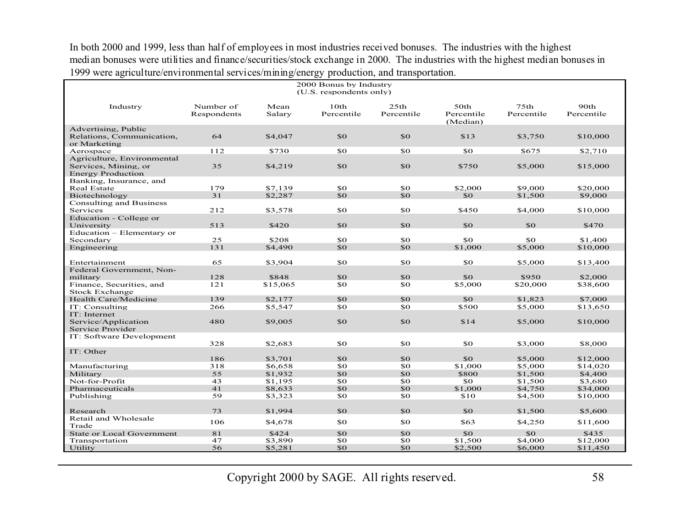In both 2000 and 1999, less than half of employees in most industries received bonuses. The industries with the highest median bonuses were utilities and finance/securities/stock exchange in 2000. The industries with the highest median bonuses in 1999 were agriculture/environmental services/mining/energy production, and transportation.

| 2000 Bonus by Industry<br>(U.S. respondents only)                              |                          |                |                    |                                |                                |                                |                    |  |
|--------------------------------------------------------------------------------|--------------------------|----------------|--------------------|--------------------------------|--------------------------------|--------------------------------|--------------------|--|
| Industry                                                                       | Number of<br>Respondents | Mean<br>Salary | 10th<br>Percentile | 25 <sub>th</sub><br>Percentile | 50th<br>Percentile<br>(Median) | 75 <sub>th</sub><br>Percentile | 90th<br>Percentile |  |
| Advertising, Public<br>Relations, Communication,<br>or Marketing               | 64                       | \$4,047        | \$0                | SO <sub>2</sub>                | \$13                           | \$3,750                        | \$10,000           |  |
| Aerospace                                                                      | 112                      | \$730          | \$0                | \$0                            | \$0                            | \$675                          | \$2,710            |  |
| Agriculture, Environmental<br>Services, Mining, or<br><b>Energy Production</b> | 35                       | \$4,219        | \$0                | \$0                            | \$750                          | \$5,000                        | \$15,000           |  |
| Banking, Insurance, and<br><b>Real Estate</b>                                  | 179                      | \$7.139        | \$0                | \$0                            | \$2,000                        | \$9,000                        | \$20,000           |  |
| Biotechnology                                                                  | 31                       | \$2,287        | \$0                | SO <sub>2</sub>                | \$0                            | \$1,500                        | \$9,000            |  |
| <b>Consulting and Business</b>                                                 |                          |                |                    |                                |                                |                                |                    |  |
| Services                                                                       | 212                      | \$3,578        | \$0                | \$0                            | \$450                          | \$4,000                        | \$10,000           |  |
| Education - College or                                                         |                          |                |                    |                                |                                |                                |                    |  |
| University                                                                     | 513                      | \$420          | \$0                | \$0                            | \$0                            | \$0                            | \$470              |  |
| Education – Elementary or                                                      |                          |                |                    |                                |                                |                                |                    |  |
| Secondary                                                                      | 25                       | \$208          | \$0                | \$0                            | SO.                            | \$0                            | \$1,400            |  |
| Engineering                                                                    | 131                      | \$4,490        | \$0                | \$0                            | \$1,000                        | \$5,000                        | \$10,000           |  |
| Entertainment                                                                  | 65                       | \$3,904        | \$0                | \$0                            | \$0                            | \$5,000                        | \$13,400           |  |
| Federal Government, Non-                                                       |                          |                |                    |                                |                                |                                |                    |  |
| military                                                                       | 128                      | \$848          | \$0                | \$0                            | \$0                            | \$950                          | \$2,000            |  |
| Finance, Securities, and<br><b>Stock Exchange</b>                              | 121                      | \$15,065       | \$0                | \$0                            | \$5,000                        | \$20,000                       | \$38,600           |  |
| Health Care/Medicine                                                           | 139                      | \$2,177        | \$0                | \$0                            | \$0                            | \$1,823                        | \$7,000            |  |
| IT: Consulting                                                                 | 266                      | \$5,547        | \$0                | \$0                            | \$500                          | \$5,000                        | \$13,650           |  |
| IT: Internet<br>Service/Application<br>Service Provider                        | 480                      | \$9,005        | \$0                | \$0                            | \$14                           | \$5,000                        | \$10,000           |  |
| IT: Software Development                                                       | 328                      | \$2,683        | \$0                | \$0                            | \$0                            | \$3,000                        | \$8,000            |  |
| IT: Other                                                                      | 186                      | \$3,701        | \$0                | SO <sub>2</sub>                | \$0                            | \$5,000                        | \$12,000           |  |
| Manufacturing                                                                  | 318                      | \$6,658        | \$0                | \$0                            | \$1,000                        | \$5,000                        | \$14,020           |  |
| Military                                                                       | 55                       | \$1,932        | \$0                | \$0                            | \$800                          | \$1,500                        | \$4,400            |  |
| Not-for-Profit                                                                 | 43                       | \$1,195        | \$0                | \$0                            | \$0                            | \$1,500                        | \$3,680            |  |
| Pharmaceuticals                                                                | 41                       | \$8,633        | \$0                | \$0                            | \$1,000                        | \$4,750                        | \$34,000           |  |
| Publishing                                                                     | 59                       | \$3,323        | \$0                | \$0                            | \$10                           | \$4,500                        | \$10,000           |  |
|                                                                                |                          |                |                    |                                |                                |                                |                    |  |
| Research<br>Retail and Wholesale                                               | 73                       | \$1,994        | \$0                | \$0                            | \$0                            | \$1,500                        | \$5,600            |  |
| Trade                                                                          | 106                      | \$4,678        | \$0                | \$0                            | \$63                           | \$4,250                        | \$11,600           |  |
| <b>State or Local Government</b>                                               | 81                       | \$424          | \$0                | \$0                            | \$0                            | \$0                            | \$435              |  |
| Transportation                                                                 | 47                       | \$3,890        | \$0                | \$0                            | \$1,500                        | \$4,000                        | \$12,000           |  |
| Utility                                                                        | 56                       | \$5,281        | \$0                | \$0                            | \$2,500                        | \$6,000                        | \$11,450           |  |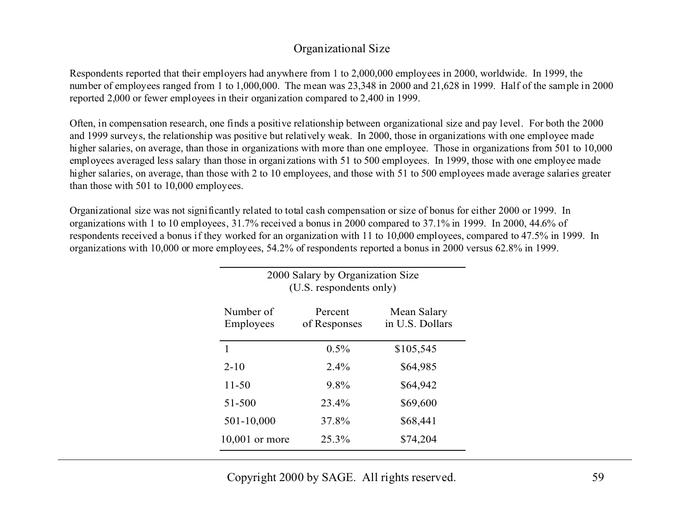#### Organizational Size

Respondents reported that their employers had anywhere from 1 to 2,000,000 employees in 2000, worldwide. In 1999, the number of employees ranged from 1 to 1,000,000. The mean was 23,348 in 2000 and 21,628 in 1999. Half of the sample in 2000 reported 2,000 or fewer employees in their organization compared to 2,400 in 1999.

Often, in compensation research, one finds a positive relationship between organizational size and pay level. For both the 2000 and 1999 surveys, the relationship was positive but relatively weak. In 2000, those in organizations with one employee made higher salaries, on average, than those in organizations with more than one employee. Those in organizations from 501 to 10,000 employees averaged less salary than those in organizations with 51 to 500 employees. In 1999, those with one employee made higher salaries, on average, than those with 2 to 10 employees, and those with 51 to 500 employees made average salaries greater than those with 501 to 10,000 employees.

Organizational size was not significantly related to total cash compensation or size of bonus for either 2000 or 1999. In organizations with 1 to 10 employees, 31.7% received a bonus in 2000 compared to 37.1% in 1999. In 2000, 44.6% of respondents received a bonus if they worked for an organization with 11 to 10,000 employees, compared to 47.5% in 1999. In organizations with 10,000 or more employees, 54.2% of respondents reported a bonus in 2000 versus 62.8% in 1999.

| 2000 Salary by Organization Size<br>(U.S. respondents only) |                         |                                |  |  |  |  |  |
|-------------------------------------------------------------|-------------------------|--------------------------------|--|--|--|--|--|
| Number of<br>Employees                                      | Percent<br>of Responses | Mean Salary<br>in U.S. Dollars |  |  |  |  |  |
|                                                             | $0.5\%$                 | \$105,545                      |  |  |  |  |  |
| $2 - 10$                                                    | $2.4\%$                 | \$64,985                       |  |  |  |  |  |
| $11 - 50$                                                   | 9.8%                    | \$64,942                       |  |  |  |  |  |
| 51-500                                                      | 23.4%                   | \$69,600                       |  |  |  |  |  |
| 501-10,000                                                  | 37.8%                   | \$68,441                       |  |  |  |  |  |
| 10,001 or more                                              | 25.3%                   | \$74,204                       |  |  |  |  |  |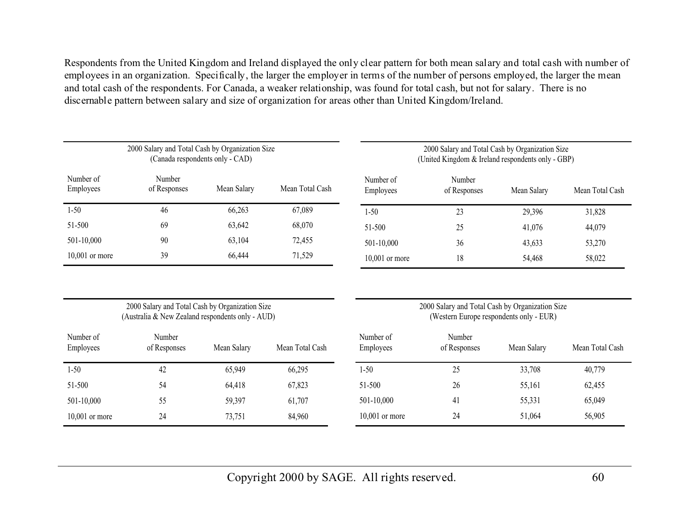Respondents from the United Kingdom and Ireland displayed the only clear pattern for both mean salary and total cash with number of employees in an organization. Specifically, the larger the employer in terms of the number of persons employed, the larger the mean and total cash of the respondents. For Canada, a weaker relationship, was found for total cash, but not for salary. There is no discernable pattern between salary and size of organization for areas other than United Kingdom/Ireland.

| 2000 Salary and Total Cash by Organization Size<br>(Canada respondents only - CAD) |                        |             |                 | 2000 Salary and Total Cash by Organization Size<br>(United Kingdom & Ireland respondents only - GBP) |                        |             |                 |  |
|------------------------------------------------------------------------------------|------------------------|-------------|-----------------|------------------------------------------------------------------------------------------------------|------------------------|-------------|-----------------|--|
| Number of<br>Employees                                                             | Number<br>of Responses | Mean Salary | Mean Total Cash | Number of<br>Employees                                                                               | Number<br>of Responses | Mean Salary | Mean Total Cash |  |
| $1 - 50$                                                                           | 46                     | 66,263      | 67,089          | $1 - 50$                                                                                             | 23                     | 29,396      | 31,828          |  |
| 51-500                                                                             | 69                     | 63,642      | 68,070          | 51-500                                                                                               | 25                     | 41,076      | 44,079          |  |
| $501 - 10,000$                                                                     | 90                     | 63,104      | 72,455          | 501-10.000                                                                                           | 36                     | 43,633      | 53,270          |  |
| $10,001$ or more                                                                   | 39                     | 66,444      | 71,529          | $10,001$ or more                                                                                     | 18                     | 54,468      | 58,022          |  |

2000 Salary and Total Cash by Organization Size (Australia & New Zealand respondents only - AUD) 2000 Salary and Total Cash by Organization Size (Western Europe respondents only - EUR)

| Number of<br>Employees | Number<br>of Responses | Mean Salary | Mean Total Cash | Number of<br>Employees | Number<br>of Responses | Mean Salary | Mean Total Cash |
|------------------------|------------------------|-------------|-----------------|------------------------|------------------------|-------------|-----------------|
| $1 - 50$               | 42                     | 65,949      | 66,295          | 1-50                   | 25                     | 33,708      | 40,779          |
| 51-500                 | 54                     | 64,418      | 67,823          | 51-500                 | 26                     | 55,161      | 62,455          |
| 501-10,000             | 55                     | 59,397      | 61,707          | 501-10,000             | 41                     | 55,331      | 65,049          |
| $10,001$ or more       | 24                     | 73,751      | 84,960          | $10,001$ or more       | 24                     | 51,064      | 56,905          |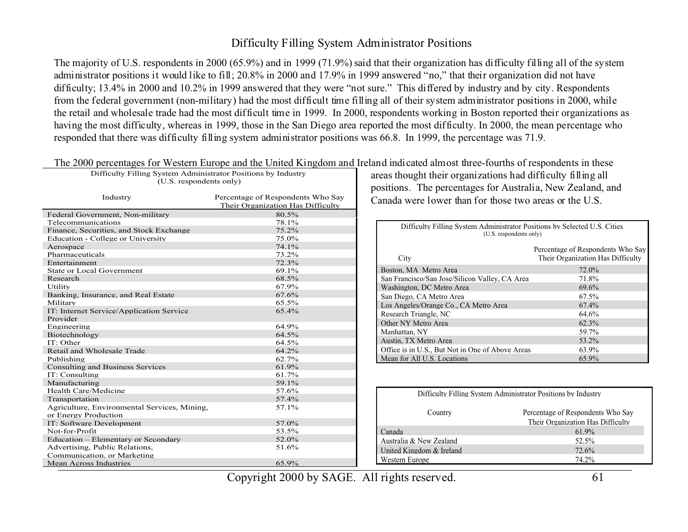#### Difficulty Filling System Administrator Positions

The majority of U.S. respondents in 2000 (65.9%) and in 1999 (71.9%) said that their organization has difficulty filling all of the system administrator positions it would like to fill; 20.8% in 2000 and 17.9% in 1999 answered "no," that their organization did not have difficulty; 13.4% in 2000 and 10.2% in 1999 answered that they were "not sure." This differed by industry and by city. Respondents from the federal government (non-military) had the most difficult time filling all of their system administrator positions in 2000, while the retail and wholesale trade had the most difficult time in 1999. In 2000, respondents working in Boston reported their organizations as having the most difficulty, whereas in 1999, those in the San Diego area reported the most difficulty. In 2000, the mean percentage who responded that there was difficulty filling system administrator positions was 66.8. In 1999, the percentage was 71.9.

| The 2000 percentages for Western Europe and the United Kingdom and I<br>Difficulty Filling System Administrator Positions by Industry<br>(U.S. respondents only) |                                                                        |  |  |  |  |  |  |
|------------------------------------------------------------------------------------------------------------------------------------------------------------------|------------------------------------------------------------------------|--|--|--|--|--|--|
| Industry                                                                                                                                                         | Percentage of Respondents Who Say<br>Their Organization Has Difficulty |  |  |  |  |  |  |
| Federal Government, Non-military                                                                                                                                 | 80.5%                                                                  |  |  |  |  |  |  |
| Telecommunications                                                                                                                                               | 78.1%                                                                  |  |  |  |  |  |  |
| Finance, Securities, and Stock Exchange                                                                                                                          | 75.2%                                                                  |  |  |  |  |  |  |
| Education - College or University                                                                                                                                | 75.0%                                                                  |  |  |  |  |  |  |
| Aerospace                                                                                                                                                        | 74.1%                                                                  |  |  |  |  |  |  |
| Pharmaceuticals                                                                                                                                                  | 73.2%                                                                  |  |  |  |  |  |  |
| Entertainment                                                                                                                                                    | 72.3%                                                                  |  |  |  |  |  |  |
| State or Local Government                                                                                                                                        | 69.1%                                                                  |  |  |  |  |  |  |
| Research                                                                                                                                                         | 68.5%                                                                  |  |  |  |  |  |  |
| Utility                                                                                                                                                          | 67.9%                                                                  |  |  |  |  |  |  |
| Banking, Insurance, and Real Estate                                                                                                                              | 67.6%                                                                  |  |  |  |  |  |  |
| Military                                                                                                                                                         | $65.5\%$                                                               |  |  |  |  |  |  |
| IT: Internet Service/Application Service<br>Provider                                                                                                             | 65.4%                                                                  |  |  |  |  |  |  |
| Engineering                                                                                                                                                      | 64.9%                                                                  |  |  |  |  |  |  |
| Biotechnology                                                                                                                                                    | 64.5%                                                                  |  |  |  |  |  |  |
| IT: Other                                                                                                                                                        | 64.5%                                                                  |  |  |  |  |  |  |
| Retail and Wholesale Trade                                                                                                                                       | 64.2%                                                                  |  |  |  |  |  |  |
| Publishing                                                                                                                                                       | 62.7%                                                                  |  |  |  |  |  |  |
| <b>Consulting and Business Services</b>                                                                                                                          | 61.9%                                                                  |  |  |  |  |  |  |
| IT: Consulting                                                                                                                                                   | 61.7%                                                                  |  |  |  |  |  |  |
| Manufacturing                                                                                                                                                    | 59.1%                                                                  |  |  |  |  |  |  |
| Health Care/Medicine                                                                                                                                             | 57.6%                                                                  |  |  |  |  |  |  |
| Transportation                                                                                                                                                   | 57.4%                                                                  |  |  |  |  |  |  |
| Agriculture, Environmental Services, Mining,                                                                                                                     | 57.1%                                                                  |  |  |  |  |  |  |
| or Energy Production                                                                                                                                             |                                                                        |  |  |  |  |  |  |
| IT: Software Development                                                                                                                                         | 57.0%                                                                  |  |  |  |  |  |  |
| Not-for-Profit                                                                                                                                                   | 53.5%                                                                  |  |  |  |  |  |  |
| Education – Elementary or Secondary                                                                                                                              | 52.0%                                                                  |  |  |  |  |  |  |
| Advertising, Public Relations,                                                                                                                                   | 51.6%                                                                  |  |  |  |  |  |  |
| Communication, or Marketing                                                                                                                                      |                                                                        |  |  |  |  |  |  |
| <b>Mean Across Industries</b>                                                                                                                                    | 65.9%                                                                  |  |  |  |  |  |  |

|  |  |  | The 2000 percentages for Western Europe and the United Kingdom and Ireland indicated almost three-fourths of respondents in these |
|--|--|--|-----------------------------------------------------------------------------------------------------------------------------------|
|  |  |  |                                                                                                                                   |

areas thought their organizations had difficulty filling all positions. The percentages for Australia, New Zealand, and Canada were lower than for those two areas or the U.S.

| Difficulty Filling System Administrator Positions by Selected U.S. Cities<br>(U.S. respondents only) |                                                                        |  |  |  |  |  |
|------------------------------------------------------------------------------------------------------|------------------------------------------------------------------------|--|--|--|--|--|
| City                                                                                                 | Percentage of Respondents Who Say<br>Their Organization Has Difficulty |  |  |  |  |  |
| Boston, MA Metro Area                                                                                | 72.0%                                                                  |  |  |  |  |  |
| San Francisco/San Jose/Silicon Valley, CA Area                                                       | 71.8%                                                                  |  |  |  |  |  |
| Washington, DC Metro Area                                                                            | 69.6%                                                                  |  |  |  |  |  |
| San Diego, CA Metro Area                                                                             | 67.5%                                                                  |  |  |  |  |  |
| Los Angeles/Orange Co., CA Metro Area                                                                | 67.4%                                                                  |  |  |  |  |  |
| Research Triangle, NC                                                                                | 64.6%                                                                  |  |  |  |  |  |
| Other NY Metro Area                                                                                  | 62.3%                                                                  |  |  |  |  |  |
| Manhattan, NY                                                                                        | 59.7%                                                                  |  |  |  |  |  |
| Austin, TX Metro Area                                                                                | 53.2%                                                                  |  |  |  |  |  |
| Office is in U.S., But Not in One of Above Areas                                                     | 63.9%                                                                  |  |  |  |  |  |
| Mean for All U.S. Locations                                                                          | 65.9%                                                                  |  |  |  |  |  |

| Difficulty Filling System Administrator Positions by Industry |                                                                        |  |  |  |  |  |
|---------------------------------------------------------------|------------------------------------------------------------------------|--|--|--|--|--|
| Country                                                       | Percentage of Respondents Who Say<br>Their Organization Has Difficulty |  |  |  |  |  |
| Canada                                                        | 61.9%                                                                  |  |  |  |  |  |
| Australia & New Zealand                                       | 52.5%                                                                  |  |  |  |  |  |
| United Kingdom & Ireland                                      | 72.6%                                                                  |  |  |  |  |  |
| Western Europe                                                | 74.2%                                                                  |  |  |  |  |  |
|                                                               |                                                                        |  |  |  |  |  |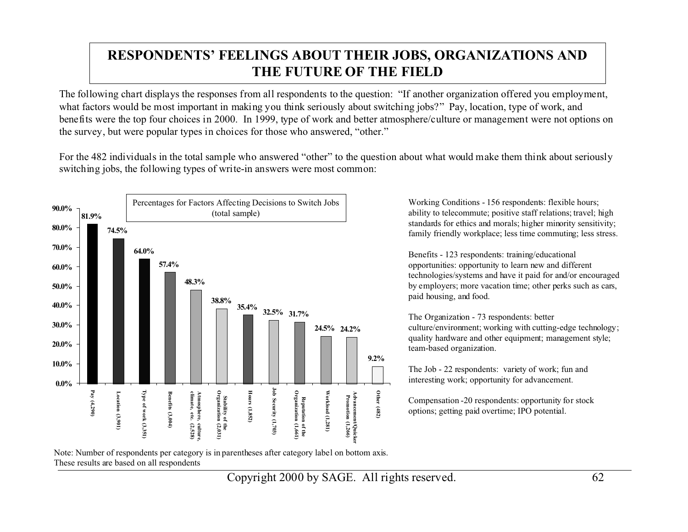# **RESPONDENTS' FEELINGS ABOUT THEIR JOBS, ORGANIZATIONS AND THE FUTURE OF THE FIELD**

The following chart displays the responses from all respondents to the question: "If another organization offered you employment, what factors would be most important in making you think seriously about switching jobs?" Pay, location, type of work, and benefits were the top four choices in 2000. In 1999, type of work and better atmosphere/culture or management were not options on the survey, but were popular types in choices for those who answered, "other."

For the 482 individuals in the total sample who answered "other" to the question about what would make them think about seriously switching jobs, the following types of write-in answers were most common:



Working Conditions - 156 respondents: flexible hours; ability to telecommute; positive staff relations; travel; high standards for ethics and morals; higher minority sensitivity; family friendly workplace; less time commuting; less stress.

Benefits - 123 respondents: training/educational opportunities: opportunity to learn new and different technologies/systems and have it paid for and/or encouraged by employers; more vacation time; other perks such as cars, paid housing, and food.

The Organization - 73 respondents: better culture/environment; working with cutting-edge technology; quality hardware and other equipment; management style; team-based organization.

The Job - 22 respondents: variety of work; fun and interesting work; opportunity for advancement.

Compensation -20 respondents: opportunity for stock options; getting paid overtime; IPO potential.

Note: Number of respondents per category is in parentheses after category label on bottom axis. These results are based on all respondents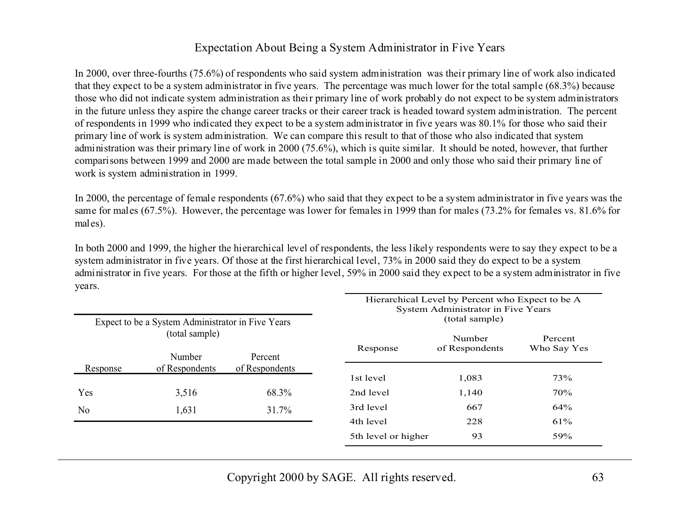#### Expectation About Being a System Administrator in Five Years

In 2000, over three-fourths (75.6%) of respondents who said system administration was their primary line of work also indicated that they expect to be a system administrator in five years. The percentage was much lower for the total sample (68.3%) because those who did not indicate system administration as their primary line of work probably do not expect to be system administrators in the future unless they aspire the change career tracks or their career track is headed toward system administration. The percent of respondents in 1999 who indicated they expect to be a system administrator in five years was 80.1% for those who said their primary line of work is system administration. We can compare this result to that of those who also indicated that system administration was their primary line of work in 2000 (75.6%), which is quite similar. It should be noted, however, that further comparisons between 1999 and 2000 are made between the total sample in 2000 and only those who said their primary line of work is system administration in 1999.

In 2000, the percentage of female respondents (67.6%) who said that they expect to be a system administrator in five years was the same for males (67.5%). However, the percentage was lower for females in 1999 than for males (73.2% for females vs. 81.6% for males).

In both 2000 and 1999, the higher the hierarchical level of respondents, the less likely respondents were to say they expect to be a system administrator in five years. Of those at the first hierarchical level, 73% in 2000 said they do expect to be a system administrator in five years. For those at the fifth or higher level, 59% in 2000 said they expect to be a system administrator in five years.

|                                     | Expect to be a System Administrator in Five Years |                | Hierarchical Level by Percent who Expect to be A<br>System Administrator in Five Years<br>(total sample) |                        |     |  |
|-------------------------------------|---------------------------------------------------|----------------|----------------------------------------------------------------------------------------------------------|------------------------|-----|--|
| (total sample)<br>Number<br>Percent |                                                   | Response       | Number<br>of Respondents                                                                                 | Percent<br>Who Say Yes |     |  |
| Response                            | of Respondents                                    | of Respondents | 1st level                                                                                                | 1,083                  | 73% |  |
| Yes                                 | 3,516                                             | 68.3%          | 2nd level                                                                                                | 1,140                  | 70% |  |
| N <sub>o</sub>                      | 1,631                                             | 31.7%          | 3rd level                                                                                                | 667                    | 64% |  |
|                                     |                                                   |                | 4th level                                                                                                | 228                    | 61% |  |
|                                     |                                                   |                | 5th level or higher                                                                                      | 93                     | 59% |  |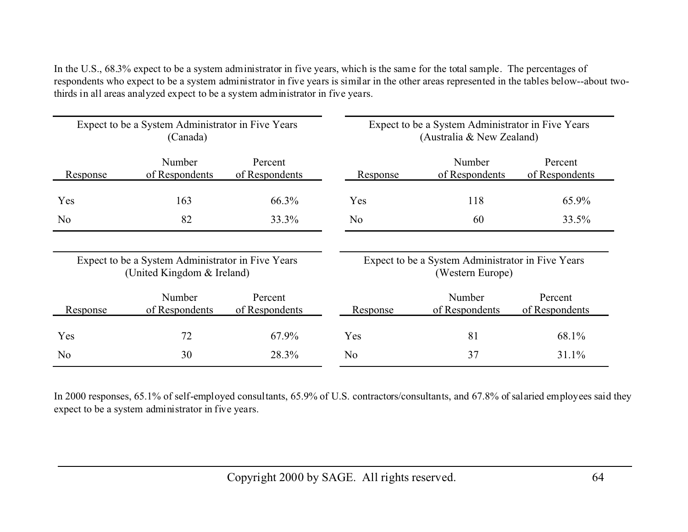In the U.S., 68.3% expect to be a system administrator in five years, which is the same for the total sample. The percentages of respondents who expect to be a system administrator in five years is similar in the other areas represented in the tables below--about twothirds in all areas analyzed expect to be a system administrator in five years.

| Expect to be a System Administrator in Five Years<br>(Canada) |                                                                                 |                           | Expect to be a System Administrator in Five Years<br>(Australia & New Zealand) |                          |                           |  |
|---------------------------------------------------------------|---------------------------------------------------------------------------------|---------------------------|--------------------------------------------------------------------------------|--------------------------|---------------------------|--|
| Response                                                      | Number<br>of Respondents                                                        | Percent<br>of Respondents | Response                                                                       | Number<br>of Respondents | Percent<br>of Respondents |  |
| Yes                                                           | 163                                                                             | 66.3%                     | Yes                                                                            | 118                      | 65.9%                     |  |
| N <sub>0</sub>                                                | 82                                                                              | 33.3%                     | N <sub>0</sub>                                                                 | 60                       | 33.5%                     |  |
|                                                               | Expect to be a System Administrator in Five Years<br>(United Kingdom & Ireland) |                           | Expect to be a System Administrator in Five Years<br>(Western Europe)          |                          |                           |  |
| Response                                                      | Number<br>of Respondents                                                        | Percent<br>of Respondents | Response                                                                       | Number<br>of Respondents | Percent<br>of Respondents |  |
| Yes                                                           | 72                                                                              | 67.9%                     | Yes                                                                            | 81                       | 68.1%                     |  |
| No                                                            | 30                                                                              | 28.3%                     | N <sub>0</sub>                                                                 | 37                       | 31.1%                     |  |

In 2000 responses, 65.1% of self-employed consultants, 65.9% of U.S. contractors/consultants, and 67.8% of salaried employees said they expect to be a system administrator in five years.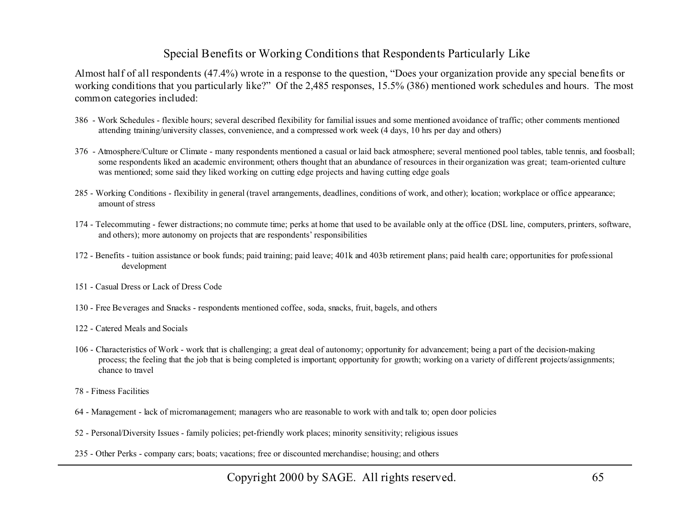#### Special Benefits or Working Conditions that Respondents Particularly Like

Almost half of all respondents (47.4%) wrote in a response to the question, "Does your organization provide any special benefits or working conditions that you particularly like?" Of the 2,485 responses, 15.5% (386) mentioned work schedules and hours. The most common categories included:

- 386 Work Schedules flexible hours; several described flexibility for familial issues and some mentioned avoidance of traffic; other comments mentioned attending training/university classes, convenience, and a compressed work week (4 days, 10 hrs per day and others)
- 376 Atmosphere/Culture or Climate many respondents mentioned a casual or laid back atmosphere; several mentioned pool tables, table tennis, and foosball; some respondents liked an academic environment; others thought that an abundance of resources in their organization was great; team-oriented culture was mentioned; some said they liked working on cutting edge projects and having cutting edge goals
- 285 Working Conditions flexibility in general (travel arrangements, deadlines, conditions of work, and other); location; workplace or office appearance; amount of stress
- 174 Telecommuting fewer distractions; no commute time; perks at home that used to be available only at the office (DSL line, computers, printers, software, and others); more autonomy on projects that are respondents' responsibilities
- 172 Benefits tuition assistance or book funds; paid training; paid leave; 401k and 403b retirement plans; paid health care; opportunities for professional development
- 151 Casual Dress or Lack of Dress Code
- 130 Free Beverages and Snacks respondents mentioned coffee, soda, snacks, fruit, bagels, and others
- 122 Catered Meals and Socials
- 106 Characteristics of Work work that is challenging; a great deal of autonomy; opportunity for advancement; being a part of the decision-making process; the feeling that the job that is being completed is important; opportunity for growth; working on a variety of different projects/assignments; chance to travel
- 78 Fitness Facilities
- 64 Management lack of micromanagement; managers who are reasonable to work with and talk to; open door policies
- 52 Personal/Diversity Issues family policies; pet-friendly work places; minority sensitivity; religious issues
- 235 Other Perks company cars; boats; vacations; free or discounted merchandise; housing; and others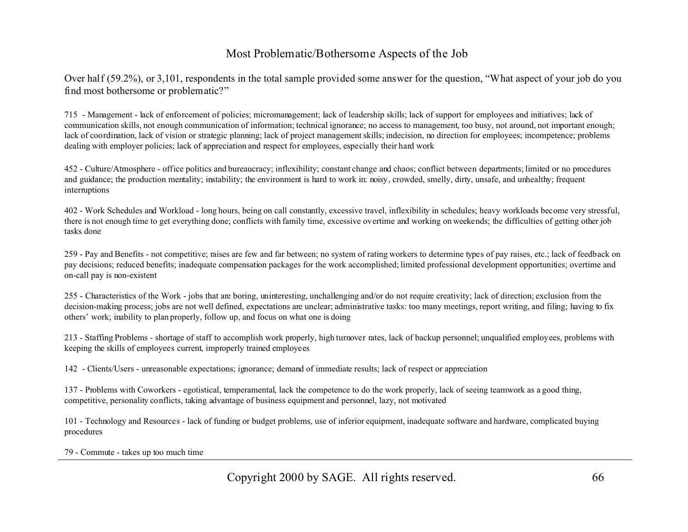#### Most Problematic/Bothersome Aspects of the Job

Over half (59.2%), or 3,101, respondents in the total sample provided some answer for the question, "What aspect of your job do you find most bothersome or problematic?"

715 - Management - lack of enforcement of policies; micromanagement; lack of leadership skills; lack of support for employees and initiatives; lack of communication skills, not enough communication of information; technical ignorance; no access to management, too busy, not around, not important enough; lack of coordination, lack of vision or strategic planning; lack of project management skills; indecision, no direction for employees; incompetence; problems dealing with employer policies; lack of appreciation and respect for employees, especially their hard work

452 - Culture/Atmosphere - office politics and bureaucracy; inflexibility; constant change and chaos; conflict between departments; limited or no procedures and guidance; the production mentality; instability; the environment is hard to work in: noisy, crowded, smelly, dirty, unsafe, and unhealthy; frequent interruptions

402 - Work Schedules and Workload - long hours, being on call constantly, excessive travel, inflexibility in schedules; heavy workloads become very stressful, there is not enough time to get everything done; conflicts with family time, excessive overtime and working on weekends; the difficulties of getting other job tasks done

259 - Pay and Benefits - not competitive; raises are few and far between; no system of rating workers to determine types of pay raises, etc.; lack of feedback on pay decisions; reduced benefits; inadequate compensation packages for the work accomplished; limited professional development opportunities; overtime and on-call pay is non-existent

255 - Characteristics of the Work - jobs that are boring, uninteresting, unchallenging and/or do not require creativity; lack of direction; exclusion from the decision-making process; jobs are not well defined, expectations are unclear; administrative tasks: too many meetings, report writing, and filing; having to fix others' work; inability to plan properly, follow up, and focus on what one is doing

213 - Staffing Problems - shortage of staff to accomplish work properly, high turnover rates, lack of backup personnel; unqualified employees, problems with keeping the skills of employees current, improperly trained employees

142 - Clients/Users - unreasonable expectations; ignorance; demand of immediate results; lack of respect or appreciation

137 - Problems with Coworkers - egotistical, temperamental, lack the competence to do the work properly, lack of seeing teamwork as a good thing, competitive, personality conflicts, taking advantage of business equipment and personnel, lazy, not motivated

101 - Technology and Resources - lack of funding or budget problems, use of inferior equipment, inadequate software and hardware, complicated buying procedures

79 - Commute - takes up too much time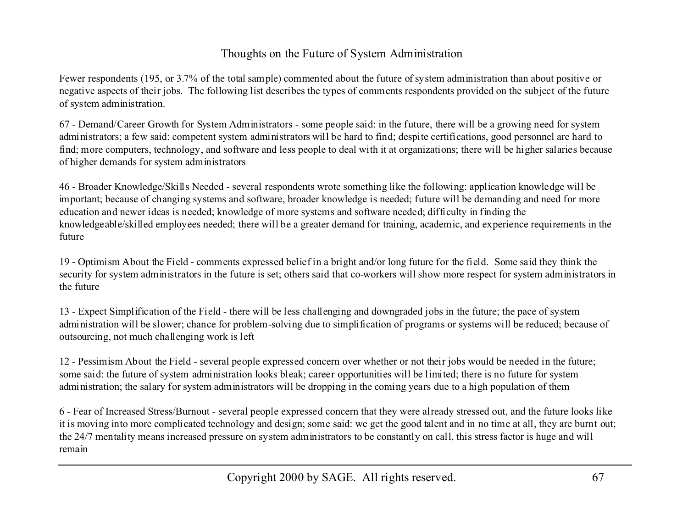### Thoughts on the Future of System Administration

Fewer respondents (195, or 3.7% of the total sample) commented about the future of system administration than about positive or negative aspects of their jobs. The following list describes the types of comments respondents provided on the subject of the future of system administration.

67 - Demand/Career Growth for System Administrators - some people said: in the future, there will be a growing need for system administrators; a few said: competent system administrators will be hard to find; despite certifications, good personnel are hard to find; more computers, technology, and software and less people to deal with it at organizations; there will be higher salaries because of higher demands for system administrators

46 - Broader Knowledge/Skills Needed - several respondents wrote something like the following: application knowledge will be important; because of changing systems and software, broader knowledge is needed; future will be demanding and need for more education and newer ideas is needed; knowledge of more systems and software needed; difficulty in finding the knowledgeable/skilled employees needed; there will be a greater demand for training, academic, and experience requirements in the future

19 - Optimism About the Field - comments expressed belief in a bright and/or long future for the field. Some said they think the security for system administrators in the future is set; others said that co-workers will show more respect for system administrators in the future

13 - Expect Simplification of the Field - there will be less challenging and downgraded jobs in the future; the pace of system administration will be slower; chance for problem-solving due to simplification of programs or systems will be reduced; because of outsourcing, not much challenging work is left

12 - Pessimism About the Field - several people expressed concern over whether or not their jobs would be needed in the future; some said: the future of system administration looks bleak; career opportunities will be limited; there is no future for system administration; the salary for system administrators will be dropping in the coming years due to a high population of them

6 - Fear of Increased Stress/Burnout - several people expressed concern that they were already stressed out, and the future looks like it is moving into more complicated technology and design; some said: we get the good talent and in no time at all, they are burnt out; the 24/7 mentality means increased pressure on system administrators to be constantly on call, this stress factor is huge and will remain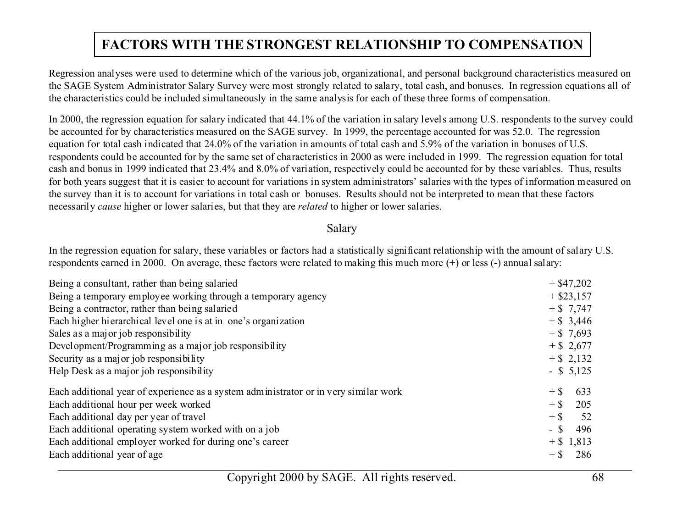# **FACTORS WITH THE STRONGEST RELATIONSHIP TO COMPENSATION**

Regression analyses were used to determine which of the various job, organizational, and personal background characteristics measured on the SAGE System Administrator Salary Survey were most strongly related to salary, total cash, and bonuses. In regression equations all of the characteristics could be included simultaneously in the same analysis for each of these three forms of compensation.

In 2000, the regression equation for salary indicated that 44.1% of the variation in salary levels among U.S. respondents to the survey could be accounted for by characteristics measured on the SAGE survey. In 1999, the percentage accounted for was 52.0. The regression equation for total cash indicated that 24.0% of the variation in amounts of total cash and 5.9% of the variation in bonuses of U.S. respondents could be accounted for by the same set of characteristics in 2000 as were included in 1999. The regression equation for total cash and bonus in 1999 indicated that 23.4% and 8.0% of variation, respectively could be accounted for by these variables. Thus, results for both years suggest that it is easier to account for variations in system administrators' salaries with the types of information measured on the survey than it is to account for variations in total cash or bonuses. Results should not be interpreted to mean that these factors necessarily *cause* higher or lower salaries, but that they are *related* to higher or lower salaries.

#### Salary

In the regression equation for salary, these variables or factors had a statistically significant relationship with the amount of salary U.S. respondents earned in 2000. On average, these factors were related to making this much more (+) or less (-) annual salary:

| Being a consultant, rather than being salaried                                       |        | $+$ \$47,202 |
|--------------------------------------------------------------------------------------|--------|--------------|
| Being a temporary employee working through a temporary agency                        |        | $+$ \$23,157 |
| Being a contractor, rather than being salaried                                       |        | $+ $7,747$   |
| Each higher hierarchical level one is at in one's organization                       |        | $+$ \$ 3,446 |
| Sales as a major job responsibility                                                  |        | $+$ \$ 7,693 |
| Development/Programming as a major job responsibility                                |        | $+$ \$ 2,677 |
| Security as a major job responsibility                                               |        | $+$ \$ 2,132 |
| Help Desk as a major job responsibility                                              |        | $-$ \$ 5,125 |
| Each additional year of experience as a system administrator or in very similar work | $+$ \$ | 633          |
| Each additional hour per week worked                                                 | $+$ \$ | 205          |
| Each additional day per year of travel                                               | $+$ \$ | 52           |
| Each additional operating system worked with on a job                                | $-$ \$ | 496          |
| Each additional employer worked for during one's career                              |        | $+$ \$ 1,813 |
| Each additional year of age                                                          | $+$ \$ | 286          |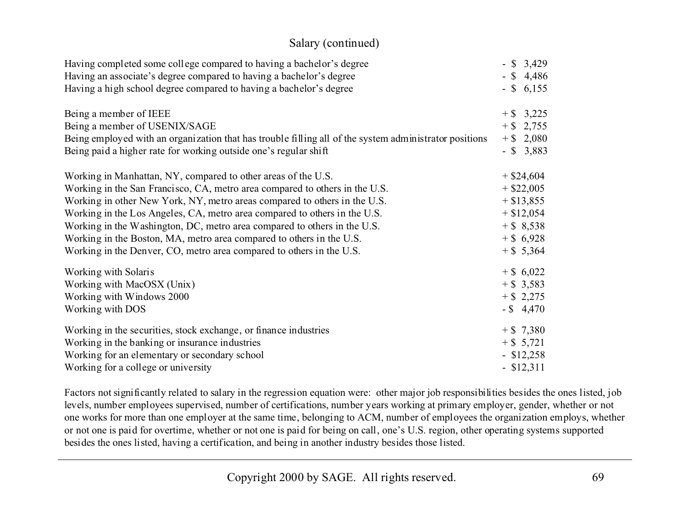| Salary (continued)                                                                                                                          |                              |
|---------------------------------------------------------------------------------------------------------------------------------------------|------------------------------|
| Having completed some college compared to having a bachelor's degree<br>Having an associate's degree compared to having a bachelor's degree | $-$ \$ 3,429<br>$-$ \$ 4,486 |
| Having a high school degree compared to having a bachelor's degree                                                                          | $-$ \$ 6,155                 |
| Being a member of IEEE                                                                                                                      | $+$ \$ 3,225                 |
| Being a member of USENIX/SAGE                                                                                                               | $+$ \$ 2,755                 |
| Being employed with an organization that has trouble filling all of the system administrator positions                                      | $+$ \$ 2,080                 |
| Being paid a higher rate for working outside one's regular shift                                                                            | $-$ \$ 3,883                 |
| Working in Manhattan, NY, compared to other areas of the U.S.                                                                               | $+$ \$24,604                 |
| Working in the San Francisco, CA, metro area compared to others in the U.S.                                                                 | $+$ \$22,005                 |
| Working in other New York, NY, metro areas compared to others in the U.S.                                                                   | $+$ \$13,855                 |
| Working in the Los Angeles, CA, metro area compared to others in the U.S.                                                                   | $+$ \$12,054                 |
| Working in the Washington, DC, metro area compared to others in the U.S.                                                                    | $+$ \$ 8,538                 |
| Working in the Boston, MA, metro area compared to others in the U.S.                                                                        | $+$ \$ 6,928                 |
| Working in the Denver, CO, metro area compared to others in the U.S.                                                                        | $+$ \$ 5,364                 |
| Working with Solaris                                                                                                                        | $+$ \$ 6,022                 |
| Working with MacOSX (Unix)                                                                                                                  | $+$ \$ 3,583                 |
| Working with Windows 2000                                                                                                                   | $+$ \$ 2,275                 |
| Working with DOS                                                                                                                            | $-$ \$ 4,470                 |
| Working in the securities, stock exchange, or finance industries                                                                            | $+ $7,380$                   |
| Working in the banking or insurance industries                                                                                              | $+$ \$ 5,721                 |
| Working for an elementary or secondary school                                                                                               | $-$ \$12,258                 |
| Working for a college or university                                                                                                         | $-$ \$12,311                 |

Factors not significantly related to salary in the regression equation were: other major job responsibilities besides the ones listed, job levels, number employees supervised, number of certifications, number years working at primary employer, gender, whether or not one works for more than one employer at the same time, belonging to ACM, number of employees the organization employs, whether or not one is paid for overtime, whether or not one is paid for being on call, one's U.S. region, other operating systems supported besides the ones listed, having a certification, and being in another industry besides those listed.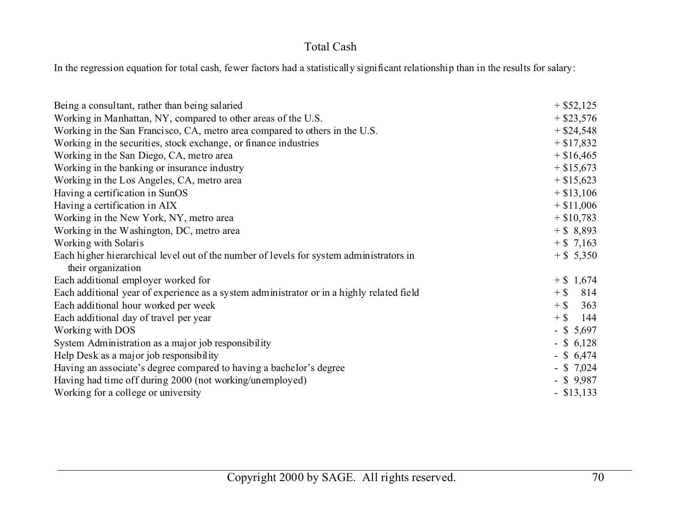## Total Cash

In the regression equation for total cash, fewer factors had a statistically significant relationship than in the results for salary:

| Being a consultant, rather than being salaried                                            | $+$ \$52,125  |
|-------------------------------------------------------------------------------------------|---------------|
| Working in Manhattan, NY, compared to other areas of the U.S.                             | $+$ \$23,576  |
| Working in the San Francisco, CA, metro area compared to others in the U.S.               | $+$ \$24,548  |
| Working in the securities, stock exchange, or finance industries                          | $+ $17,832$   |
| Working in the San Diego, CA, metro area                                                  | $+$ \$16,465  |
| Working in the banking or insurance industry                                              | $+$ \$15,673  |
| Working in the Los Angeles, CA, metro area                                                | $+$ \$15,623  |
| Having a certification in SunOS                                                           | $+$ \$13,106  |
| Having a certification in AIX                                                             | $+$ \$11,006  |
| Working in the New York, NY, metro area                                                   | $+$ \$10,783  |
| Working in the Washington, DC, metro area                                                 | $+$ \$ 8,893  |
| Working with Solaris                                                                      | $+$ \$ 7,163  |
| Each higher hierarchical level out of the number of levels for system administrators in   | $+$ \$ 5,350  |
| their organization                                                                        |               |
| Each additional employer worked for                                                       | $+$ \$ 1,674  |
| Each additional year of experience as a system administrator or in a highly related field | $+$ \$<br>814 |
| Each additional hour worked per week                                                      | $+$ \$<br>363 |
| Each additional day of travel per year                                                    | $+$ \$<br>144 |
| Working with DOS                                                                          | $-$ \$ 5,697  |
| System Administration as a major job responsibility                                       | $-$ \$ 6,128  |
| Help Desk as a major job responsibility                                                   | $-$ \$ 6,474  |
| Having an associate's degree compared to having a bachelor's degree                       | $-$ \$ 7,024  |
| Having had time off during 2000 (not working/unemployed)                                  | $-$ \$ 9,987  |
| Working for a college or university                                                       | $-$ \$13,133  |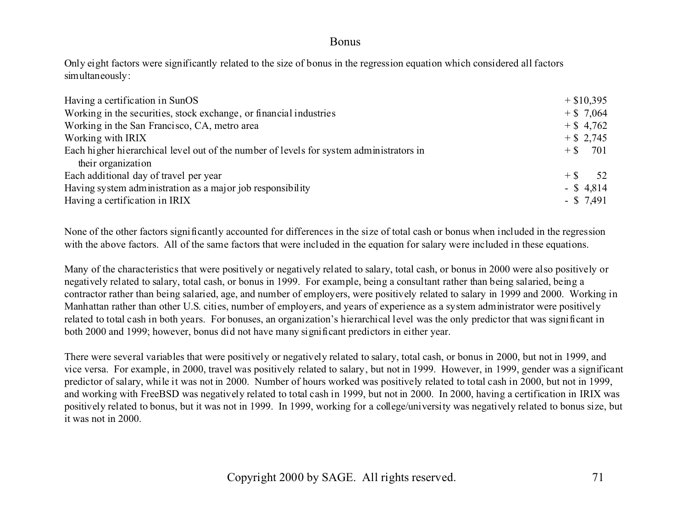#### Bonus

Only eight factors were significantly related to the size of bonus in the regression equation which considered all factors simultaneously:

| Having a certification in SunOS                                                         |                |
|-----------------------------------------------------------------------------------------|----------------|
| Working in the securities, stock exchange, or financial industries                      | $+$ \$ 7,064   |
| Working in the San Francisco, CA, metro area                                            | $+$ \$ 4,762   |
| Working with IRIX                                                                       | $+$ \$ 2,745   |
| Each higher hierarchical level out of the number of levels for system administrators in | $+$ \$ 701     |
| their organization                                                                      |                |
| Each additional day of travel per year                                                  | $+$ \$<br>-52. |
| Having system administration as a major job responsibility                              | $-$ \$ 4,814   |
| Having a certification in IRIX                                                          | $-$ \$ 7,491   |

None of the other factors significantly accounted for differences in the size of total cash or bonus when included in the regression with the above factors. All of the same factors that were included in the equation for salary were included in these equations.

Many of the characteristics that were positively or negatively related to salary, total cash, or bonus in 2000 were also positively or negatively related to salary, total cash, or bonus in 1999. For example, being a consultant rather than being salaried, being a contractor rather than being salaried, age, and number of employers, were positively related to salary in 1999 and 2000. Working in Manhattan rather than other U.S. cities, number of employers, and years of experience as a system administrator were positively related to total cash in both years. For bonuses, an organization's hierarchical level was the only predictor that was significant in both 2000 and 1999; however, bonus did not have many significant predictors in either year.

There were several variables that were positively or negatively related to salary, total cash, or bonus in 2000, but not in 1999, and vice versa. For example, in 2000, travel was positively related to salary, but not in 1999. However, in 1999, gender was a significant predictor of salary, while it was not in 2000. Number of hours worked was positively related to total cash in 2000, but not in 1999, and working with FreeBSD was negatively related to total cash in 1999, but not in 2000. In 2000, having a certification in IRIX was positively related to bonus, but it was not in 1999. In 1999, working for a college/university was negatively related to bonus size, but it was not in 2000.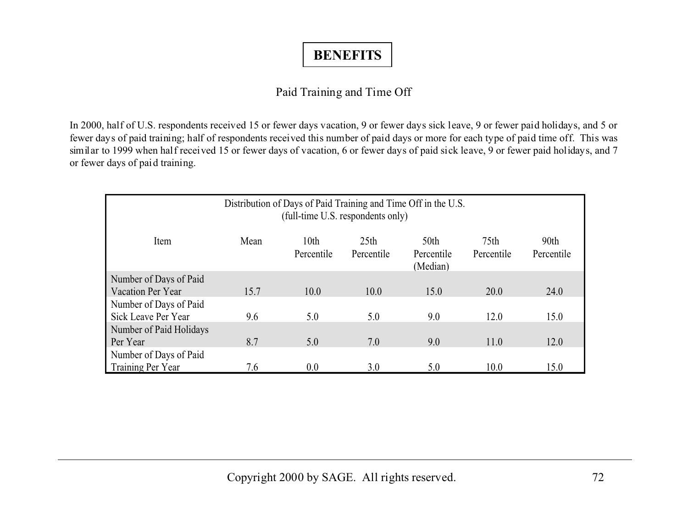# **BENEFITS**

## Paid Training and Time Off

In 2000, half of U.S. respondents received 15 or fewer days vacation, 9 or fewer days sick leave, 9 or fewer paid holidays, and 5 or fewer days of paid training; half of respondents received this number of paid days or more for each type of paid time off. This was similar to 1999 when half received 15 or fewer days of vacation, 6 or fewer days of paid sick leave, 9 or fewer paid holidays, and 7 or fewer days of paid training.

| Distribution of Days of Paid Training and Time Off in the U.S.<br>(full-time U.S. respondents only) |      |                                |                                |                                            |                                |                                |  |
|-----------------------------------------------------------------------------------------------------|------|--------------------------------|--------------------------------|--------------------------------------------|--------------------------------|--------------------------------|--|
| Item                                                                                                | Mean | 10 <sub>th</sub><br>Percentile | 25 <sub>th</sub><br>Percentile | 50 <sub>th</sub><br>Percentile<br>(Median) | 75 <sub>th</sub><br>Percentile | 90 <sub>th</sub><br>Percentile |  |
| Number of Days of Paid                                                                              |      |                                |                                |                                            |                                |                                |  |
| Vacation Per Year                                                                                   | 15.7 | 10.0                           | 10.0                           | 15.0                                       | 20.0                           | 24.0                           |  |
| Number of Days of Paid                                                                              |      |                                |                                |                                            |                                |                                |  |
| Sick Leave Per Year                                                                                 | 9.6  | 5.0                            | 5.0                            | 9.0                                        | 12.0                           | 15.0                           |  |
| Number of Paid Holidays                                                                             |      |                                |                                |                                            |                                |                                |  |
| Per Year                                                                                            | 8.7  | 5.0                            | 7.0                            | 9.0                                        | 11.0                           | 12.0                           |  |
| Number of Days of Paid                                                                              |      |                                |                                |                                            |                                |                                |  |
| Training Per Year                                                                                   | 7.6  | 0.0                            | 3.0                            | 5.0                                        | 10.0                           | 15.0                           |  |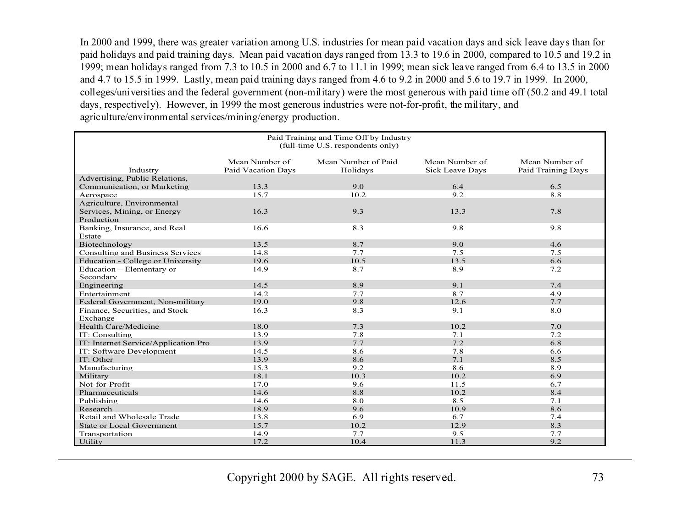In 2000 and 1999, there was greater variation among U.S. industries for mean paid vacation days and sick leave days than for paid holidays and paid training days. Mean paid vacation days ranged from 13.3 to 19.6 in 2000, compared to 10.5 and 19.2 in 1999; mean holidays ranged from 7.3 to 10.5 in 2000 and 6.7 to 11.1 in 1999; mean sick leave ranged from 6.4 to 13.5 in 2000 and 4.7 to 15.5 in 1999. Lastly, mean paid training days ranged from 4.6 to 9.2 in 2000 and 5.6 to 19.7 in 1999. In 2000, colleges/universities and the federal government (non-military) were the most generous with paid time off (50.2 and 49.1 total days, respectively). However, in 1999 the most generous industries were not-for-profit, the military, and agriculture/environmental services/mining/energy production.

| Paid Training and Time Off by Industry<br>(full-time U.S. respondents only) |                           |                     |                        |                    |  |  |  |
|-----------------------------------------------------------------------------|---------------------------|---------------------|------------------------|--------------------|--|--|--|
|                                                                             | Mean Number of            | Mean Number of Paid | Mean Number of         | Mean Number of     |  |  |  |
| Industry                                                                    | <b>Paid Vacation Days</b> | Holidavs            | <b>Sick Leave Days</b> | Paid Training Days |  |  |  |
| Advertising, Public Relations,                                              |                           |                     |                        |                    |  |  |  |
| Communication, or Marketing                                                 | 13.3                      | 9.0                 | 6.4                    | 6.5                |  |  |  |
| Aerospace                                                                   | 15.7                      | 10.2                | 9.2                    | 8.8                |  |  |  |
| Agriculture, Environmental                                                  |                           |                     |                        |                    |  |  |  |
| Services, Mining, or Energy                                                 | 16.3                      | 9.3                 | 13.3                   | 7.8                |  |  |  |
| Production                                                                  |                           |                     |                        |                    |  |  |  |
| Banking, Insurance, and Real<br>Estate                                      | 16.6                      | 8.3                 | 9.8                    | 9.8                |  |  |  |
| Biotechnology                                                               | 13.5                      | 8.7                 | 9.0                    | 4.6                |  |  |  |
| Consulting and Business Services                                            | 14.8                      | 7.7                 | 7.5                    | 7.5                |  |  |  |
| Education - College or University                                           | 19.6                      | 10.5                | 13.5                   | 6.6                |  |  |  |
| Education – Elementary or                                                   | 14.9                      | 8.7                 | 8.9                    | 7.2                |  |  |  |
| Secondary                                                                   |                           |                     |                        |                    |  |  |  |
| Engineering                                                                 | 14.5                      | 8.9                 | 9.1                    | 7.4                |  |  |  |
| Entertainment                                                               | 14.2                      | 7.7                 | 8.7                    | 4.9                |  |  |  |
| Federal Government, Non-military                                            | 19.0                      | 9.8                 | 12.6                   | 7.7                |  |  |  |
| Finance, Securities, and Stock                                              | 16.3                      | 8.3                 | 9.1                    | 8.0                |  |  |  |
| Exchange                                                                    |                           |                     |                        |                    |  |  |  |
| Health Care/Medicine                                                        | 18.0                      | 7.3                 | 10.2                   | 7.0                |  |  |  |
| IT: Consulting                                                              | 13.9                      | 7.8                 | 7.1                    | 7.2                |  |  |  |
| IT: Internet Service/Application Pro                                        | 13.9                      | 7.7                 | 7.2                    | 6.8                |  |  |  |
| IT: Software Development                                                    | 14.5                      | 8.6                 | 7.8                    | 6.6                |  |  |  |
| IT: Other                                                                   | 13.9                      | 8.6                 | 7.1                    | 8.5                |  |  |  |
| Manufacturing                                                               | 15.3                      | 9.2                 | 8.6                    | 8.9                |  |  |  |
| Military                                                                    | 18.1                      | 10.3                | 10.2                   | 6.9                |  |  |  |
| Not-for-Profit                                                              | 17.0                      | 9.6                 | 11.5                   | 6.7                |  |  |  |
| Pharmaceuticals                                                             | 14.6                      | 8.8                 | 10.2                   | 8.4                |  |  |  |
| Publishing                                                                  | 14.6                      | 8.0                 | 8.5                    | 7.1                |  |  |  |
| Research                                                                    | 18.9                      | 9.6                 | 10.9                   | 8.6                |  |  |  |
| Retail and Wholesale Trade                                                  | 13.8                      | 6.9                 | 6.7                    | 7.4                |  |  |  |
| <b>State or Local Government</b>                                            | 15.7                      | 10.2                | 12.9                   | 8.3                |  |  |  |
| Transportation                                                              | 14.9                      | 7.7                 | 9.5                    | 7.7                |  |  |  |
| Utility                                                                     | 17.2                      | 10.4                | 11.3                   | 9.2                |  |  |  |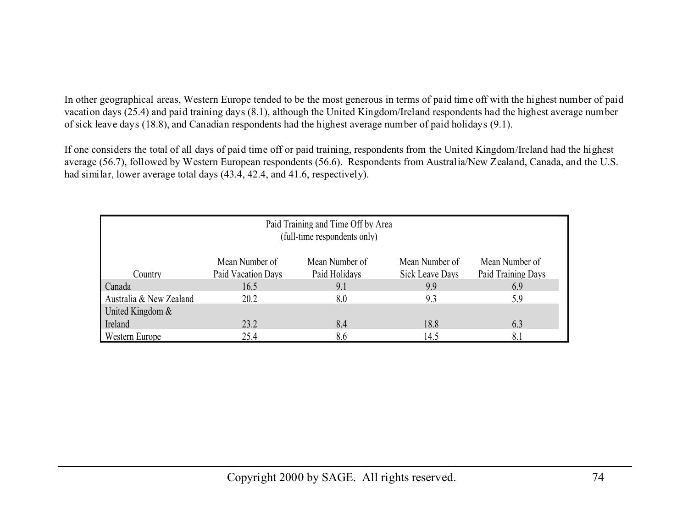In other geographical areas, Western Europe tended to be the most generous in terms of paid time off with the highest number of paid vacation days (25.4) and paid training days (8.1), although the United Kingdom/Ireland respondents had the highest average number of sick leave days (18.8), and Canadian respondents had the highest average number of paid holidays (9.1).

If one considers the total of all days of paid time off or paid training, respondents from the United Kingdom/Ireland had the highest average (56.7), followed by Western European respondents (56.6). Respondents from Australia/New Zealand, Canada, and the U.S. had similar, lower average total days (43.4, 42.4, and 41.6, respectively).

| Paid Training and Time Off by Area<br>(full-time respondents only)                      |      |     |      |     |  |  |  |
|-----------------------------------------------------------------------------------------|------|-----|------|-----|--|--|--|
| Mean Number of<br>Mean Number of<br>Mean Number of<br>Mean Number of                    |      |     |      |     |  |  |  |
| Paid Training Days<br>Paid Vacation Days<br>Paid Holidays<br>Sick Leave Days<br>Country |      |     |      |     |  |  |  |
| Canada                                                                                  | 16.5 | 9.1 | 9.9  | 6.9 |  |  |  |
| Australia & New Zealand                                                                 | 20.2 | 8.0 | 9.3  | 5.9 |  |  |  |
| United Kingdom &                                                                        |      |     |      |     |  |  |  |
| Ireland                                                                                 | 23.2 | 8.4 | 18.8 | 6.3 |  |  |  |
| Western Europe                                                                          | 25.4 | 8.6 | 14.5 | 8.1 |  |  |  |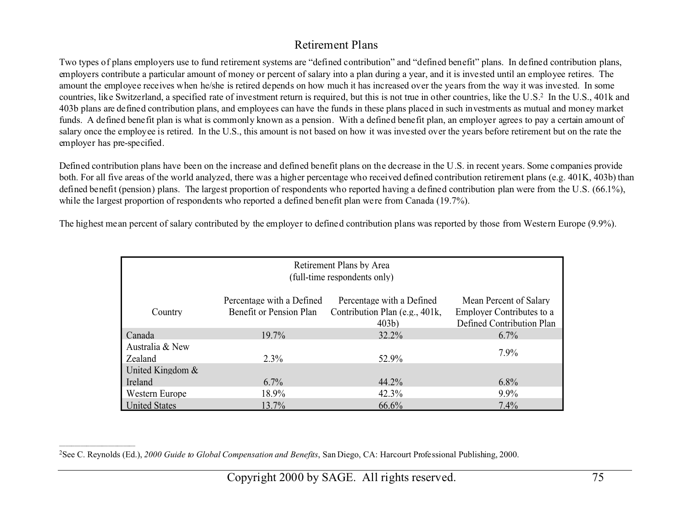## Retirement Plans

Two types of plans employers use to fund retirement systems are "defined contribution" and "defined benefit" plans. In defined contribution plans, employers contribute a particular amount of money or percent of salary into a plan during a year, and it is invested until an employee retires. The amount the employee receives when he/she is retired depends on how much it has increased over the years from the way it was invested. In some countries, like Switzerland, a specified rate of investment return is required, but this is not true in other countries, like the U.S.2 In the U.S., 401k and 403b plans are defined contribution plans, and employees can have the funds in these plans placed in such investments as mutual and money market funds. A defined benefit plan is what is commonly known as a pension. With a defined benefit plan, an employer agrees to pay a certain amount of salary once the employee is retired. In the U.S., this amount is not based on how it was invested over the years before retirement but on the rate the employer has pre-specified.

Defined contribution plans have been on the increase and defined benefit plans on the decrease in the U.S. in recent years. Some companies provide both. For all five areas of the world analyzed, there was a higher percentage who received defined contribution retirement plans (e.g. 401K, 403b) than defined benefit (pension) plans. The largest proportion of respondents who reported having a defined contribution plan were from the U.S. (66.1%), while the largest proportion of respondents who reported a defined benefit plan were from Canada (19.7%).

The highest mean percent of salary contributed by the employer to defined contribution plans was reported by those from Western Europe (9.9%).

| Retirement Plans by Area<br>(full-time respondents only)                                                                                                                                                                                      |          |          |         |  |  |  |  |  |
|-----------------------------------------------------------------------------------------------------------------------------------------------------------------------------------------------------------------------------------------------|----------|----------|---------|--|--|--|--|--|
| Percentage with a Defined<br>Percentage with a Defined<br>Mean Percent of Salary<br>Contribution Plan (e.g., 401k,<br><b>Employer Contributes to a</b><br>Benefit or Pension Plan<br>Country<br>Defined Contribution Plan<br>403 <sub>b</sub> |          |          |         |  |  |  |  |  |
| Canada                                                                                                                                                                                                                                        | $19.7\%$ | 32.2%    | $6.7\%$ |  |  |  |  |  |
| Australia & New<br>Zealand                                                                                                                                                                                                                    | $2.3\%$  | 52.9%    | $7.9\%$ |  |  |  |  |  |
| United Kingdom $\&$                                                                                                                                                                                                                           |          |          |         |  |  |  |  |  |
| Ireland                                                                                                                                                                                                                                       | $6.7\%$  | $44.2\%$ | $6.8\%$ |  |  |  |  |  |
| Western Europe                                                                                                                                                                                                                                | 18.9%    | 42.3%    | $9.9\%$ |  |  |  |  |  |
| <b>United States</b>                                                                                                                                                                                                                          | 13.7%    | 66.6%    | 7.4%    |  |  |  |  |  |

2See C. Reynolds (Ed.), *2000 Guide to Global Compensation and Benefits*, San Diego, CA: Harcourt Professional Publishing, 2000.

\_\_\_\_\_\_\_\_\_\_\_\_\_\_\_\_\_\_\_\_\_\_\_\_\_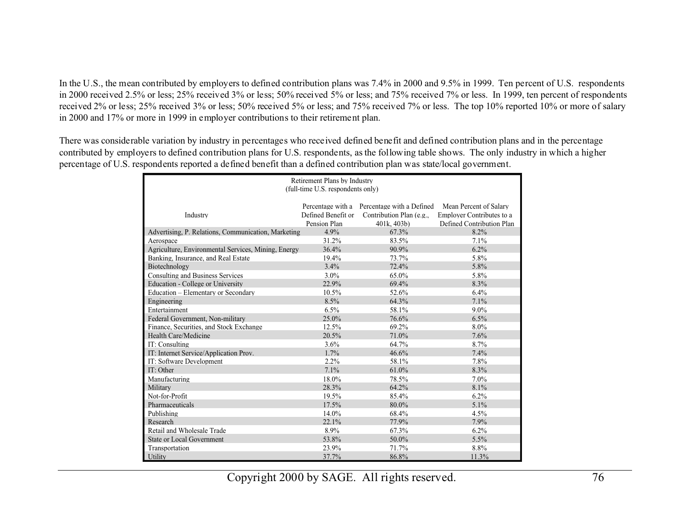In the U.S., the mean contributed by employers to defined contribution plans was 7.4% in 2000 and 9.5% in 1999. Ten percent of U.S. respondents in 2000 received 2.5% or less; 25% received 3% or less; 50% received 5% or less; and 75% received 7% or less. In 1999, ten percent of respondents received 2% or less; 25% received 3% or less; 50% received 5% or less; and 75% received 7% or less. The top 10% reported 10% or more of salary in 2000 and 17% or more in 1999 in employer contributions to their retirement plan.

There was considerable variation by industry in percentages who received defined benefit and defined contribution plans and in the percentage contributed by employers to defined contribution plans for U.S. respondents, as the following table shows. The only industry in which a higher percentage of U.S. respondents reported a defined benefit than a defined contribution plan was state/local government.

| Retirement Plans by Industry<br>(full-time U.S. respondents only) |                    |                                             |                           |  |  |  |  |
|-------------------------------------------------------------------|--------------------|---------------------------------------------|---------------------------|--|--|--|--|
|                                                                   |                    |                                             |                           |  |  |  |  |
|                                                                   |                    | Percentage with a Percentage with a Defined | Mean Percent of Salary    |  |  |  |  |
| Industry                                                          | Defined Benefit or | Contribution Plan (e.g.,                    | Employer Contributes to a |  |  |  |  |
|                                                                   | Pension Plan       | 401k, 403b)                                 | Defined Contribution Plan |  |  |  |  |
| Advertising, P. Relations, Communication, Marketing               | 4.9%               | 67.3%                                       | 8.2%                      |  |  |  |  |
| Aerospace                                                         | 31.2%              | 83.5%                                       | 7.1%                      |  |  |  |  |
| Agriculture, Environmental Services, Mining, Energy               | 36.4%              | 90.9%                                       | 6.2%                      |  |  |  |  |
| Banking, Insurance, and Real Estate                               | 19.4%              | 73.7%                                       | $5.8\%$                   |  |  |  |  |
| Biotechnology                                                     | 3.4%               | 72.4%                                       | 5.8%                      |  |  |  |  |
| <b>Consulting and Business Services</b>                           | $3.0\%$            | 65.0%                                       | 5.8%                      |  |  |  |  |
| <b>Education - College or University</b>                          | 22.9%              | 69.4%                                       | 8.3%                      |  |  |  |  |
| Education – Elementary or Secondary                               | 10.5%              | 52.6%                                       | $6.4\%$                   |  |  |  |  |
| Engineering                                                       | 8.5%               | 64.3%                                       | 7.1%                      |  |  |  |  |
| Entertainment                                                     | 6.5%               | 58.1%                                       | $9.0\%$                   |  |  |  |  |
| Federal Government, Non-military                                  | 25.0%              | 76.6%                                       | 6.5%                      |  |  |  |  |
| Finance, Securities, and Stock Exchange                           | 12.5%              | 69.2%                                       | $8.0\%$                   |  |  |  |  |
| Health Care/Medicine                                              | 20.5%              | 71.0%                                       | 7.6%                      |  |  |  |  |
| IT: Consulting                                                    | 3.6%               | 64.7%                                       | 8.7%                      |  |  |  |  |
| IT: Internet Service/Application Prov.                            | 1.7%               | 46.6%                                       | 7.4%                      |  |  |  |  |
| IT: Software Development                                          | 2.2%               | 58.1%                                       | 7.8%                      |  |  |  |  |
| IT: Other                                                         | 7.1%               | 61.0%                                       | 8.3%                      |  |  |  |  |
| Manufacturing                                                     | 18.0%              | 78.5%                                       | $7.0\%$                   |  |  |  |  |
| Military                                                          | 28.3%              | 64.2%                                       | 8.1%                      |  |  |  |  |
| Not-for-Profit                                                    | 19.5%              | 85.4%                                       | 6.2%                      |  |  |  |  |
| Pharmaceuticals                                                   | 17.5%              | 80.0%                                       | 5.1%                      |  |  |  |  |
| Publishing                                                        | 14.0%              | 68.4%                                       | $4.5\%$                   |  |  |  |  |
| Research                                                          | 22.1%              | 77.9%                                       | 7.9%                      |  |  |  |  |
| Retail and Wholesale Trade                                        | 8.9%               | 67.3%                                       | 6.2%                      |  |  |  |  |
| <b>State or Local Government</b>                                  | 53.8%              | 50.0%                                       | 5.5%                      |  |  |  |  |
| Transportation                                                    | 23.9%              | 71.7%                                       | 8.8%                      |  |  |  |  |
| Utility                                                           | 37.7%              | 86.8%                                       | 11.3%                     |  |  |  |  |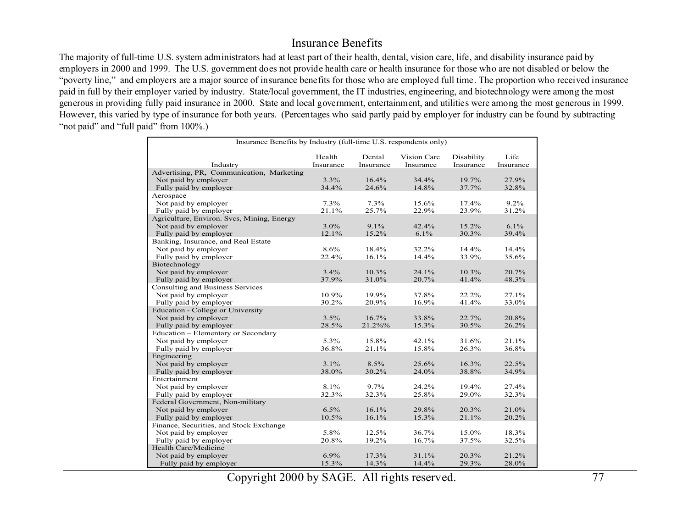#### Insurance Benefits

The majority of full-time U.S. system administrators had at least part of their health, dental, vision care, life, and disability insurance paid by employers in 2000 and 1999. The U.S. government does not provide health care or health insurance for those who are not disabled or below the "poverty line," and employers are a major source of insurance benefits for those who are employed full time. The proportion who received insurance paid in full by their employer varied by industry. State/local government, the IT industries, engineering, and biotechnology were among the most generous in providing fully paid insurance in 2000. State and local government, entertainment, and utilities were among the most generous in 1999. However, this varied by type of insurance for both years. (Percentages who said partly paid by employer for industry can be found by subtracting "not paid" and "full paid" from 100%.)

|                                            | Insurance Benefits by Industry (full-time U.S. respondents only) |           |             |            |           |  |  |  |
|--------------------------------------------|------------------------------------------------------------------|-----------|-------------|------------|-----------|--|--|--|
|                                            | Health                                                           | Dental    | Vision Care | Disability | Life      |  |  |  |
| Industry                                   | Insurance                                                        | Insurance | Insurance   | Insurance  | Insurance |  |  |  |
| Advertising, PR, Communication, Marketing  |                                                                  |           |             |            |           |  |  |  |
| Not paid by employer                       | 3.3%                                                             | 16.4%     | 34.4%       | 19.7%      | 27.9%     |  |  |  |
| Fully paid by employer                     | 34.4%                                                            | 24.6%     | 14.8%       | 37.7%      | 32.8%     |  |  |  |
| Aerospace                                  |                                                                  |           |             |            |           |  |  |  |
| Not paid by employer                       | 7.3%                                                             | 7.3%      | 15.6%       | 17.4%      | 9.2%      |  |  |  |
| Fully paid by employer                     | 21.1%                                                            | 25.7%     | 22.9%       | 23.9%      | 31.2%     |  |  |  |
| Agriculture, Environ. Svcs, Mining, Energy |                                                                  |           |             |            |           |  |  |  |
| Not paid by employer                       | 3.0%                                                             | $9.1\%$   | 42.4%       | 15.2%      | $6.1\%$   |  |  |  |
| Fully paid by employer                     | 12.1%                                                            | 15.2%     | 6.1%        | 30.3%      | 39.4%     |  |  |  |
| Banking, Insurance, and Real Estate        |                                                                  |           |             |            |           |  |  |  |
| Not paid by employer                       | 8.6%                                                             | 18.4%     | 32.2%       | 14.4%      | 14.4%     |  |  |  |
| Fully paid by employer                     | 22.4%                                                            | 16.1%     | 14.4%       | 33.9%      | 35.6%     |  |  |  |
| Biotechnology                              |                                                                  |           |             |            |           |  |  |  |
| Not paid by employer                       | 3.4%                                                             | 10.3%     | 24.1%       | $10.3\%$   | 20.7%     |  |  |  |
| Fully paid by employer                     | 37.9%                                                            | 31.0%     | 20.7%       | 41.4%      | 48.3%     |  |  |  |
| Consulting and Business Services           |                                                                  |           |             |            |           |  |  |  |
| Not paid by employer                       | 10.9%                                                            | 19.9%     | 37.8%       | 22.2%      | 27.1%     |  |  |  |
| Fully paid by employer                     | 30.2%                                                            | 20.9%     | 16.9%       | 41.4%      | 33.0%     |  |  |  |
| <b>Education - College or University</b>   |                                                                  |           |             |            |           |  |  |  |
| Not paid by employer                       | 3.5%                                                             | 16.7%     | 33.8%       | 22.7%      | 20.8%     |  |  |  |
| Fully paid by employer                     | 28.5%                                                            | 21.2%%    | 15.3%       | 30.5%      | 26.2%     |  |  |  |
| Education - Elementary or Secondary        |                                                                  |           |             |            |           |  |  |  |
| Not paid by employer                       | $5.3\%$                                                          | 15.8%     | 42.1%       | 31.6%      | 21.1%     |  |  |  |
| Fully paid by employer                     | 36.8%                                                            | 21.1%     | 15.8%       | 26.3%      | 36.8%     |  |  |  |
| Engineering                                |                                                                  |           |             |            |           |  |  |  |
| Not paid by employer                       | 3.1%                                                             | $8.5\%$   | 25.6%       | 16.3%      | 22.5%     |  |  |  |
| Fully paid by employer                     | 38.0%                                                            | 30.2%     | 24.0%       | 38.8%      | 34.9%     |  |  |  |
| Entertainment                              |                                                                  |           |             |            |           |  |  |  |
| Not paid by employer                       | 8.1%                                                             | 9.7%      | 24.2%       | 19.4%      | 27.4%     |  |  |  |
| Fully paid by employer                     | 32.3%                                                            | 32.3%     | 25.8%       | 29.0%      | 32.3%     |  |  |  |
| Federal Government, Non-military           |                                                                  |           |             |            |           |  |  |  |
| Not paid by employer                       | 6.5%                                                             | 16.1%     | 29.8%       | 20.3%      | 21.0%     |  |  |  |
| Fully paid by employer                     | 10.5%                                                            | 16.1%     | 15.3%       | 21.1%      | 20.2%     |  |  |  |
| Finance, Securities, and Stock Exchange    |                                                                  |           |             |            |           |  |  |  |
| Not paid by employer                       | 5.8%                                                             | 12.5%     | 36.7%       | 15.0%      | 18.3%     |  |  |  |
| Fully paid by employer                     | 20.8%                                                            | 19.2%     | 16.7%       | 37.5%      | 32.5%     |  |  |  |
| Health Care/Medicine                       |                                                                  |           |             |            |           |  |  |  |
| Not paid by employer                       | 6.9%                                                             | 17.3%     | 31.1%       | 20.3%      | 21.2%     |  |  |  |
| Fully paid by employer                     | 15.3%                                                            | 14.3%     | 14.4%       | 29.3%      | 28.0%     |  |  |  |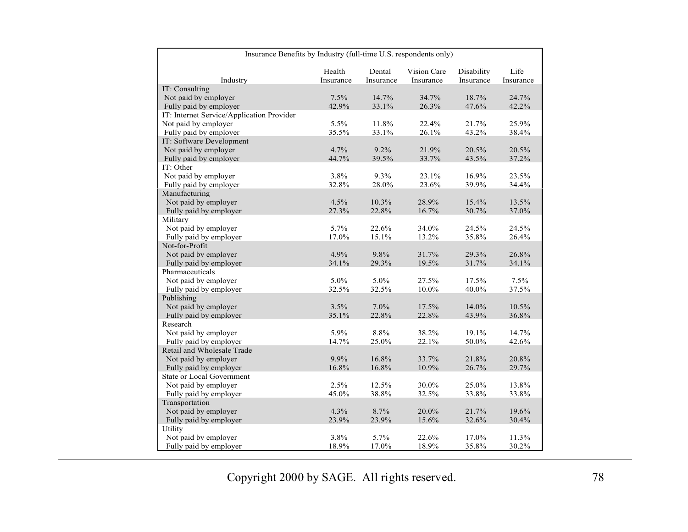|                                           | Insurance Benefits by Industry (full-time U.S. respondents only) |           |             |            |           |  |  |  |  |
|-------------------------------------------|------------------------------------------------------------------|-----------|-------------|------------|-----------|--|--|--|--|
|                                           | Health                                                           | Dental    | Vision Care | Disability | Life      |  |  |  |  |
| Industry                                  | Insurance                                                        | Insurance | Insurance   | Insurance  | Insurance |  |  |  |  |
| IT: Consulting                            |                                                                  |           |             |            |           |  |  |  |  |
| Not paid by employer                      | 7.5%                                                             | 14.7%     | 34.7%       | 18.7%      | 24.7%     |  |  |  |  |
| Fully paid by employer                    | 42.9%                                                            | 33.1%     | 26.3%       | 47.6%      | 42.2%     |  |  |  |  |
| IT: Internet Service/Application Provider |                                                                  |           |             |            |           |  |  |  |  |
| Not paid by employer                      | 5.5%                                                             | 11.8%     | 22.4%       | 21.7%      | 25.9%     |  |  |  |  |
| Fully paid by employer                    | 35.5%                                                            | 33.1%     | 26.1%       | 43.2%      | 38.4%     |  |  |  |  |
| IT: Software Development                  |                                                                  |           |             |            |           |  |  |  |  |
| Not paid by employer                      | 4.7%                                                             | 9.2%      | 21.9%       | 20.5%      | 20.5%     |  |  |  |  |
| Fully paid by employer                    | 44.7%                                                            | 39.5%     | 33.7%       | 43.5%      | 37.2%     |  |  |  |  |
| IT: Other                                 |                                                                  |           |             |            |           |  |  |  |  |
| Not paid by employer                      | 3.8%                                                             | $9.3\%$   | 23.1%       | 16.9%      | 23.5%     |  |  |  |  |
| Fully paid by employer                    | 32.8%                                                            | 28.0%     | 23.6%       | 39.9%      | 34.4%     |  |  |  |  |
| Manufacturing                             |                                                                  |           |             |            |           |  |  |  |  |
| Not paid by employer                      | 4.5%                                                             | 10.3%     | 28.9%       | 15.4%      | 13.5%     |  |  |  |  |
| Fully paid by employer                    | 27.3%                                                            | 22.8%     | 16.7%       | 30.7%      | 37.0%     |  |  |  |  |
| Military                                  |                                                                  |           |             |            |           |  |  |  |  |
| Not paid by employer                      | 5.7%                                                             | 22.6%     | 34.0%       | 24.5%      | 24.5%     |  |  |  |  |
| Fully paid by employer                    | 17.0%                                                            | 15.1%     | 13.2%       | 35.8%      | 26.4%     |  |  |  |  |
| Not-for-Profit                            |                                                                  |           |             |            |           |  |  |  |  |
| Not paid by employer                      | 4.9%                                                             | $9.8\%$   | 31.7%       | 29.3%      | 26.8%     |  |  |  |  |
| Fully paid by employer                    | 34.1%                                                            | 29.3%     | 19.5%       | 31.7%      | 34.1%     |  |  |  |  |
| Pharmaceuticals                           |                                                                  |           |             |            |           |  |  |  |  |
| Not paid by employer                      | 5.0%                                                             | 5.0%      | 27.5%       | 17.5%      | 7.5%      |  |  |  |  |
| Fully paid by employer                    | 32.5%                                                            | 32.5%     | 10.0%       | 40.0%      | 37.5%     |  |  |  |  |
| Publishing                                |                                                                  |           |             |            |           |  |  |  |  |
| Not paid by employer                      | 3.5%                                                             | $7.0\%$   | 17.5%       | 14.0%      | $10.5\%$  |  |  |  |  |
| Fully paid by employer                    | 35.1%                                                            | 22.8%     | 22.8%       | 43.9%      | 36.8%     |  |  |  |  |
| Research                                  |                                                                  |           |             |            |           |  |  |  |  |
| Not paid by employer                      | 5.9%                                                             | 8.8%      | 38.2%       | 19.1%      | 14.7%     |  |  |  |  |
| Fully paid by employer                    | 14.7%                                                            | 25.0%     | 22.1%       | 50.0%      | 42.6%     |  |  |  |  |
| Retail and Wholesale Trade                |                                                                  |           |             |            |           |  |  |  |  |
| Not paid by employer                      | 9.9%                                                             | 16.8%     | 33.7%       | 21.8%      | 20.8%     |  |  |  |  |
| Fully paid by employer                    | 16.8%                                                            | 16.8%     | 10.9%       | 26.7%      | 29.7%     |  |  |  |  |
| <b>State or Local Government</b>          |                                                                  |           |             |            |           |  |  |  |  |
| Not paid by employer                      | 2.5%                                                             | 12.5%     | 30.0%       | 25.0%      | 13.8%     |  |  |  |  |
| Fully paid by employer                    | 45.0%                                                            | 38.8%     | 32.5%       | 33.8%      | 33.8%     |  |  |  |  |
| Transportation                            |                                                                  |           |             |            |           |  |  |  |  |
| Not paid by employer                      | $4.3\%$                                                          | 8.7%      | 20.0%       | 21.7%      | 19.6%     |  |  |  |  |
| Fully paid by employer                    | 23.9%                                                            | 23.9%     | 15.6%       | 32.6%      | 30.4%     |  |  |  |  |
| Utility                                   |                                                                  |           |             |            |           |  |  |  |  |
| Not paid by employer                      | 3.8%                                                             | 5.7%      | 22.6%       | 17.0%      | 11.3%     |  |  |  |  |
| Fully paid by employer                    | 18.9%                                                            | 17.0%     | 18.9%       | 35.8%      | 30.2%     |  |  |  |  |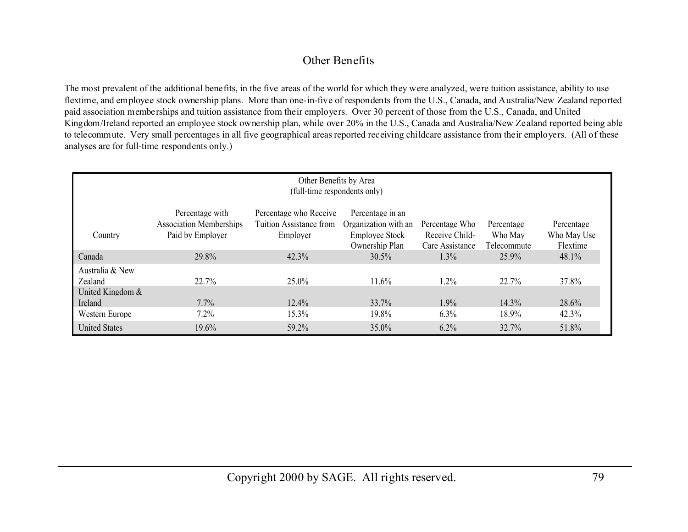# Other Benefits

The most prevalent of the additional benefits, in the five areas of the world for which they were analyzed, were tuition assistance, ability to use flextime, and employee stock ownership plans. More than one-in-five of respondents from the U.S., Canada, and Australia/New Zealand reported paid association memberships and tuition assistance from their employers. Over 30 percent of those from the U.S., Canada, and United Kingdom/Ireland reported an employee stock ownership plan, while over 20% in the U.S., Canada and Australia/New Zealand reported being able to telecommute. Very small percentages in all five geographical areas reported receiving childcare assistance from their employers. (All of these analyses are for full-time respondents only.)

| Other Benefits by Area<br>(full-time respondents only) |                                                                       |                                                               |                                                                                     |                                                     |                                      |                                       |  |  |  |
|--------------------------------------------------------|-----------------------------------------------------------------------|---------------------------------------------------------------|-------------------------------------------------------------------------------------|-----------------------------------------------------|--------------------------------------|---------------------------------------|--|--|--|
| Country                                                | Percentage with<br><b>Association Memberships</b><br>Paid by Employer | Percentage who Receive<br>Tuition Assistance from<br>Employer | Percentage in an<br>Organization with an<br><b>Employee Stock</b><br>Ownership Plan | Percentage Who<br>Receive Child-<br>Care Assistance | Percentage<br>Who May<br>Telecommute | Percentage<br>Who May Use<br>Flextime |  |  |  |
| Canada                                                 | 29.8%                                                                 | 42.3%                                                         | $30.5\%$                                                                            | $1.3\%$                                             | 25.9%                                | 48.1%                                 |  |  |  |
| Australia & New<br>Zealand<br>United Kingdom &         | $22.7\%$                                                              | $25.0\%$                                                      | 11.6%                                                                               | 1.2%                                                | 22.7%                                | 37.8%                                 |  |  |  |
| Ireland                                                | $7.7\%$                                                               | $12.4\%$                                                      | 33.7%                                                                               | 1.9%                                                | $14.3\%$                             | 28.6%                                 |  |  |  |
| Western Europe                                         | 7.2%                                                                  | 15.3%                                                         | 19.8%                                                                               | 6.3%                                                | 18.9%                                | 42.3%                                 |  |  |  |
| <b>United States</b>                                   | 19.6%                                                                 | 59.2%                                                         | 35.0%                                                                               | 6.2%                                                | 32.7%                                | 51.8%                                 |  |  |  |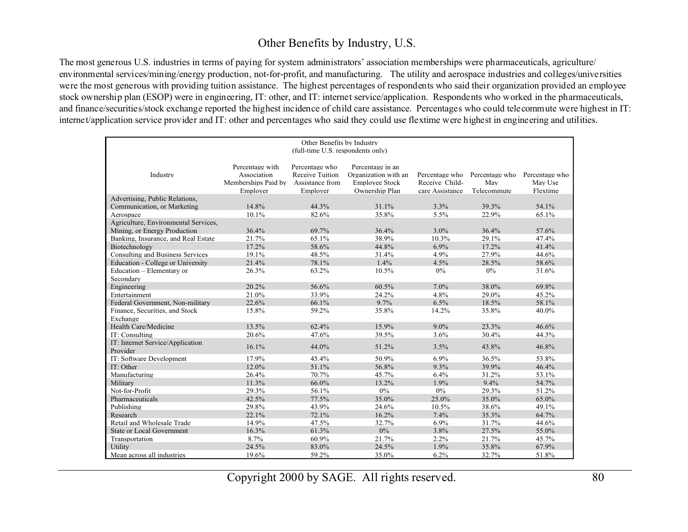## Other Benefits by Industry, U.S.

The most generous U.S. industries in terms of paying for system administrators' association memberships were pharmaceuticals, agriculture/ environmental services/mining/energy production, not-for-profit, and manufacturing. The utility and aerospace industries and colleges/universities were the most generous with providing tuition assistance. The highest percentages of respondents who said their organization provided an employee stock ownership plan (ESOP) were in engineering, IT: other, and IT: internet service/application. Respondents who worked in the pharmaceuticals, and finance/securities/stock exchange reported the highest incidence of child care assistance. Percentages who could telecommute were highest in IT: internet/application service provider and IT: other and percentages who said they could use flextime were highest in engineering and utilities.

| Other Benefits by Industry<br>(full-time U.S. respondents only) |                                                                   |                                                                  |                                                                                     |                                                     |                                      |                                       |  |
|-----------------------------------------------------------------|-------------------------------------------------------------------|------------------------------------------------------------------|-------------------------------------------------------------------------------------|-----------------------------------------------------|--------------------------------------|---------------------------------------|--|
|                                                                 |                                                                   |                                                                  |                                                                                     |                                                     |                                      |                                       |  |
| Industry                                                        | Percentage with<br>Association<br>Memberships Paid by<br>Employer | Percentage who<br>Receive Tuition<br>Assistance from<br>Employer | Percentage in an<br>Organization with an<br><b>Employee Stock</b><br>Ownership Plan | Percentage who<br>Receive Child-<br>care Assistance | Percentage who<br>May<br>Telecommute | Percentage who<br>May Use<br>Flextime |  |
| Advertising, Public Relations.                                  |                                                                   |                                                                  |                                                                                     |                                                     |                                      |                                       |  |
| Communication, or Marketing                                     | 14.8%                                                             | 44.3%                                                            | 31.1%                                                                               | 3.3%                                                | 39.3%                                | 54.1%                                 |  |
| Aerospace                                                       | 10.1%                                                             | 82.6%                                                            | 35.8%                                                                               | $5.5\%$                                             | 22.9%                                | 65.1%                                 |  |
| Agriculture, Environmental Services,                            |                                                                   |                                                                  |                                                                                     |                                                     |                                      |                                       |  |
| Mining, or Energy Production                                    | 36.4%                                                             | 69.7%                                                            | 36.4%                                                                               | 3.0%                                                | 36.4%                                | 57.6%                                 |  |
| Banking, Insurance, and Real Estate                             | 21.7%                                                             | 65.1%                                                            | 38.9%                                                                               | 10.3%                                               | 29.1%                                | 47.4%                                 |  |
| Biotechnology                                                   | 17.2%                                                             | 58.6%                                                            | 44.8%                                                                               | 6.9%                                                | 17.2%                                | 41.4%                                 |  |
| Consulting and Business Services                                | 19.1%                                                             | 48.5%                                                            | 31.4%                                                                               | 4.9%                                                | 27.9%                                | 44.6%                                 |  |
| <b>Education - College or University</b>                        | 21.4%                                                             | 78.1%                                                            | 1.4%                                                                                | 4.5%                                                | 28.5%                                | 58.6%                                 |  |
| Education - Elementary or                                       | 26.3%                                                             | 63.2%                                                            | 10.5%                                                                               | $0\%$                                               | $0\%$                                | 31.6%                                 |  |
| Secondary                                                       |                                                                   |                                                                  |                                                                                     |                                                     |                                      |                                       |  |
| Engineering                                                     | 20.2%                                                             | 56.6%                                                            | 60.5%                                                                               | 7.0%                                                | 38.0%                                | 69.8%                                 |  |
| Entertainment                                                   | 21.0%                                                             | 33.9%                                                            | 24.2%                                                                               | 4.8%                                                | 29.0%                                | 45.2%                                 |  |
| Federal Government, Non-military                                | 22.6%                                                             | 66.1%                                                            | 9.7%                                                                                | 6.5%                                                | 18.5%                                | 58.1%                                 |  |
| Finance, Securities, and Stock                                  | 15.8%                                                             | 59.2%                                                            | 35.8%                                                                               | 14.2%                                               | 35.8%                                | 40.0%                                 |  |
| Exchange                                                        |                                                                   |                                                                  |                                                                                     |                                                     |                                      |                                       |  |
| Health Care/Medicine                                            | 13.5%                                                             | 62.4%                                                            | 15.9%                                                                               | $9.0\%$                                             | 23.3%                                | 46.6%                                 |  |
| IT: Consulting                                                  | 20.6%                                                             | 47.6%                                                            | 39.5%                                                                               | 3.6%                                                | 30.4%                                | 44.3%                                 |  |
| IT: Internet Service/Application<br>Provider                    | 16.1%                                                             | 44.0%                                                            | 51.2%                                                                               | 3.5%                                                | 43.8%                                | 46.8%                                 |  |
| IT: Software Development                                        | 17.9%                                                             | 45.4%                                                            | 50.9%                                                                               | 6.9%                                                | 36.5%                                | 53.8%                                 |  |
| IT: Other                                                       | 12.0%                                                             | 51.1%                                                            | 56.8%                                                                               | 9.3%                                                | 39.9%                                | 46.4%                                 |  |
| Manufacturing                                                   | 26.4%                                                             | 70.7%                                                            | 45.7%                                                                               | 6.4%                                                | 31.2%                                | 53.1%                                 |  |
| Military                                                        | 11.3%                                                             | 66.0%                                                            | 13.2%                                                                               | 1.9%                                                | $9.4\%$                              | 54.7%                                 |  |
| Not-for-Profit                                                  | 29.3%                                                             | 56.1%                                                            | $0\%$                                                                               | $0\%$                                               | 29.3%                                | 51.2%                                 |  |
| Pharmaceuticals                                                 | 42.5%                                                             | 77.5%                                                            | 35.0%                                                                               | 25.0%                                               | 35.0%                                | 65.0%                                 |  |
| Publishing                                                      | 29.8%                                                             | 43.9%                                                            | 24.6%                                                                               | 10.5%                                               | 38.6%                                | 49.1%                                 |  |
| Research                                                        | 22.1%                                                             | 72.1%                                                            | 16.2%                                                                               | 7.4%                                                | 35.3%                                | 64.7%                                 |  |
| Retail and Wholesale Trade                                      | 14.9%                                                             | 47.5%                                                            | 32.7%                                                                               | 6.9%                                                | 31.7%                                | 44.6%                                 |  |
| <b>State or Local Government</b>                                | 16.3%                                                             | 61.3%                                                            | $0\%$                                                                               | 3.8%                                                | 27.5%                                | 55.0%                                 |  |
| Transportation                                                  | 8.7%                                                              | 60.9%                                                            | 21.7%                                                                               | 2.2%                                                | 21.7%                                | 45.7%                                 |  |
| Utility                                                         | 24.5%                                                             | 83.0%                                                            | 24.5%                                                                               | 1.9%                                                | 35.8%                                | 67.9%                                 |  |
| Mean across all industries                                      | 19.6%                                                             | 59.2%                                                            | 35.0%                                                                               | 6.2%                                                | 32.7%                                | 51.8%                                 |  |